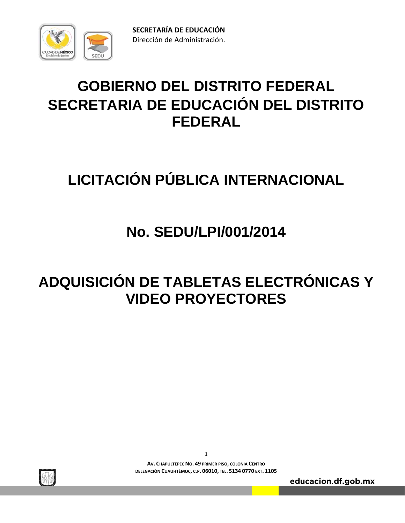

# **GOBIERNO DEL DISTRITO FEDERAL SECRETARIA DE EDUCACIÓN DEL DISTRITO FEDERAL**

# **LICITACIÓN PÚBLICA INTERNACIONAL**

# **No. SEDU/LPI/001/2014**

# **ADQUISICIÓN DE TABLETAS ELECTRÓNICAS Y VIDEO PROYECTORES**



**1 AV. CHAPULTEPEC NO. 49 PRIMER PISO, COLONIA CENTRO DELEGACIÓN CUAUHTÉMOC, C.P. 06010, TEL. 5134 0770 EXT. 1105**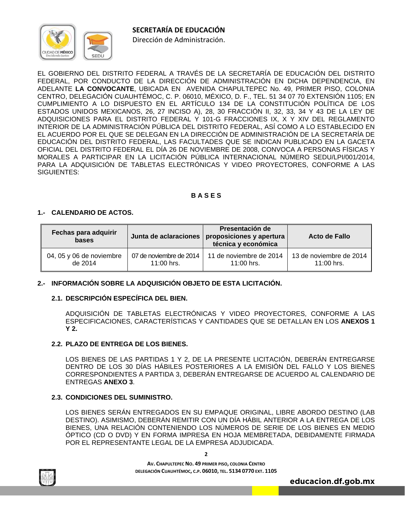

Dirección de Administración.

EL GOBIERNO DEL DISTRITO FEDERAL A TRAVÉS DE LA SECRETARÍA DE EDUCACIÓN DEL DISTRITO FEDERAL, POR CONDUCTO DE LA DIRECCIÓN DE ADMINISTRACIÓN EN DICHA DEPENDENCIA, EN ADELANTE **LA CONVOCANTE**, UBICADA EN AVENIDA CHAPULTEPEC No. 49, PRIMER PISO, COLONIA CENTRO, DELEGACIÓN CUAUHTÉMOC, C. P. 06010, MÉXICO, D. F., TEL. 51 34 07 70 EXTENSIÓN 1105; EN CUMPLIMIENTO A LO DISPUESTO EN EL ARTÍCULO 134 DE LA CONSTITUCIÓN POLÍTICA DE LOS ESTADOS UNIDOS MEXICANOS, 26, 27 INCISO A), 28, 30 FRACCIÓN II, 32, 33, 34 Y 43 DE LA LEY DE ADQUISICIONES PARA EL DISTRITO FEDERAL Y 101-G FRACCIONES IX, X Y XIV DEL REGLAMENTO INTERIOR DE LA ADMINISTRACIÓN PÚBLICA DEL DISTRITO FEDERAL, ASÍ COMO A LO ESTABLECIDO EN EL ACUERDO POR EL QUE SE DELEGAN EN LA DIRECCIÓN DE ADMINISTRACIÓN DE LA SECRETARÍA DE EDUCACIÓN DEL DISTRITO FEDERAL, LAS FACULTADES QUE SE INDICAN PUBLICADO EN LA GACETA OFICIAL DEL DISTRITO FEDERAL EL DÍA 26 DE NOVIEMBRE DE 2008, CONVOCA A PERSONAS FÍSICAS Y MORALES A PARTICIPAR EN LA LICITACIÓN PÚBLICA INTERNACIONAL NÚMERO SEDU/LPI/001/2014, PARA LA ADQUISICIÓN DE TABLETAS ELECTRÓNICAS Y VIDEO PROYECTORES, CONFORME A LAS SIGUIENTES:

# **B A S E S**

# **1.- CALENDARIO DE ACTOS.**

| Fechas para adquirir<br>bases |                         | Presentación de<br>Junta de aclaraciones   proposiciones y apertura  <br>técnica y económica | <b>Acto de Fallo</b>    |
|-------------------------------|-------------------------|----------------------------------------------------------------------------------------------|-------------------------|
| 04, 05 y 06 de noviembre      | 07 de noviembre de 2014 | 11 de noviembre de 2014                                                                      | 13 de noviembre de 2014 |
| de 2014                       | $11:00$ hrs.            | $11:00$ hrs.                                                                                 | $11:00$ hrs.            |

# **2.- INFORMACIÓN SOBRE LA ADQUISICIÓN OBJETO DE ESTA LICITACIÓN.**

# **2.1. DESCRIPCIÓN ESPECÍFICA DEL BIEN.**

ADQUISICIÓN DE TABLETAS ELECTRÓNICAS Y VIDEO PROYECTORES, CONFORME A LAS ESPECIFICACIONES, CARACTERÍSTICAS Y CANTIDADES QUE SE DETALLAN EN LOS **ANEXOS 1 Y 2.**

# **2.2. PLAZO DE ENTREGA DE LOS BIENES.**

 LOS BIENES DE LAS PARTIDAS 1 Y 2, DE LA PRESENTE LICITACIÓN, DEBERÁN ENTREGARSE DENTRO DE LOS 30 DÍAS HÁBILES POSTERIORES A LA EMISIÓN DEL FALLO Y LOS BIENES CORRESPONDIENTES A PARTIDA 3, DEBERÁN ENTREGARSE DE ACUERDO AL CALENDARIO DE ENTREGAS **ANEXO 3**.

# **2.3. CONDICIONES DEL SUMINISTRO.**

LOS BIENES SERÁN ENTREGADOS EN SU EMPAQUE ORIGINAL, LIBRE ABORDO DESTINO (LAB DESTINO). ASIMISMO, DEBERÁN REMITIR CON UN DÍA HÁBIL ANTERIOR A LA ENTREGA DE LOS BIENES, UNA RELACIÓN CONTENIENDO LOS NÚMEROS DE SERIE DE LOS BIENES EN MEDIO ÓPTICO (CD O DVD) Y EN FORMA IMPRESA EN HOJA MEMBRETADA, DEBIDAMENTE FIRMADA POR EL REPRESENTANTE LEGAL DE LA EMPRESA ADJUDICADA.



**AV. CHAPULTEPEC NO. 49 PRIMER PISO, COLONIA CENTRO DELEGACIÓN CUAUHTÉMOC, C.P. 06010, TEL. 5134 0770 EXT. 1105**

**2**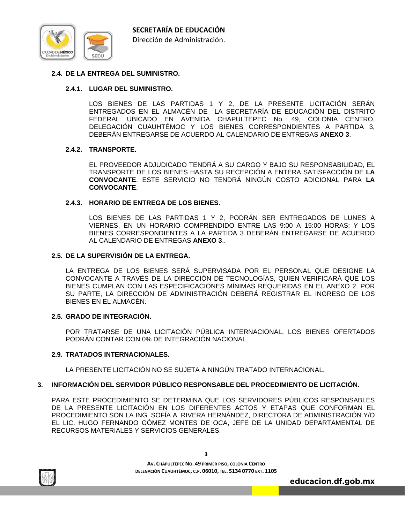

# **2.4. DE LA ENTREGA DEL SUMINISTRO.**

# **2.4.1. LUGAR DEL SUMINISTRO.**

LOS BIENES DE LAS PARTIDAS 1 Y 2, DE LA PRESENTE LICITACIÓN SERÁN ENTREGADOS EN EL ALMACÉN DE LA SECRETARÍA DE EDUCACIÓN DEL DISTRITO FEDERAL UBICADO EN AVENIDA CHAPULTEPEC No. 49, COLONIA CENTRO, DELEGACIÓN CUAUHTÉMOC Y LOS BIENES CORRESPONDIENTES A PARTIDA 3, DEBERÁN ENTREGARSE DE ACUERDO AL CALENDARIO DE ENTREGAS **ANEXO 3**.

#### **2.4.2. TRANSPORTE.**

EL PROVEEDOR ADJUDICADO TENDRÁ A SU CARGO Y BAJO SU RESPONSABILIDAD, EL TRANSPORTE DE LOS BIENES HASTA SU RECEPCIÓN A ENTERA SATISFACCIÓN DE **LA CONVOCANTE**. ESTE SERVICIO NO TENDRÁ NINGÚN COSTO ADICIONAL PARA **LA CONVOCANTE**.

#### **2.4.3. HORARIO DE ENTREGA DE LOS BIENES.**

LOS BIENES DE LAS PARTIDAS 1 Y 2, PODRÁN SER ENTREGADOS DE LUNES A VIERNES, EN UN HORARIO COMPRENDIDO ENTRE LAS 9:00 A 15:00 HORAS; Y LOS BIENES CORRESPONDIENTES A LA PARTIDA 3 DEBERÁN ENTREGARSE DE ACUERDO AL CALENDARIO DE ENTREGAS **ANEXO 3**..

#### **2.5. DE LA SUPERVISIÓN DE LA ENTREGA.**

LA ENTREGA DE LOS BIENES SERÁ SUPERVISADA POR EL PERSONAL QUE DESIGNE LA CONVOCANTE A TRAVÉS DE LA DIRECCIÓN DE TECNOLOGÍAS, QUIEN VERIFICARÁ QUE LOS BIENES CUMPLAN CON LAS ESPECIFICACIONES MÍNIMAS REQUERIDAS EN EL ANEXO 2. POR SU PARTE, LA DIRECCIÓN DE ADMINISTRACIÓN DEBERÁ REGISTRAR EL INGRESO DE LOS BIENES EN EL ALMACÉN.

#### **2.5. GRADO DE INTEGRACIÓN.**

POR TRATARSE DE UNA LICITACIÓN PÚBLICA INTERNACIONAL, LOS BIENES OFERTADOS PODRÁN CONTAR CON 0% DE INTEGRACIÓN NACIONAL.

#### **2.9. TRATADOS INTERNACIONALES.**

LA PRESENTE LICITACIÓN NO SE SUJETA A NINGÚN TRATADO INTERNACIONAL.

#### **3. INFORMACIÓN DEL SERVIDOR PÚBLICO RESPONSABLE DEL PROCEDIMIENTO DE LICITACIÓN.**

PARA ESTE PROCEDIMIENTO SE DETERMINA QUE LOS SERVIDORES PÚBLICOS RESPONSABLES DE LA PRESENTE LICITACIÓN EN LOS DIFERENTES ACTOS Y ETAPAS QUE CONFORMAN EL PROCEDIMIENTO SON LA ING. SOFÍA A. RIVERA HERNÁNDEZ, DIRECTORA DE ADMINISTRACIÓN Y/O EL LIC. HUGO FERNANDO GÓMEZ MONTES DE OCA, JEFE DE LA UNIDAD DEPARTAMENTAL DE RECURSOS MATERIALES Y SERVICIOS GENERALES.

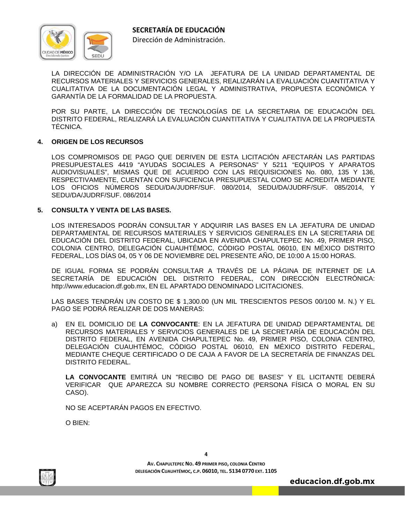

Dirección de Administración.

 LA DIRECCIÓN DE ADMINISTRACIÓN Y/O LA JEFATURA DE LA UNIDAD DEPARTAMENTAL DE RECURSOS MATERIALES Y SERVICIOS GENERALES, REALIZARÁN LA EVALUACIÓN CUANTITATIVA Y CUALITATIVA DE LA DOCUMENTACIÓN LEGAL Y ADMINISTRATIVA, PROPUESTA ECONÓMICA Y GARANTÍA DE LA FORMALIDAD DE LA PROPUESTA.

 POR SU PARTE, LA DIRECCIÓN DE TECNOLOGÍAS DE LA SECRETARIA DE EDUCACIÓN DEL DISTRITO FEDERAL, REALIZARÁ LA EVALUACIÓN CUANTITATIVA Y CUALITATIVA DE LA PROPUESTA TÉCNICA.

# **4. ORIGEN DE LOS RECURSOS**

LOS COMPROMISOS DE PAGO QUE DERIVEN DE ESTA LICITACIÓN AFECTARÁN LAS PARTIDAS PRESUPUESTALES 4419 "AYUDAS SOCIALES A PERSONAS" Y 5211 "EQUIPOS Y APARATOS AUDIOVISUALES", MISMAS QUE DE ACUERDO CON LAS REQUISICIONES No. 080, 135 Y 136, RESPECTIVAMENTE, CUENTAN CON SUFICIENCIA PRESUPUESTAL COMO SE ACREDITA MEDIANTE LOS OFICIOS NÚMEROS SEDU/DA/JUDRF/SUF. 080/2014, SEDU/DA/JUDRF/SUF. 085/2014, Y SEDU/DA/JUDRF/SUF. 086/2014

#### **5. CONSULTA Y VENTA DE LAS BASES.**

LOS INTERESADOS PODRÁN CONSULTAR Y ADQUIRIR LAS BASES EN LA JEFATURA DE UNIDAD DEPARTAMENTAL DE RECURSOS MATERIALES Y SERVICIOS GENERALES EN LA SECRETARIA DE EDUCACIÓN DEL DISTRITO FEDERAL, UBICADA EN AVENIDA CHAPULTEPEC No. 49, PRIMER PISO, COLONIA CENTRO, DELEGACIÓN CUAUHTÉMOC, CÓDIGO POSTAL 06010, EN MÉXICO DISTRITO FEDERAL, LOS DÍAS 04, 05 Y 06 DE NOVIEMBRE DEL PRESENTE AÑO, DE 10:00 A 15:00 HORAS.

DE IGUAL FORMA SE PODRÁN CONSULTAR A TRAVÉS DE LA PÁGINA DE INTERNET DE LA SECRETARÍA DE EDUCACIÓN DEL DISTRITO FEDERAL, CON DIRECCIÓN ELECTRÓNICA: http://www.educacion.df.gob.mx, EN EL APARTADO DENOMINADO LICITACIONES.

LAS BASES TENDRÁN UN COSTO DE \$ 1,300.00 (UN MIL TRESCIENTOS PESOS 00/100 M. N.) Y EL PAGO SE PODRÁ REALIZAR DE DOS MANERAS:

a) EN EL DOMICILIO DE **LA CONVOCANTE**: EN LA JEFATURA DE UNIDAD DEPARTAMENTAL DE RECURSOS MATERIALES Y SERVICIOS GENERALES DE LA SECRETARÍA DE EDUCACIÓN DEL DISTRITO FEDERAL, EN AVENIDA CHAPULTEPEC No. 49, PRIMER PISO, COLONIA CENTRO, DELEGACIÓN CUAUHTÉMOC, CÓDIGO POSTAL 06010, EN MÉXICO DISTRITO FEDERAL, MEDIANTE CHEQUE CERTIFICADO O DE CAJA A FAVOR DE LA SECRETARÍA DE FINANZAS DEL DISTRITO FEDERAL.

 **LA CONVOCANTE** EMITIRÁ UN "RECIBO DE PAGO DE BASES" Y EL LICITANTE DEBERÁ VERIFICAR QUE APAREZCA SU NOMBRE CORRECTO (PERSONA FÍSICA O MORAL EN SU CASO).

NO SE ACEPTARÁN PAGOS EN EFECTIVO.

O BIEN:



**4**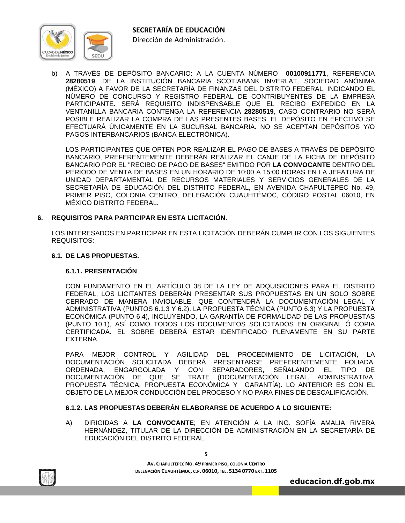

Dirección de Administración.

b) A TRAVÉS DE DEPÓSITO BANCARIO: A LA CUENTA NÚMERO **00100911771**, REFERENCIA **28280519**, DE LA INSTITUCIÓN BANCARIA SCOTIABANK INVERLAT, SOCIEDAD ANÓNIMA (MÉXICO) A FAVOR DE LA SECRETARÍA DE FINANZAS DEL DISTRITO FEDERAL, INDICANDO EL NÚMERO DE CONCURSO Y REGISTRO FEDERAL DE CONTRIBUYENTES DE LA EMPRESA PARTICIPANTE. SERÁ REQUISITO INDISPENSABLE QUE EL RECIBO EXPEDIDO EN LA VENTANILLA BANCARIA CONTENGA LA REFERENCIA **28280519**, CASO CONTRARIO NO SERÁ POSIBLE REALIZAR LA COMPRA DE LAS PRESENTES BASES. EL DEPÓSITO EN EFECTIVO SE EFECTUARÁ ÚNICAMENTE EN LA SUCURSAL BANCARIA. NO SE ACEPTAN DEPÓSITOS Y/O PAGOS INTERBANCARIOS (BANCA ELECTRÓNICA).

 LOS PARTICIPANTES QUE OPTEN POR REALIZAR EL PAGO DE BASES A TRAVÉS DE DEPÓSITO BANCARIO, PREFERENTEMENTE DEBERÁN REALIZAR EL CANJE DE LA FICHA DE DEPÓSITO BANCARIO POR EL "RECIBO DE PAGO DE BASES" EMITIDO POR **LA CONVOCANTE** DENTRO DEL PERIODO DE VENTA DE BASES EN UN HORARIO DE 10:00 A 15:00 HORAS EN LA JEFATURA DE UNIDAD DEPARTAMENTAL DE RECURSOS MATERIALES Y SERVICIOS GENERALES DE LA SECRETARÍA DE EDUCACIÓN DEL DISTRITO FEDERAL, EN AVENIDA CHAPULTEPEC No. 49, PRIMER PISO, COLONIA CENTRO, DELEGACIÓN CUAUHTÉMOC, CÓDIGO POSTAL 06010, EN MÉXICO DISTRITO FEDERAL.

# **6. REQUISITOS PARA PARTICIPAR EN ESTA LICITACIÓN.**

LOS INTERESADOS EN PARTICIPAR EN ESTA LICITACIÓN DEBERÁN CUMPLIR CON LOS SIGUIENTES REQUISITOS:

# **6.1. DE LAS PROPUESTAS.**

# **6.1.1. PRESENTACIÓN**

CON FUNDAMENTO EN EL ARTÍCULO 38 DE LA LEY DE ADQUISICIONES PARA EL DISTRITO FEDERAL, LOS LICITANTES DEBERÁN PRESENTAR SUS PROPUESTAS EN UN SOLO SOBRE CERRADO DE MANERA INVIOLABLE, QUE CONTENDRÁ LA DOCUMENTACIÓN LEGAL Y ADMINISTRATIVA (PUNTOS 6.1.3 Y 6.2). LA PROPUESTA TÉCNICA (PUNTO 6.3) Y LA PROPUESTA ECONÓMICA (PUNTO 6.4), INCLUYENDO, LA GARANTÍA DE FORMALIDAD DE LAS PROPUESTAS (PUNTO 10.1), ASÍ COMO TODOS LOS DOCUMENTOS SOLICITADOS EN ORIGINAL Ó COPIA CERTIFICADA. EL SOBRE DEBERÁ ESTAR IDENTIFICADO PLENAMENTE EN SU PARTE EXTERNA.

PARA MEJOR CONTROL Y AGILIDAD DEL PROCEDIMIENTO DE LICITACIÓN, LA DOCUMENTACIÓN SOLICITADA DEBERÁ PRESENTARSE PREFERENTEMENTE FOLIADA, ORDENADA, ENGARGOLADA Y CON SEPARADORES, SEÑALANDO EL TIPO DE DOCUMENTACIÓN DE QUE SE TRATE (DOCUMENTACIÓN LEGAL, ADMINISTRATIVA, PROPUESTA TÉCNICA, PROPUESTA ECONÓMICA Y GARANTÍA). LO ANTERIOR ES CON EL OBJETO DE LA MEJOR CONDUCCIÓN DEL PROCESO Y NO PARA FINES DE DESCALIFICACIÓN.

# **6.1.2. LAS PROPUESTAS DEBERÁN ELABORARSE DE ACUERDO A LO SIGUIENTE:**

A) DIRIGIDAS A **LA CONVOCANTE**; EN ATENCIÓN A LA ING. SOFÍA AMALIA RIVERA HERNÁNDEZ, TITULAR DE LA DIRECCIÓN DE ADMINISTRACIÓN EN LA SECRETARÍA DE EDUCACIÓN DEL DISTRITO FEDERAL.

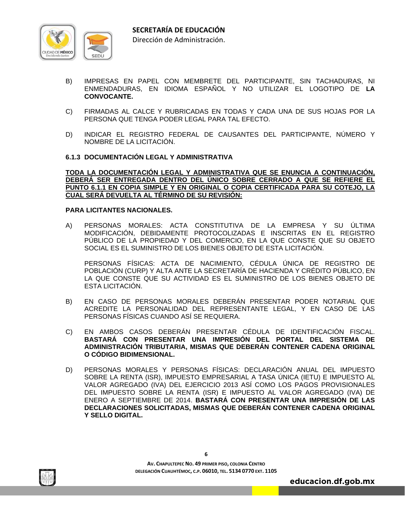

- B) IMPRESAS EN PAPEL CON MEMBRETE DEL PARTICIPANTE, SIN TACHADURAS, NI ENMENDADURAS, EN IDIOMA ESPAÑOL Y NO UTILIZAR EL LOGOTIPO DE **LA CONVOCANTE.**
- C) FIRMADAS AL CALCE Y RUBRICADAS EN TODAS Y CADA UNA DE SUS HOJAS POR LA PERSONA QUE TENGA PODER LEGAL PARA TAL EFECTO.
- D) INDICAR EL REGISTRO FEDERAL DE CAUSANTES DEL PARTICIPANTE, NÚMERO Y NOMBRE DE LA LICITACIÓN.

#### **6.1.3 DOCUMENTACIÓN LEGAL Y ADMINISTRATIVA**

**TODA LA DOCUMENTACIÓN LEGAL Y ADMINISTRATIVA QUE SE ENUNCIA A CONTINUACIÓN, DEBERÁ SER ENTREGADA DENTRO DEL ÚNICO SOBRE CERRADO A QUE SE REFIERE EL PUNTO 6.1.1 EN COPIA SIMPLE Y EN ORIGINAL O COPIA CERTIFICADA PARA SU COTEJO, LA CUAL SERÁ DEVUELTA AL TÉRMINO DE SU REVISIÓN:** 

#### **PARA LICITANTES NACIONALES.**

A) PERSONAS MORALES: ACTA CONSTITUTIVA DE LA EMPRESA Y SU ÚLTIMA MODIFICACIÓN, DEBIDAMENTE PROTOCOLIZADAS E INSCRITAS EN EL REGISTRO PÚBLICO DE LA PROPIEDAD Y DEL COMERCIO, EN LA QUE CONSTE QUE SU OBJETO SOCIAL ES EL SUMINISTRO DE LOS BIENES OBJETO DE ESTA LICITACIÓN.

 PERSONAS FÍSICAS: ACTA DE NACIMIENTO, CÉDULA ÚNICA DE REGISTRO DE POBLACIÓN (CURP) Y ALTA ANTE LA SECRETARÍA DE HACIENDA Y CRÉDITO PÚBLICO, EN LA QUE CONSTE QUE SU ACTIVIDAD ES EL SUMINISTRO DE LOS BIENES OBJETO DE ESTA LICITACIÓN.

- B) EN CASO DE PERSONAS MORALES DEBERÁN PRESENTAR PODER NOTARIAL QUE ACREDITE LA PERSONALIDAD DEL REPRESENTANTE LEGAL, Y EN CASO DE LAS PERSONAS FÍSICAS CUANDO ASÍ SE REQUIERA.
- C) EN AMBOS CASOS DEBERÁN PRESENTAR CÉDULA DE IDENTIFICACIÓN FISCAL. **BASTARÁ CON PRESENTAR UNA IMPRESIÓN DEL PORTAL DEL SISTEMA DE ADMINISTRACIÓN TRIBUTARIA, MISMAS QUE DEBERÁN CONTENER CADENA ORIGINAL O CÓDIGO BIDIMENSIONAL.**
- D) PERSONAS MORALES Y PERSONAS FÍSICAS: DECLARACIÓN ANUAL DEL IMPUESTO SOBRE LA RENTA (ISR), IMPUESTO EMPRESARIAL A TASA ÚNICA (IETU) E IMPUESTO AL VALOR AGREGADO (IVA) DEL EJERCICIO 2013 ASÍ COMO LOS PAGOS PROVISIONALES DEL IMPUESTO SOBRE LA RENTA (ISR) E IMPUESTO AL VALOR AGREGADO (IVA) DE ENERO A SEPTIEMBRE DE 2014. **BASTARÁ CON PRESENTAR UNA IMPRESIÓN DE LAS DECLARACIONES SOLICITADAS, MISMAS QUE DEBERÁN CONTENER CADENA ORIGINAL Y SELLO DIGITAL.**



**6**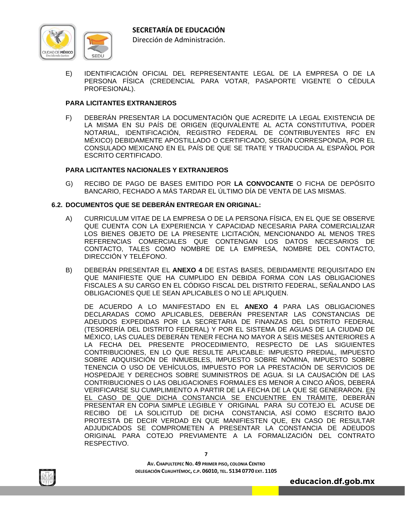

E) IDENTIFICACIÓN OFICIAL DEL REPRESENTANTE LEGAL DE LA EMPRESA O DE LA PERSONA FÍSICA (CREDENCIAL PARA VOTAR, PASAPORTE VIGENTE O CÉDULA PROFESIONAL).

# **PARA LICITANTES EXTRANJEROS**

F) DEBERÁN PRESENTAR LA DOCUMENTACIÓN QUE ACREDITE LA LEGAL EXISTENCIA DE LA MISMA EN SU PAÍS DE ORIGEN (EQUIVALENTE AL ACTA CONSTITUTIVA, PODER NOTARIAL, IDENTIFICACIÓN, REGISTRO FEDERAL DE CONTRIBUYENTES RFC EN MÉXICO) DEBIDAMENTE APOSTILLADO O CERTIFICADO, SEGÚN CORRESPONDA, POR EL CONSULADO MEXICANO EN EL PAÍS DE QUE SE TRATE Y TRADUCIDA AL ESPAÑOL POR ESCRITO CERTIFICADO.

#### **PARA LICITANTES NACIONALES Y EXTRANJEROS**

G) RECIBO DE PAGO DE BASES EMITIDO POR **LA CONVOCANTE** O FICHA DE DEPÓSITO BANCARIO, FECHADO A MÁS TARDAR EL ÚLTIMO DÍA DE VENTA DE LAS MISMAS.

#### **6.2. DOCUMENTOS QUE SE DEBERÁN ENTREGAR EN ORIGINAL:**

- A) CURRICULUM VITAE DE LA EMPRESA O DE LA PERSONA FÍSICA, EN EL QUE SE OBSERVE QUE CUENTA CON LA EXPERIENCIA Y CAPACIDAD NECESARIA PARA COMERCIALIZAR LOS BIENES OBJETO DE LA PRESENTE LICITACIÓN, MENCIONANDO AL MENOS TRES REFERENCIAS COMERCIALES QUE CONTENGAN LOS DATOS NECESARIOS DE CONTACTO, TALES COMO NOMBRE DE LA EMPRESA, NOMBRE DEL CONTACTO, DIRECCIÓN Y TELÉFONO.
- B) DEBERÁN PRESENTAR EL **ANEXO 4** DE ESTAS BASES, DEBIDAMENTE REQUISITADO EN QUE MANIFIESTE QUE HA CUMPLIDO EN DEBIDA FORMA CON LAS OBLIGACIONES FISCALES A SU CARGO EN EL CÓDIGO FISCAL DEL DISTRITO FEDERAL, SEÑALANDO LAS OBLIGACIONES QUE LE SEAN APLICABLES O NO LE APLIQUEN.

 DE ACUERDO A LO MANIFESTADO EN EL **ANEXO 4** PARA LAS OBLIGACIONES DECLARADAS COMO APLICABLES, DEBERÁN PRESENTAR LAS CONSTANCIAS DE ADEUDOS EXPEDIDAS POR LA SECRETARIA DE FINANZAS DEL DISTRITO FEDERAL (TESORERÍA DEL DISTRITO FEDERAL) Y POR EL SISTEMA DE AGUAS DE LA CIUDAD DE MÉXICO, LAS CUALES DEBERÁN TENER FECHA NO MAYOR A SEIS MESES ANTERIORES A LA FECHA DEL PRESENTE PROCEDIMIENTO, RESPECTO DE LAS SIGUIENTES CONTRIBUCIONES, EN LO QUE RESULTE APLICABLE: IMPUESTO PREDIAL, IMPUESTO SOBRE ADQUISICIÓN DE INMUEBLES, IMPUESTO SOBRE NÓMINA, IMPUESTO SOBRE TENENCIA O USO DE VEHÍCULOS, IMPUESTO POR LA PRESTACIÓN DE SERVICIOS DE HOSPEDAJE Y DERECHOS SOBRE SUMINISTROS DE AGUA. SI LA CAUSACIÓN DE LAS CONTRIBUCIONES O LAS OBLIGACIONES FORMALES ES MENOR A CINCO AÑOS, DEBERÁ VERIFICARSE SU CUMPLIMIENTO A PARTIR DE LA FECHA DE LA QUE SE GENERARON. EN EL CASO DE QUE DICHA CONSTANCIA SE ENCUENTRE EN TRÁMITE, DEBERÁN PRESENTAR EN COPIA SIMPLE LEGIBLE Y ORIGINAL PARA SU COTEJO EL ACUSE DE RECIBO DE LA SOLICITUD DE DICHA CONSTANCIA, ASÍ COMO ESCRITO BAJO PROTESTA DE DECIR VERDAD EN QUE MANIFIESTEN QUE, EN CASO DE RESULTAR ADJUDICADOS SE COMPROMETEN A PRESENTAR LA CONSTANCIA DE ADEUDOS ORIGINAL PARA COTEJO PREVIAMENTE A LA FORMALIZACIÓN DEL CONTRATO RESPECTIVO.



**DELEGACIÓN CUAUHTÉMOC, C.P. 06010, TEL. 5134 0770 EXT. 1105**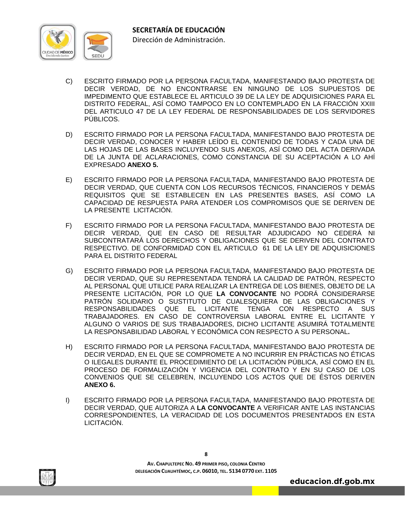

- C) ESCRITO FIRMADO POR LA PERSONA FACULTADA, MANIFESTANDO BAJO PROTESTA DE DECIR VERDAD, DE NO ENCONTRARSE EN NINGUNO DE LOS SUPUESTOS DE IMPEDIMENTO QUE ESTABLECE EL ARTICULO 39 DE LA LEY DE ADQUISICIONES PARA EL DISTRITO FEDERAL, ASÍ COMO TAMPOCO EN LO CONTEMPLADO EN LA FRACCIÓN XXIII DEL ARTICULO 47 DE LA LEY FEDERAL DE RESPONSABILIDADES DE LOS SERVIDORES PÚBLICOS.
- D) ESCRITO FIRMADO POR LA PERSONA FACULTADA, MANIFESTANDO BAJO PROTESTA DE DECIR VERDAD, CONOCER Y HABER LEÍDO EL CONTENIDO DE TODAS Y CADA UNA DE LAS HOJAS DE LAS BASES INCLUYENDO SUS ANEXOS, ASÍ COMO DEL ACTA DERIVADA DE LA JUNTA DE ACLARACIONES, COMO CONSTANCIA DE SU ACEPTACIÓN A LO AHÍ EXPRESADO **ANEXO 5.**
- E) ESCRITO FIRMADO POR LA PERSONA FACULTADA, MANIFESTANDO BAJO PROTESTA DE DECIR VERDAD, QUE CUENTA CON LOS RECURSOS TÉCNICOS, FINANCIEROS Y DEMÁS REQUISITOS QUE SE ESTABLECEN EN LAS PRESENTES BASES, ASÍ COMO LA CAPACIDAD DE RESPUESTA PARA ATENDER LOS COMPROMISOS QUE SE DERIVEN DE LA PRESENTE LICITACIÓN.
- F) ESCRITO FIRMADO POR LA PERSONA FACULTADA, MANIFESTANDO BAJO PROTESTA DE DECIR VERDAD, QUE EN CASO DE RESULTAR ADJUDICADO NO CEDERÁ NI SUBCONTRATARÁ LOS DERECHOS Y OBLIGACIONES QUE SE DERIVEN DEL CONTRATO RESPECTIVO. DE CONFORMIDAD CON EL ARTICULO 61 DE LA LEY DE ADQUISICIONES PARA EL DISTRITO FEDERAL
- G) ESCRITO FIRMADO POR LA PERSONA FACULTADA, MANIFESTANDO BAJO PROTESTA DE DECIR VERDAD, QUE SU REPRESENTADA TENDRÁ LA CALIDAD DE PATRÓN, RESPECTO AL PERSONAL QUE UTILICE PARA REALIZAR LA ENTREGA DE LOS BIENES, OBJETO DE LA PRESENTE LICITACIÓN, POR LO QUE **LA CONVOCANTE** NO PODRÁ CONSIDERARSE PATRÓN SOLIDARIO O SUSTITUTO DE CUALESQUIERA DE LAS OBLIGACIONES Y RESPONSABILIDADES QUE EL LICITANTE TENGA CON RESPECTO A SUS TRABAJADORES. EN CASO DE CONTROVERSIA LABORAL ENTRE EL LICITANTE Y ALGUNO O VARIOS DE SUS TRABAJADORES, DICHO LICITANTE ASUMIRÁ TOTALMENTE LA RESPONSABILIDAD LABORAL Y ECONÓMICA CON RESPECTO A SU PERSONAL**.**
- H) ESCRITO FIRMADO POR LA PERSONA FACULTADA, MANIFESTANDO BAJO PROTESTA DE DECIR VERDAD, EN EL QUE SE COMPROMETE A NO INCURRIR EN PRÁCTICAS NO ÉTICAS O ILEGALES DURANTE EL PROCEDIMIENTO DE LA LICITACIÓN PÚBLICA, ASÍ COMO EN EL PROCESO DE FORMALIZACIÓN Y VIGENCIA DEL CONTRATO Y EN SU CASO DE LOS CONVENIOS QUE SE CELEBREN, INCLUYENDO LOS ACTOS QUE DE ÉSTOS DERIVEN **ANEXO 6.**
- I) ESCRITO FIRMADO POR LA PERSONA FACULTADA, MANIFESTANDO BAJO PROTESTA DE DECIR VERDAD, QUE AUTORIZA A **LA CONVOCANTE** A VERIFICAR ANTE LAS INSTANCIAS CORRESPONDIENTES, LA VERACIDAD DE LOS DOCUMENTOS PRESENTADOS EN ESTA LICITACIÓN.

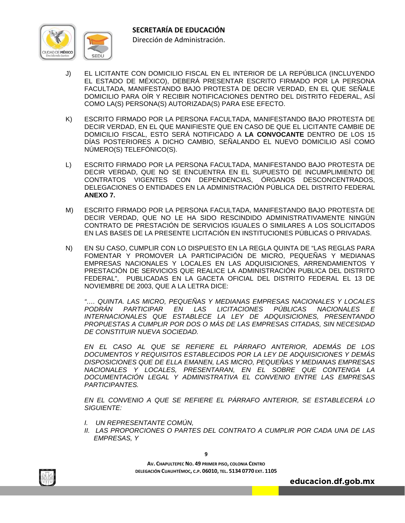

- J) EL LICITANTE CON DOMICILIO FISCAL EN EL INTERIOR DE LA REPÚBLICA (INCLUYENDO EL ESTADO DE MÉXICO), DEBERÁ PRESENTAR ESCRITO FIRMADO POR LA PERSONA FACULTADA, MANIFESTANDO BAJO PROTESTA DE DECIR VERDAD, EN EL QUE SEÑALE DOMICILIO PARA OÍR Y RECIBIR NOTIFICACIONES DENTRO DEL DISTRITO FEDERAL, ASÍ COMO LA(S) PERSONA(S) AUTORIZADA(S) PARA ESE EFECTO.
- K) ESCRITO FIRMADO POR LA PERSONA FACULTADA, MANIFESTANDO BAJO PROTESTA DE DECIR VERDAD, EN EL QUE MANIFIESTE QUE EN CASO DE QUE EL LICITANTE CAMBIE DE DOMICILIO FISCAL, ESTO SERÁ NOTIFICADO A **LA CONVOCANTE** DENTRO DE LOS 15 DÍAS POSTERIORES A DICHO CAMBIO, SEÑALANDO EL NUEVO DOMICILIO ASÍ COMO NÚMERO(S) TELEFÓNICO(S).
- L) ESCRITO FIRMADO POR LA PERSONA FACULTADA, MANIFESTANDO BAJO PROTESTA DE DECIR VERDAD, QUE NO SE ENCUENTRA EN EL SUPUESTO DE INCUMPLIMIENTO DE CONTRATOS VIGENTES CON DEPENDENCIAS, ÓRGANOS DESCONCENTRADOS, DELEGACIONES O ENTIDADES EN LA ADMINISTRACIÓN PÚBLICA DEL DISTRITO FEDERAL **ANEXO 7.**
- M) ESCRITO FIRMADO POR LA PERSONA FACULTADA, MANIFESTANDO BAJO PROTESTA DE DECIR VERDAD, QUE NO LE HA SIDO RESCINDIDO ADMINISTRATIVAMENTE NINGÚN CONTRATO DE PRESTACIÓN DE SERVICIOS IGUALES O SIMILARES A LOS SOLICITADOS EN LAS BASES DE LA PRESENTE LICITACIÓN EN INSTITUCIONES PÚBLICAS O PRIVADAS.
- N) EN SU CASO, CUMPLIR CON LO DISPUESTO EN LA REGLA QUINTA DE "LAS REGLAS PARA FOMENTAR Y PROMOVER LA PARTICIPACIÓN DE MICRO, PEQUEÑAS Y MEDIANAS EMPRESAS NACIONALES Y LOCALES EN LAS ADQUISICIONES, ARRENDAMIENTOS Y PRESTACIÓN DE SERVICIOS QUE REALICE LA ADMINISTRACIÓN PUBLICA DEL DISTRITO FEDERAL", PUBLICADAS EN LA GACETA OFICIAL DEL DISTRITO FEDERAL EL 13 DE NOVIEMBRE DE 2003, QUE A LA LETRA DICE:

*"…. QUINTA. LAS MICRO, PEQUEÑAS Y MEDIANAS EMPRESAS NACIONALES Y LOCALES PODRÁN PARTICIPAR EN LAS LICITACIONES PÚBLICAS NACIONALES E INTERNACIONALES QUE ESTABLECE LA LEY DE ADQUISICIONES, PRESENTANDO PROPUESTAS A CUMPLIR POR DOS O MÁS DE LAS EMPRESAS CITADAS, SIN NECESIDAD DE CONSTITUIR NUEVA SOCIEDAD.* 

 *EN EL CASO AL QUE SE REFIERE EL PÁRRAFO ANTERIOR, ADEMÁS DE LOS DOCUMENTOS Y REQUISITOS ESTABLECIDOS POR LA LEY DE ADQUISICIONES Y DEMÁS DISPOSICIONES QUE DE ELLA EMANEN, LAS MICRO, PEQUEÑAS Y MEDIANAS EMPRESAS NACIONALES Y LOCALES, PRESENTARAN, EN EL SOBRE QUE CONTENGA LA DOCUMENTACIÓN LEGAL Y ADMINISTRATIVA EL CONVENIO ENTRE LAS EMPRESAS PARTICIPANTES.* 

*EN EL CONVENIO A QUE SE REFIERE EL PÁRRAFO ANTERIOR, SE ESTABLECERÁ LO SIGUIENTE:* 

- *I. UN REPRESENTANTE COMÚN,*
- *II. LAS PROPORCIONES O PARTES DEL CONTRATO A CUMPLIR POR CADA UNA DE LAS EMPRESAS, Y*



**AV. CHAPULTEPEC NO. 49 PRIMER PISO, COLONIA CENTRO DELEGACIÓN CUAUHTÉMOC, C.P. 06010, TEL. 5134 0770 EXT. 1105**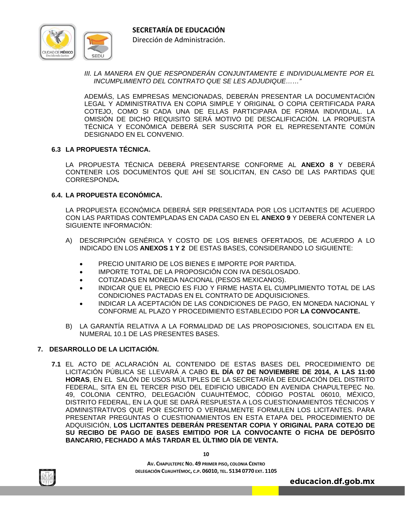

Dirección de Administración.

*III. LA MANERA EN QUE RESPONDERÁN CONJUNTAMENTE E INDIVIDUALMENTE POR EL INCUMPLIMIENTO DEL CONTRATO QUE SE LES ADJUDIQUE……"* 

ADEMÁS, LAS EMPRESAS MENCIONADAS, DEBERÁN PRESENTAR LA DOCUMENTACIÓN LEGAL Y ADMINISTRATIVA EN COPIA SIMPLE Y ORIGINAL O COPIA CERTIFICADA PARA COTEJO, COMO SI CADA UNA DE ELLAS PARTICIPARA DE FORMA INDIVIDUAL. LA OMISIÓN DE DICHO REQUISITO SERÁ MOTIVO DE DESCALIFICACIÓN. LA PROPUESTA TÉCNICA Y ECONÓMICA DEBERÁ SER SUSCRITA POR EL REPRESENTANTE COMÚN DESIGNADO EN EL CONVENIO.

# **6.3 LA PROPUESTA TÉCNICA.**

LA PROPUESTA TÉCNICA DEBERÁ PRESENTARSE CONFORME AL **ANEXO 8** Y DEBERÁ CONTENER LOS DOCUMENTOS QUE AHÍ SE SOLICITAN, EN CASO DE LAS PARTIDAS QUE CORRESPONDA**.**

# **6.4. LA PROPUESTA ECONÓMICA.**

LA PROPUESTA ECONÓMICA DEBERÁ SER PRESENTADA POR LOS LICITANTES DE ACUERDO CON LAS PARTIDAS CONTEMPLADAS EN CADA CASO EN EL **ANEXO 9** Y DEBERÁ CONTENER LA SIGUIENTE INFORMACIÓN:

- A) DESCRIPCIÓN GENÉRICA Y COSTO DE LOS BIENES OFERTADOS, DE ACUERDO A LO INDICADO EN LOS **ANEXOS 1 Y 2** DE ESTAS BASES, CONSIDERANDO LO SIGUIENTE:
	- PRECIO UNITARIO DE LOS BIENES E IMPORTE POR PARTIDA.
	- IMPORTE TOTAL DE LA PROPOSICIÓN CON IVA DESGLOSADO.
	- COTIZADAS EN MONEDA NACIONAL (PESOS MEXICANOS).
	- INDICAR QUE EL PRECIO ES FIJO Y FIRME HASTA EL CUMPLIMIENTO TOTAL DE LAS CONDICIONES PACTADAS EN EL CONTRATO DE ADQUISICIONES.
	- INDICAR LA ACEPTACIÓN DE LAS CONDICIONES DE PAGO, EN MONEDA NACIONAL Y CONFORME AL PLAZO Y PROCEDIMIENTO ESTABLECIDO POR **LA CONVOCANTE.**
- B) LA GARANTÍA RELATIVA A LA FORMALIDAD DE LAS PROPOSICIONES, SOLICITADA EN EL NUMERAL 10.1 DE LAS PRESENTES BASES.

# **7. DESARROLLO DE LA LICITACIÓN.**

**7.1** EL ACTO DE ACLARACIÓN AL CONTENIDO DE ESTAS BASES DEL PROCEDIMIENTO DE LICITACIÓN PÚBLICA SE LLEVARÁ A CABO **EL DÍA 07 DE NOVIEMBRE DE 2014, A LAS 11:00 HORAS**, EN EL SALÓN DE USOS MÚLTIPLES DE LA SECRETARÍA DE EDUCACIÓN DEL DISTRITO FEDERAL, SITA EN EL TERCER PISO DEL EDIFICIO UBICADO EN AVENIDA CHAPULTEPEC No. 49, COLONIA CENTRO, DELEGACIÓN CUAUHTÉMOC, CÓDIGO POSTAL 06010, MÉXICO, DISTRITO FEDERAL, EN LA QUE SE DARÁ RESPUESTA A LOS CUESTIONAMIENTOS TÉCNICOS Y ADMINISTRATIVOS QUE POR ESCRITO O VERBALMENTE FORMULEN LOS LICITANTES. PARA PRESENTAR PREGUNTAS O CUESTIONAMIENTOS EN ESTA ETAPA DEL PROCEDIMIENTO DE ADQUISICIÓN, **LOS LICITANTES DEBERÁN PRESENTAR COPIA Y ORIGINAL PARA COTEJO DE SU RECIBO DE PAGO DE BASES EMITIDO POR LA CONVOCANTE O FICHA DE DEPÓSITO BANCARIO, FECHADO A MÁS TARDAR EL ÚLTIMO DÍA DE VENTA.** 



**10**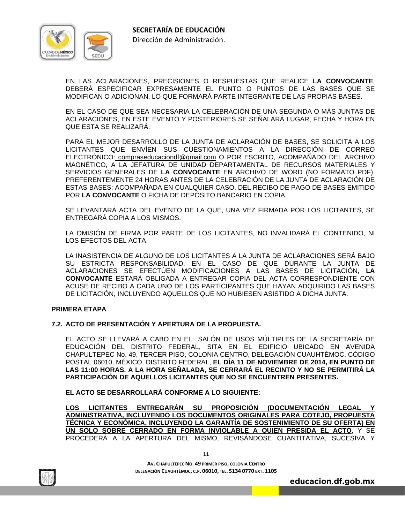

 EN LAS ACLARACIONES, PRECISIONES O RESPUESTAS QUE REALICE **LA CONVOCANTE**, DEBERÁ ESPECIFICAR EXPRESAMENTE EL PUNTO O PUNTOS DE LAS BASES QUE SE MODIFICAN O ADICIONAN, LO QUE FORMARÁ PARTE INTEGRANTE DE LAS PROPIAS BASES.

 EN EL CASO DE QUE SEA NECESARIA LA CELEBRACIÓN DE UNA SEGUNDA O MÁS JUNTAS DE ACLARACIONES, EN ESTE EVENTO Y POSTERIORES SE SEÑALARÁ LUGAR, FECHA Y HORA EN QUE ESTA SE REALIZARÁ.

 PARA EL MEJOR DESARROLLO DE LA JUNTA DE ACLARACIÓN DE BASES, SE SOLICITA A LOS LICITANTES QUE ENVÍEN SUS CUESTIONAMIENTOS A LA DIRECCIÓN DE CORREO ELECTRÓNICO: compraseducaciondf@gmail.com O POR ESCRITO, ACOMPAÑADO DEL ARCHIVO MAGNÉTICO, A LA JEFATURA DE UNIDAD DEPARTAMENTAL DE RECURSOS MATERIALES Y SERVICIOS GENERALES DE **LA CONVOCANTE** EN ARCHIVO DE WORD (NO FORMATO PDF), PREFERENTEMENTE 24 HORAS ANTES DE LA CELEBRACIÓN DE LA JUNTA DE ACLARACIÓN DE ESTAS BASES; ACOMPAÑADA EN CUALQUIER CASO, DEL RECIBO DE PAGO DE BASES EMITIDO POR **LA CONVOCANTE** O FICHA DE DEPÓSITO BANCARIO EN COPIA.

 SE LEVANTARÁ ACTA DEL EVENTO DE LA QUE, UNA VEZ FIRMADA POR LOS LICITANTES, SE ENTREGARÁ COPIA A LOS MISMOS.

 LA OMISIÓN DE FIRMA POR PARTE DE LOS LICITANTES, NO INVALIDARÁ EL CONTENIDO, NI LOS EFECTOS DEL ACTA.

 LA INASISTENCIA DE ALGUNO DE LOS LICITANTES A LA JUNTA DE ACLARACIONES SERÁ BAJO SU ESTRICTA RESPONSABILIDAD. EN EL CASO DE QUE DURANTE LA JUNTA DE ACLARACIONES SE EFECTÚEN MODIFICACIONES A LAS BASES DE LICITACIÓN, **LA CONVOCANTE** ESTARÁ OBLIGADA A ENTREGAR COPIA DEL ACTA CORRESPONDIENTE CON ACUSE DE RECIBO A CADA UNO DE LOS PARTICIPANTES QUE HAYAN ADQUIRIDO LAS BASES DE LICITACIÓN, INCLUYENDO AQUELLOS QUE NO HUBIESEN ASISTIDO A DICHA JUNTA.

#### **PRIMERA ETAPA**

#### **7.2. ACTO DE PRESENTACIÓN Y APERTURA DE LA PROPUESTA.**

 EL ACTO SE LLEVARÁ A CABO EN EL SALÓN DE USOS MÚLTIPLES DE LA SECRETARÍA DE EDUCACIÓN DEL DISTRITO FEDERAL, SITA EN EL EDIFICIO UBICADO EN AVENIDA CHAPULTEPEC No. 49, TERCER PISO, COLONIA CENTRO, DELEGACIÓN CUAUHTÉMOC, CÓDIGO POSTAL 06010, MÉXICO, DISTRITO FEDERAL, **EL DÍA 11 DE NOVIEMBRE DE 2014, EN PUNTO DE LAS 11:00 HORAS. A LA HORA SEÑALADA, SE CERRARÁ EL RECINTO Y NO SE PERMITIRÁ LA PARTICIPACIÓN DE AQUELLOS LICITANTES QUE NO SE ENCUENTREN PRESENTES.**

 **EL ACTO SE DESARROLLARÁ CONFORME A LO SIGUIENTE:** 

 **LOS LICITANTES ENTREGARÁN SU PROPOSICIÓN (DOCUMENTACIÓN LEGAL Y ADMINISTRATIVA, INCLUYENDO LOS DOCUMENTOS ORIGINALES PARA COTEJO, PROPUESTA TÉCNICA Y ECONÓMICA, INCLUYENDO LA GARANTÍA DE SOSTENIMIENTO DE SU OFERTA) EN UN SOLO SOBRE CERRADO EN FORMA INVIOLABLE A QUIEN PRESIDA EL ACTO**, Y SE PROCEDERÁ A LA APERTURA DEL MISMO, REVISÁNDOSE CUANTITATIVA, SUCESIVA Y



**AV. CHAPULTEPEC NO. 49 PRIMER PISO, COLONIA CENTRO DELEGACIÓN CUAUHTÉMOC, C.P. 06010, TEL. 5134 0770 EXT. 1105**

**11**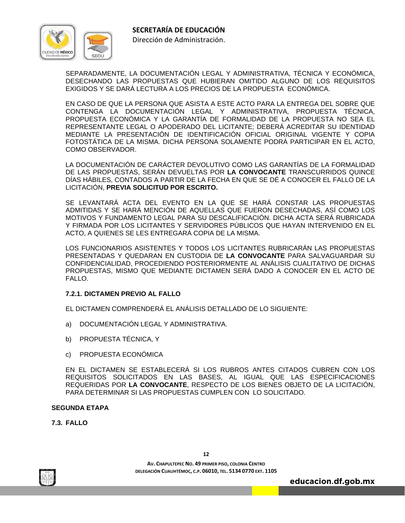



Dirección de Administración.

SEPARADAMENTE, LA DOCUMENTACIÓN LEGAL Y ADMINISTRATIVA, TÉCNICA Y ECONÓMICA, DESECHANDO LAS PROPUESTAS QUE HUBIERAN OMITIDO ALGUNO DE LOS REQUISITOS EXIGIDOS Y SE DARÁ LECTURA A LOS PRECIOS DE LA PROPUESTA ECONÓMICA.

 EN CASO DE QUE LA PERSONA QUE ASISTA A ESTE ACTO PARA LA ENTREGA DEL SOBRE QUE CONTENGA LA DOCUMENTACIÓN LEGAL Y ADMINISTRATIVA, PROPUESTA TÉCNICA, PROPUESTA ECONÓMICA Y LA GARANTÍA DE FORMALIDAD DE LA PROPUESTA NO SEA EL REPRESENTANTE LEGAL O APODERADO DEL LICITANTE; DEBERÁ ACREDITAR SU IDENTIDAD MEDIANTE LA PRESENTACIÓN DE IDENTIFICACIÓN OFICIAL ORIGINAL VIGENTE Y COPIA FOTOSTÁTICA DE LA MISMA. DICHA PERSONA SOLAMENTE PODRÁ PARTICIPAR EN EL ACTO, COMO OBSERVADOR.

 LA DOCUMENTACIÓN DE CARÁCTER DEVOLUTIVO COMO LAS GARANTÍAS DE LA FORMALIDAD DE LAS PROPUESTAS, SERÁN DEVUELTAS POR **LA CONVOCANTE** TRANSCURRIDOS QUINCE DÍAS HÁBILES, CONTADOS A PARTIR DE LA FECHA EN QUE SE DÉ A CONOCER EL FALLO DE LA LICITACIÓN, **PREVIA SOLICITUD POR ESCRITO.**

 SE LEVANTARÁ ACTA DEL EVENTO EN LA QUE SE HARÁ CONSTAR LAS PROPUESTAS ADMITIDAS Y SE HARÁ MENCIÓN DE AQUELLAS QUE FUERON DESECHADAS, ASÍ COMO LOS MOTIVOS Y FUNDAMENTO LEGAL PARA SU DESCALIFICACIÓN. DICHA ACTA SERÁ RUBRICADA Y FIRMADA POR LOS LICITANTES Y SERVIDORES PÚBLICOS QUE HAYAN INTERVENIDO EN EL ACTO, A QUIENES SE LES ENTREGARÁ COPIA DE LA MISMA.

 LOS FUNCIONARIOS ASISTENTES Y TODOS LOS LICITANTES RUBRICARÁN LAS PROPUESTAS PRESENTADAS Y QUEDARAN EN CUSTODIA DE **LA CONVOCANTE** PARA SALVAGUARDAR SU CONFIDENCIALIDAD, PROCEDIENDO POSTERIORMENTE AL ANÁLISIS CUALITATIVO DE DICHAS PROPUESTAS, MISMO QUE MEDIANTE DICTAMEN SERÁ DADO A CONOCER EN EL ACTO DE FALLO.

# **7.2.1. DICTAMEN PREVIO AL FALLO**

EL DICTAMEN COMPRENDERÁ EL ANÁLISIS DETALLADO DE LO SIGUIENTE:

- a) DOCUMENTACIÓN LEGAL Y ADMINISTRATIVA.
- b) PROPUESTA TÉCNICA, Y
- c) PROPUESTA ECONÓMICA

 EN EL DICTAMEN SE ESTABLECERÁ SI LOS RUBROS ANTES CITADOS CUBREN CON LOS REQUISITOS SOLICITADOS EN LAS BASES, AL IGUAL QUE LAS ESPECIFICACIONES REQUERIDAS POR **LA CONVOCANTE**, RESPECTO DE LOS BIENES OBJETO DE LA LICITACIÓN, PARA DETERMINAR SI LAS PROPUESTAS CUMPLEN CON LO SOLICITADO.

#### **SEGUNDA ETAPA**

**7.3. FALLO**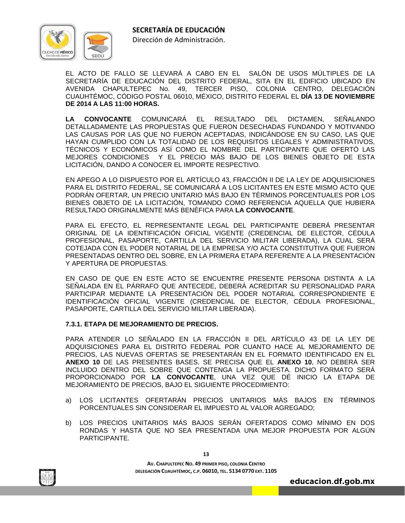

Dirección de Administración.

 EL ACTO DE FALLO SE LLEVARÁ A CABO EN EL SALÓN DE USOS MÚLTIPLES DE LA SECRETARÍA DE EDUCACIÓN DEL DISTRITO FEDERAL, SITA EN EL EDIFICIO UBICADO EN AVENIDA CHAPULTEPEC No. 49, TERCER PISO, COLONIA CENTRO, DELEGACIÓN CUAUHTÉMOC, CÓDIGO POSTAL 06010, MÉXICO, DISTRITO FEDERAL EL **DÍA 13 DE NOVIEMBRE DE 2014 A LAS 11:00 HORAS.** 

**LA CONVOCANTE** COMUNICARÁ EL RESULTADO DEL DICTAMEN, SEÑALANDO DETALLADAMENTE LAS PROPUESTAS QUE FUERON DESECHADAS FUNDANDO Y MOTIVANDO LAS CAUSAS POR LAS QUE NO FUERON ACEPTADAS, INDICÁNDOSE EN SU CASO, LAS QUE HAYAN CUMPLIDO CON LA TOTALIDAD DE LOS REQUISITOS LEGALES Y ADMINISTRATIVOS, TÉCNICOS Y ECONÓMICOS ASÍ COMO EL NOMBRE DEL PARTICIPANTE QUE OFERTÓ LAS MEJORES CONDICIONES Y EL PRECIO MÁS BAJO DE LOS BIENES OBJETO DE ESTA LICITACIÓN, DANDO A CONOCER EL IMPORTE RESPECTIVO.

 EN APEGO A LO DISPUESTO POR EL ARTÍCULO 43, FRACCIÓN II DE LA LEY DE ADQUISICIONES PARA EL DISTRITO FEDERAL, SE COMUNICARÁ A LOS LICITANTES EN ESTE MISMO ACTO QUE PODRÁN OFERTAR, UN PRECIO UNITARIO MÁS BAJO EN TÉRMINOS PORCENTUALES POR LOS BIENES OBJETO DE LA LICITACIÓN, TOMANDO COMO REFERENCIA AQUELLA QUE HUBIERA RESULTADO ORIGINALMENTE MÁS BENÉFICA PARA **LA CONVOCANTE**.

 PARA EL EFECTO, EL REPRESENTANTE LEGAL DEL PARTICIPANTE DEBERÁ PRESENTAR ORIGINAL DE LA IDENTIFICACIÓN OFICIAL VIGENTE (CREDENCIAL DE ELECTOR, CÉDULA PROFESIONAL, PASAPORTE, CARTILLA DEL SERVICIO MILITAR LIBERADA), LA CUAL SERÁ COTEJADA CON EL PODER NOTARIAL DE LA EMPRESA Y/O ACTA CONSTITUTIVA QUE FUERON PRESENTADAS DENTRO DEL SOBRE, EN LA PRIMERA ETAPA REFERENTE A LA PRESENTACIÓN Y APERTURA DE PROPUESTAS.

 EN CASO DE QUE EN ESTE ACTO SE ENCUENTRE PRESENTE PERSONA DISTINTA A LA SEÑALADA EN EL PÁRRAFO QUE ANTECEDE, DEBERÁ ACREDITAR SU PERSONALIDAD PARA PARTICIPAR MEDIANTE LA PRESENTACIÓN DEL PODER NOTARIAL CORRESPONDIENTE E IDENTIFICACIÓN OFICIAL VIGENTE (CREDENCIAL DE ELECTOR, CÉDULA PROFESIONAL, PASAPORTE, CARTILLA DEL SERVICIO MILITAR LIBERADA).

# **7.3.1. ETAPA DE MEJORAMIENTO DE PRECIOS.**

 PARA ATENDER LO SEÑALADO EN LA FRACCIÓN II DEL ARTÍCULO 43 DE LA LEY DE ADQUISICIONES PARA EL DISTRITO FEDERAL POR CUANTO HACE AL MEJORAMIENTO DE PRECIOS, LAS NUEVAS OFERTAS SE PRESENTARÁN EN EL FORMATO IDENTIFICADO EN EL **ANEXO 10** DE LAS PRESENTES BASES. SE PRECISA QUE EL **ANEXO 10**, NO DEBERÁ SER INCLUIDO DENTRO DEL SOBRE QUE CONTENGA LA PROPUESTA. DICHO FORMATO SERÁ PROPORCIONADO POR **LA CONVOCANTE**, UNA VEZ QUE DÉ INICIO LA ETAPA DE MEJORAMIENTO DE PRECIOS, BAJO EL SIGUIENTE PROCEDIMIENTO:

- a) LOS LICITANTES OFERTARÁN PRECIOS UNITARIOS MÁS BAJOS EN TÉRMINOS PORCENTUALES SIN CONSIDERAR EL IMPUESTO AL VALOR AGREGADO;
- b) LOS PRECIOS UNITARIOS MÁS BAJOS SERÁN OFERTADOS COMO MÍNIMO EN DOS RONDAS Y HASTA QUE NO SEA PRESENTADA UNA MEJOR PROPUESTA POR ALGÚN PARTICIPANTE.



**13**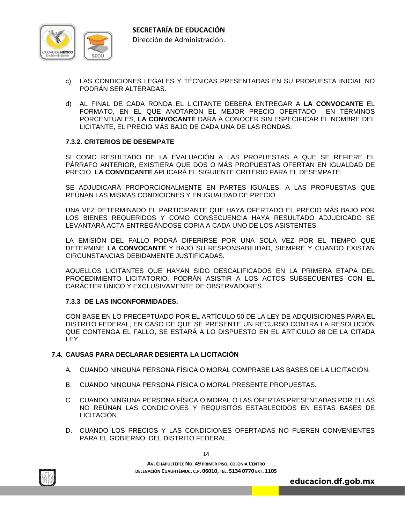

- c) LAS CONDICIONES LEGALES Y TÉCNICAS PRESENTADAS EN SU PROPUESTA INICIAL NO PODRÁN SER ALTERADAS.
- d) AL FINAL DE CADA RONDA EL LICITANTE DEBERÁ ENTREGAR A **LA CONVOCANTE** EL FORMATO, EN EL QUE ANOTARON EL MEJOR PRECIO OFERTADO EN TÉRMINOS PORCENTUALES, **LA CONVOCANTE** DARÁ A CONOCER SIN ESPECIFICAR EL NOMBRE DEL LICITANTE, EL PRECIO MÁS BAJO DE CADA UNA DE LAS RONDAS.

#### **7.3.2. CRITERIOS DE DESEMPATE**

 SI COMO RESULTADO DE LA EVALUACIÓN A LAS PROPUESTAS A QUE SE REFIERE EL PÁRRAFO ANTERIOR, EXISTIERA QUE DOS O MÁS PROPUESTAS OFERTAN EN IGUALDAD DE PRECIO, **LA CONVOCANTE** APLICARÁ EL SIGUIENTE CRITERIO PARA EL DESEMPATE:

SE ADJUDICARÁ PROPORCIONALMENTE EN PARTES IGUALES, A LAS PROPUESTAS QUE REÚNAN LAS MISMAS CONDICIONES Y EN IGUALDAD DE PRECIO.

 UNA VEZ DETERMINADO EL PARTICIPANTE QUE HAYA OFERTADO EL PRECIO MÁS BAJO POR LOS BIENES REQUERIDOS Y COMO CONSECUENCIA HAYA RESULTADO ADJUDICADO SE LEVANTARÁ ACTA ENTREGÁNDOSE COPIA A CADA UNO DE LOS ASISTENTES.

 LA EMISIÓN DEL FALLO PODRÁ DIFERIRSE POR UNA SOLA VEZ POR EL TIEMPO QUE DETERMINE **LA CONVOCANTE** Y BAJO SU RESPONSABILIDAD, SIEMPRE Y CUANDO EXISTAN CIRCUNSTANCIAS DEBIDAMENTE JUSTIFICADAS.

 AQUELLOS LICITANTES QUE HAYAN SIDO DESCALIFICADOS EN LA PRIMERA ETAPA DEL PROCEDIMIENTO LICITATORIO, PODRÁN ASISTIR A LOS ACTOS SUBSECUENTES CON EL CARÁCTER ÚNICO Y EXCLUSIVAMENTE DE OBSERVADORES.

#### **7.3.3 DE LAS INCONFORMIDADES.**

 CON BASE EN LO PRECEPTUADO POR EL ARTÍCULO 50 DE LA LEY DE ADQUISICIONES PARA EL DISTRITO FEDERAL, EN CASO DE QUE SE PRESENTE UN RECURSO CONTRA LA RESOLUCIÓN QUE CONTENGA EL FALLO, SE ESTARÁ A LO DISPUESTO EN EL ARTICULO 88 DE LA CITADA LEY.

#### **7.4. CAUSAS PARA DECLARAR DESIERTA LA LICITACIÓN**

- A. CUANDO NINGUNA PERSONA FÍSICA O MORAL COMPRASE LAS BASES DE LA LICITACIÓN.
- B. CUANDO NINGUNA PERSONA FÍSICA O MORAL PRESENTE PROPUESTAS.
- C. CUANDO NINGUNA PERSONA FÍSICA O MORAL O LAS OFERTAS PRESENTADAS POR ELLAS NO REÚNAN LAS CONDICIONES Y REQUISITOS ESTABLECIDOS EN ESTAS BASES DE LICITACIÓN.
- D. CUANDO LOS PRECIOS Y LAS CONDICIONES OFERTADAS NO FUEREN CONVENIENTES PARA EL GOBIERNO DEL DISTRITO FEDERAL.



**14**

**AV. CHAPULTEPEC NO. 49 PRIMER PISO, COLONIA CENTRO DELEGACIÓN CUAUHTÉMOC, C.P. 06010, TEL. 5134 0770 EXT. 1105**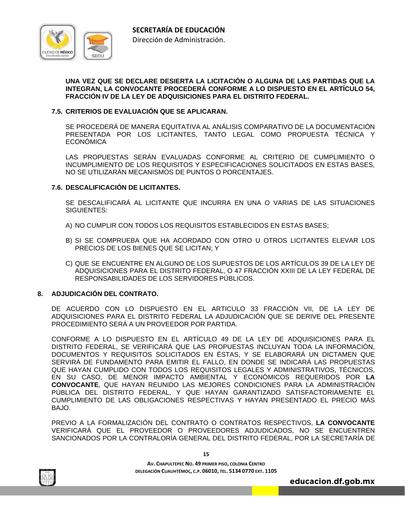

#### **UNA VEZ QUE SE DECLARE DESIERTA LA LICITACIÓN O ALGUNA DE LAS PARTIDAS QUE LA INTEGRAN, LA CONVOCANTE PROCEDERÁ CONFORME A LO DISPUESTO EN EL ARTÍCULO 54, FRACCIÓN IV DE LA LEY DE ADQUISICIONES PARA EL DISTRITO FEDERAL.**

# **7.5. CRITERIOS DE EVALUACIÓN QUE SE APLICARAN.**

 SE PROCEDERÁ DE MANERA EQUITATIVA AL ANÁLISIS COMPARATIVO DE LA DOCUMENTACIÓN PRESENTADA POR LOS LICITANTES, TANTO LEGAL COMO PROPUESTA TÉCNICA Y **ECONÓMICA** 

 LAS PROPUESTAS SERÁN EVALUADAS CONFORME AL CRITERIO DE CUMPLIMIENTO O INCUMPLIMIENTO DE LOS REQUISITOS Y ESPECIFICACIONES SOLICITADOS EN ESTAS BASES, NO SE UTILIZARÁN MECANISMOS DE PUNTOS O PORCENTAJES.

# **7.6. DESCALIFICACIÓN DE LICITANTES.**

 SE DESCALIFICARÁ AL LICITANTE QUE INCURRA EN UNA O VARIAS DE LAS SITUACIONES SIGUIENTES:

- A) NO CUMPLIR CON TODOS LOS REQUISITOS ESTABLECIDOS EN ESTAS BASES;
- B) SI SE COMPRUEBA QUE HA ACORDADO CON OTRO U OTROS LICITANTES ELEVAR LOS PRECIOS DE LOS BIENES QUE SE LICITAN; Y
- C) QUE SE ENCUENTRE EN ALGUNO DE LOS SUPUESTOS DE LOS ARTÍCULOS 39 DE LA LEY DE ADQUISICIONES PARA EL DISTRITO FEDERAL, O 47 FRACCIÓN XXIII DE LA LEY FEDERAL DE RESPONSABILIDADES DE LOS SERVIDORES PÚBLICOS.

### **8. ADJUDICACIÓN DEL CONTRATO.**

 DE ACUERDO CON LO DISPUESTO EN EL ARTICULO 33 FRACCIÓN VII, DE LA LEY DE ADQUISICIONES PARA EL DISTRITO FEDERAL LA ADJUDICACIÓN QUE SE DERIVE DEL PRESENTE PROCEDIMIENTO SERÁ A UN PROVEEDOR POR PARTIDA.

 CONFORME A LO DISPUESTO EN EL ARTÍCULO 49 DE LA LEY DE ADQUISICIONES PARA EL DISTRITO FEDERAL, SE VERIFICARÁ QUE LAS PROPUESTAS INCLUYAN TODA LA INFORMACIÓN, DOCUMENTOS Y REQUISITOS SOLICITADOS EN ÉSTAS, Y SE ELABORARÁ UN DICTAMEN QUE SERVIRÁ DE FUNDAMENTO PARA EMITIR EL FALLO, EN DONDE SE INDICARÁ LAS PROPUESTAS QUE HAYAN CUMPLIDO CON TODOS LOS REQUISITOS LEGALES Y ADMINISTRATIVOS, TÉCNICOS, EN SU CASO, DE MENOR IMPACTO AMBIENTAL Y ECONÓMICOS REQUERIDOS POR **LA CONVOCANTE**, QUE HAYAN REUNIDO LAS MEJORES CONDICIONES PARA LA ADMINISTRACIÓN PÚBLICA DEL DISTRITO FEDERAL, Y QUE HAYAN GARANTIZADO SATISFACTORIAMENTE EL CUMPLIMIENTO DE LAS OBLIGACIONES RESPECTIVAS Y HAYAN PRESENTADO EL PRECIO MÁS BAJO.

 PREVIO A LA FORMALIZACIÓN DEL CONTRATO O CONTRATOS RESPECTIVOS, **LA CONVOCANTE** VERIFICARÁ QUE EL PROVEEDOR O PROVEEDORES ADJUDICADOS, NO SE ENCUENTREN SANCIONADOS POR LA CONTRALORÍA GENERAL DEL DISTRITO FEDERAL, POR LA SECRETARÍA DE



**15**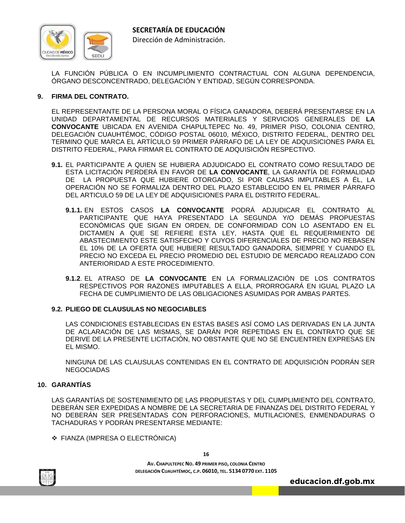

LA FUNCIÓN PÚBLICA O EN INCUMPLIMIENTO CONTRACTUAL CON ALGUNA DEPENDENCIA, ÓRGANO DESCONCENTRADO, DELEGACIÓN Y ENTIDAD, SEGÚN CORRESPONDA.

# **9. FIRMA DEL CONTRATO.**

 EL REPRESENTANTE DE LA PERSONA MORAL O FÍSICA GANADORA, DEBERÁ PRESENTARSE EN LA UNIDAD DEPARTAMENTAL DE RECURSOS MATERIALES Y SERVICIOS GENERALES DE **LA CONVOCANTE** UBICADA EN AVENIDA CHAPULTEPEC No. 49, PRIMER PISO, COLONIA CENTRO, DELEGACIÓN CUAUHTÉMOC, CÓDIGO POSTAL 06010, MÉXICO, DISTRITO FEDERAL, DENTRO DEL TERMINO QUE MARCA EL ARTÍCULO 59 PRIMER PÁRRAFO DE LA LEY DE ADQUISICIONES PARA EL DISTRITO FEDERAL, PARA FIRMAR EL CONTRATO DE ADQUISICIÓN RESPECTIVO.

- **9.1.** EL PARTICIPANTE A QUIEN SE HUBIERA ADJUDICADO EL CONTRATO COMO RESULTADO DE ESTA LICITACIÓN PERDERÁ EN FAVOR DE **LA CONVOCANTE**, LA GARANTÍA DE FORMALIDAD DE LA PROPUESTA QUE HUBIERE OTORGADO, SI POR CAUSAS IMPUTABLES A ÉL, LA OPERACIÓN NO SE FORMALIZA DENTRO DEL PLAZO ESTABLECIDO EN EL PRIMER PÁRRAFO DEL ARTICULO 59 DE LA LEY DE ADQUISICIONES PARA EL DISTRITO FEDERAL.
	- **9.1.1.** EN ESTOS CASOS **LA CONVOCANTE** PODRÁ ADJUDICAR EL CONTRATO AL PARTICIPANTE QUE HAYA PRESENTADO LA SEGUNDA Y/O DEMÁS PROPUESTAS ECONÓMICAS QUE SIGAN EN ORDEN, DE CONFORMIDAD CON LO ASENTADO EN EL DICTAMEN A QUE SE REFIERE ESTA LEY, HASTA QUE EL REQUERIMIENTO DE ABASTECIMIENTO ESTE SATISFECHO Y CUYOS DIFERENCIALES DE PRECIO NO REBASEN EL 10% DE LA OFERTA QUE HUBIERE RESULTADO GANADORA, SIEMPRE Y CUANDO EL PRECIO NO EXCEDA EL PRECIO PROMEDIO DEL ESTUDIO DE MERCADO REALIZADO CON ANTERIORIDAD A ESTE PROCEDIMIENTO.
	- **9.1.2**. EL ATRASO DE **LA CONVOCANTE** EN LA FORMALIZACIÓN DE LOS CONTRATOS RESPECTIVOS POR RAZONES IMPUTABLES A ELLA, PRORROGARÁ EN IGUAL PLAZO LA FECHA DE CUMPLIMIENTO DE LAS OBLIGACIONES ASUMIDAS POR AMBAS PARTES.

# **9.2. PLIEGO DE CLAUSULAS NO NEGOCIABLES**

 LAS CONDICIONES ESTABLECIDAS EN ESTAS BASES ASÍ COMO LAS DERIVADAS EN LA JUNTA DE ACLARACIÓN DE LAS MISMAS, SE DARÁN POR REPETIDAS EN EL CONTRATO QUE SE DERIVE DE LA PRESENTE LICITACIÓN, NO OBSTANTE QUE NO SE ENCUENTREN EXPRESAS EN EL MISMO.

 NINGUNA DE LAS CLAUSULAS CONTENIDAS EN EL CONTRATO DE ADQUISICIÓN PODRÁN SER NEGOCIADAS

# **10. GARANTÍAS**

LAS GARANTÍAS DE SOSTENIMIENTO DE LAS PROPUESTAS Y DEL CUMPLIMIENTO DEL CONTRATO, DEBERÁN SER EXPEDIDAS A NOMBRE DE LA SECRETARIA DE FINANZAS DEL DISTRITO FEDERAL Y NO DEBERÁN SER PRESENTADAS CON PERFORACIONES, MUTILACIONES, ENMENDADURAS O TACHADURAS Y PODRÁN PRESENTARSE MEDIANTE:

FIANZA (IMPRESA O ELECTRÓNICA)



**16**

**AV. CHAPULTEPEC NO. 49 PRIMER PISO, COLONIA CENTRO DELEGACIÓN CUAUHTÉMOC, C.P. 06010, TEL. 5134 0770 EXT. 1105**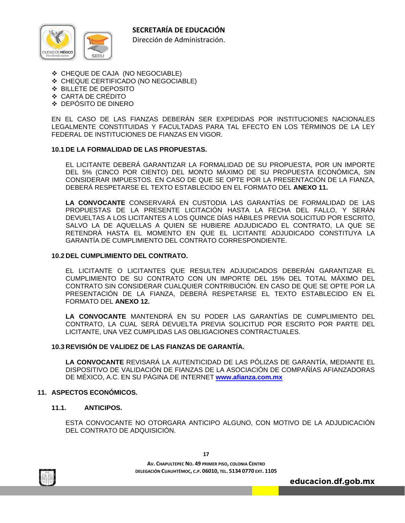

- CHEQUE DE CAJA (NO NEGOCIABLE)
- CHEQUE CERTIFICADO (NO NEGOCIABLE)
- BILLETE DE DEPOSITO
- CARTA DE CRÉDITO
- DEPÓSITO DE DINERO

 EN EL CASO DE LAS FIANZAS DEBERÁN SER EXPEDIDAS POR INSTITUCIONES NACIONALES LEGALMENTE CONSTITUIDAS Y FACULTADAS PARA TAL EFECTO EN LOS TÉRMINOS DE LA LEY FEDERAL DE INSTITUCIONES DE FIANZAS EN VIGOR.

# **10.1 DE LA FORMALIDAD DE LAS PROPUESTAS.**

 EL LICITANTE DEBERÁ GARANTIZAR LA FORMALIDAD DE SU PROPUESTA, POR UN IMPORTE DEL 5% (CINCO POR CIENTO) DEL MONTO MÁXIMO DE SU PROPUESTA ECONÓMICA, SIN CONSIDERAR IMPUESTOS. EN CASO DE QUE SE OPTE POR LA PRESENTACIÓN DE LA FIANZA, DEBERÁ RESPETARSE EL TEXTO ESTABLECIDO EN EL FORMATO DEL **ANEXO 11.**

**LA CONVOCANTE** CONSERVARÁ EN CUSTODIA LAS GARANTÍAS DE FORMALIDAD DE LAS PROPUESTAS DE LA PRESENTE LICITACIÓN HASTA LA FECHA DEL FALLO, Y SERÁN DEVUELTAS A LOS LICITANTES A LOS QUINCE DÍAS HÁBILES PREVIA SOLICITUD POR ESCRITO, SALVO LA DE AQUELLAS A QUIEN SE HUBIERE ADJUDICADO EL CONTRATO, LA QUE SE RETENDRÁ HASTA EL MOMENTO EN QUE EL LICITANTE ADJUDICADO CONSTITUYA LA GARANTÍA DE CUMPLIMIENTO DEL CONTRATO CORRESPONDIENTE.

#### **10.2 DEL CUMPLIMIENTO DEL CONTRATO.**

 EL LICITANTE O LICITANTES QUE RESULTEN ADJUDICADOS DEBERÁN GARANTIZAR EL CUMPLIMIENTO DE SU CONTRATO CON UN IMPORTE DEL 15% DEL TOTAL MÁXIMO DEL CONTRATO SIN CONSIDERAR CUALQUIER CONTRIBUCIÓN. EN CASO DE QUE SE OPTE POR LA PRESENTACIÓN DE LA FIANZA, DEBERÁ RESPETARSE EL TEXTO ESTABLECIDO EN EL FORMATO DEL **ANEXO 12.**

**LA CONVOCANTE** MANTENDRÁ EN SU PODER LAS GARANTÍAS DE CUMPLIMIENTO DEL CONTRATO, LA CUAL SERÁ DEVUELTA PREVIA SOLICITUD POR ESCRITO POR PARTE DEL LICITANTE, UNA VEZ CUMPLIDAS LAS OBLIGACIONES CONTRACTUALES.

#### **10.3 REVISIÓN DE VALIDEZ DE LAS FIANZAS DE GARANTÍA.**

**LA CONVOCANTE** REVISARÁ LA AUTENTICIDAD DE LAS PÓLIZAS DE GARANTÍA, MEDIANTE EL DISPOSITIVO DE VALIDACIÓN DE FIANZAS DE LA ASOCIACIÓN DE COMPAÑÍAS AFIANZADORAS DE MÉXICO, A.C. EN SU PÁGINA DE INTERNET **www.afianza.com.mx**

#### **11. ASPECTOS ECONÓMICOS.**

**11.1. ANTICIPOS.** 

 ESTA CONVOCANTE NO OTORGARA ANTICIPO ALGUNO, CON MOTIVO DE LA ADJUDICACIÓN DEL CONTRATO DE ADQUISICIÓN.



**17**

**AV. CHAPULTEPEC NO. 49 PRIMER PISO, COLONIA CENTRO DELEGACIÓN CUAUHTÉMOC, C.P. 06010, TEL. 5134 0770 EXT. 1105**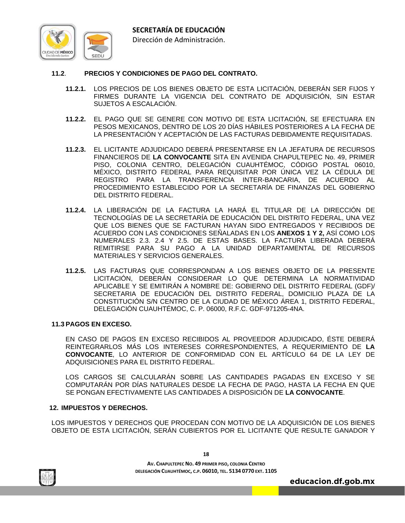

# **11.2**. **PRECIOS Y CONDICIONES DE PAGO DEL CONTRATO.**

- **11.2.1.** LOS PRECIOS DE LOS BIENES OBJETO DE ESTA LICITACIÓN, DEBERÁN SER FIJOS Y FIRMES DURANTE LA VIGENCIA DEL CONTRATO DE ADQUISICIÓN, SIN ESTAR SUJETOS A ESCALACIÓN.
- **11.2.2.** EL PAGO QUE SE GENERE CON MOTIVO DE ESTA LICITACIÓN, SE EFECTUARA EN PESOS MEXICANOS, DENTRO DE LOS 20 DÍAS HÁBILES POSTERIORES A LA FECHA DE LA PRESENTACIÓN Y ACEPTACIÓN DE LAS FACTURAS DEBIDAMENTE REQUISITADAS.
- **11.2.3.** EL LICITANTE ADJUDICADO DEBERÁ PRESENTARSE EN LA JEFATURA DE RECURSOS FINANCIEROS DE **LA CONVOCANTE** SITA EN AVENIDA CHAPULTEPEC No. 49, PRIMER PISO, COLONIA CENTRO, DELEGACIÓN CUAUHTÉMOC, CÓDIGO POSTAL 06010, MÉXICO, DISTRITO FEDERAL PARA REQUISITAR POR ÚNICA VEZ LA CÉDULA DE REGISTRO PARA LA TRANSFERENCIA INTER-BANCARIA, DE ACUERDO AL PROCEDIMIENTO ESTABLECIDO POR LA SECRETARÍA DE FINANZAS DEL GOBIERNO DEL DISTRITO FEDERAL.
- **11.2.4.** LA LIBERACIÓN DE LA FACTURA LA HARÁ EL TITULAR DE LA DIRECCIÓN DE TECNOLOGÍAS DE LA SECRETARÍA DE EDUCACIÓN DEL DISTRITO FEDERAL, UNA VEZ QUE LOS BIENES QUE SE FACTURAN HAYAN SIDO ENTREGADOS Y RECIBIDOS DE ACUERDO CON LAS CONDICIONES SEÑALADAS EN LOS **ANEXOS 1 Y 2,** ASÍ COMO LOS NUMERALES 2.3. 2.4 Y 2.5. DE ESTAS BASES. LA FACTURA LIBERADA DEBERÁ REMITIRSE PARA SU PAGO A LA UNIDAD DEPARTAMENTAL DE RECURSOS MATERIALES Y SERVICIOS GENERALES.
- **11.2.5.** LAS FACTURAS QUE CORRESPONDAN A LOS BIENES OBJETO DE LA PRESENTE LICITACIÓN, DEBERÁN CONSIDERAR LO QUE DETERMINA LA NORMATIVIDAD APLICABLE Y SE EMITIRÁN A NOMBRE DE: GOBIERNO DEL DISTRITO FEDERAL (GDF)/ SECRETARIA DE EDUCACIÓN DEL DISTRITO FEDERAL, DOMICILIO PLAZA DE LA CONSTITUCIÓN S/N CENTRO DE LA CIUDAD DE MÉXICO ÁREA 1, DISTRITO FEDERAL, DELEGACIÓN CUAUHTÉMOC, C. P. 06000, R.F.C. GDF-971205-4NA.

#### **11.3 PAGOS EN EXCESO.**

 EN CASO DE PAGOS EN EXCESO RECIBIDOS AL PROVEEDOR ADJUDICADO, ÉSTE DEBERÁ REINTEGRARLOS MÁS LOS INTERESES CORRESPONDIENTES, A REQUERIMIENTO DE **LA CONVOCANTE**, LO ANTERIOR DE CONFORMIDAD CON EL ARTÍCULO 64 DE LA LEY DE ADQUISICIONES PARA EL DISTRITO FEDERAL.

 LOS CARGOS SE CALCULARÁN SOBRE LAS CANTIDADES PAGADAS EN EXCESO Y SE COMPUTARÁN POR DÍAS NATURALES DESDE LA FECHA DE PAGO, HASTA LA FECHA EN QUE SE PONGAN EFECTIVAMENTE LAS CANTIDADES A DISPOSICIÓN DE **LA CONVOCANTE**.

# **12. IMPUESTOS Y DERECHOS.**

LOS IMPUESTOS Y DERECHOS QUE PROCEDAN CON MOTIVO DE LA ADQUISICIÓN DE LOS BIENES OBJETO DE ESTA LICITACIÓN, SERÁN CUBIERTOS POR EL LICITANTE QUE RESULTE GANADOR Y

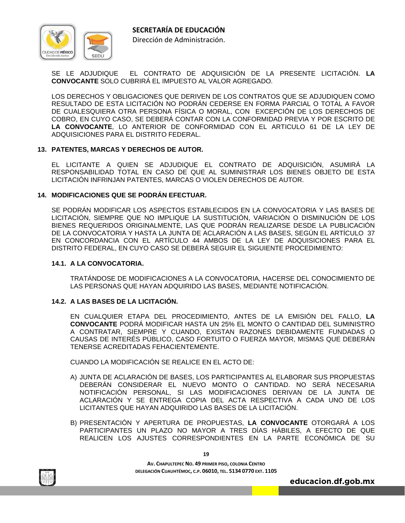

SE LE ADJUDIQUE EL CONTRATO DE ADQUISICIÓN DE LA PRESENTE LICITACIÓN. **LA CONVOCANTE** SOLO CUBRIRÁ EL IMPUESTO AL VALOR AGREGADO.

LOS DERECHOS Y OBLIGACIONES QUE DERIVEN DE LOS CONTRATOS QUE SE ADJUDIQUEN COMO RESULTADO DE ESTA LICITACIÓN NO PODRÁN CEDERSE EN FORMA PARCIAL O TOTAL A FAVOR DE CUALESQUIERA OTRA PERSONA FÍSICA O MORAL, CON EXCEPCIÓN DE LOS DERECHOS DE COBRO, EN CUYO CASO, SE DEBERÁ CONTAR CON LA CONFORMIDAD PREVIA Y POR ESCRITO DE **LA CONVOCANTE**, LO ANTERIOR DE CONFORMIDAD CON EL ARTICULO 61 DE LA LEY DE ADQUISICIONES PARA EL DISTRITO FEDERAL.

#### **13. PATENTES, MARCAS Y DERECHOS DE AUTOR.**

EL LICITANTE A QUIEN SE ADJUDIQUE EL CONTRATO DE ADQUISICIÓN, ASUMIRÁ LA RESPONSABILIDAD TOTAL EN CASO DE QUE AL SUMINISTRAR LOS BIENES OBJETO DE ESTA LICITACIÓN INFRINJAN PATENTES, MARCAS O VIOLEN DERECHOS DE AUTOR.

#### **14. MODIFICACIONES QUE SE PODRÁN EFECTUAR.**

SE PODRÁN MODIFICAR LOS ASPECTOS ESTABLECIDOS EN LA CONVOCATORIA Y LAS BASES DE LICITACIÓN, SIEMPRE QUE NO IMPLIQUE LA SUSTITUCIÓN, VARIACIÓN O DISMINUCIÓN DE LOS BIENES REQUERIDOS ORIGINALMENTE, LAS QUE PODRÁN REALIZARSE DESDE LA PUBLICACIÓN DE LA CONVOCATORIA Y HASTA LA JUNTA DE ACLARACIÓN A LAS BASES, SEGÚN EL ARTÍCULO 37 EN CONCORDANCIA CON EL ARTÍCULO 44 AMBOS DE LA LEY DE ADQUISICIONES PARA EL DISTRITO FEDERAL, EN CUYO CASO SE DEBERÁ SEGUIR EL SIGUIENTE PROCEDIMIENTO:

#### **14.1. A LA CONVOCATORIA.**

 TRATÁNDOSE DE MODIFICACIONES A LA CONVOCATORIA, HACERSE DEL CONOCIMIENTO DE LAS PERSONAS QUE HAYAN ADQUIRIDO LAS BASES, MEDIANTE NOTIFICACIÓN.

#### **14.2. A LAS BASES DE LA LICITACIÓN.**

EN CUALQUIER ETAPA DEL PROCEDIMIENTO, ANTES DE LA EMISIÓN DEL FALLO, **LA CONVOCANTE** PODRÁ MODIFICAR HASTA UN 25% EL MONTO O CANTIDAD DEL SUMINISTRO A CONTRATAR, SIEMPRE Y CUANDO, EXISTAN RAZONES DEBIDAMENTE FUNDADAS O CAUSAS DE INTERÉS PÚBLICO, CASO FORTUITO O FUERZA MAYOR, MISMAS QUE DEBERÁN TENERSE ACREDITADAS FEHACIENTEMENTE.

CUANDO LA MODIFICACIÓN SE REALICE EN EL ACTO DE:

- A) JUNTA DE ACLARACIÓN DE BASES, LOS PARTICIPANTES AL ELABORAR SUS PROPUESTAS DEBERÁN CONSIDERAR EL NUEVO MONTO O CANTIDAD. NO SERÁ NECESARIA NOTIFICACIÓN PERSONAL, SI LAS MODIFICACIONES DERIVAN DE LA JUNTA DE ACLARACIÓN Y SE ENTREGA COPIA DEL ACTA RESPECTIVA A CADA UNO DE LOS LICITANTES QUE HAYAN ADQUIRIDO LAS BASES DE LA LICITACIÓN.
- B) PRESENTACIÓN Y APERTURA DE PROPUESTAS, **LA CONVOCANTE** OTORGARÁ A LOS PARTICIPANTES UN PLAZO NO MAYOR A TRES DÍAS HÁBILES, A EFECTO DE QUE REALICEN LOS AJUSTES CORRESPONDIENTES EN LA PARTE ECONÓMICA DE SU



**19**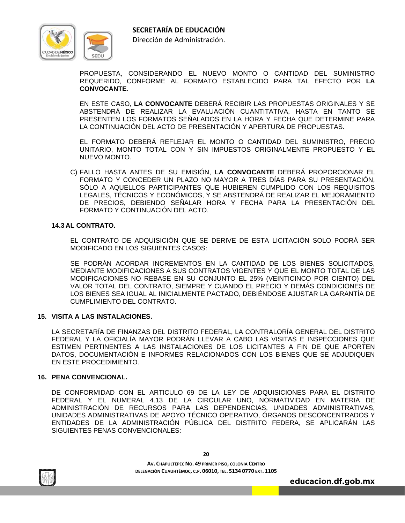



Dirección de Administración.

PROPUESTA, CONSIDERANDO EL NUEVO MONTO O CANTIDAD DEL SUMINISTRO REQUERIDO, CONFORME AL FORMATO ESTABLECIDO PARA TAL EFECTO POR **LA CONVOCANTE**.

 EN ESTE CASO, **LA CONVOCANTE** DEBERÁ RECIBIR LAS PROPUESTAS ORIGINALES Y SE ABSTENDRÁ DE REALIZAR LA EVALUACIÓN CUANTITATIVA, HASTA EN TANTO SE PRESENTEN LOS FORMATOS SEÑALADOS EN LA HORA Y FECHA QUE DETERMINE PARA LA CONTINUACIÓN DEL ACTO DE PRESENTACIÓN Y APERTURA DE PROPUESTAS.

 EL FORMATO DEBERÁ REFLEJAR EL MONTO O CANTIDAD DEL SUMINISTRO, PRECIO UNITARIO, MONTO TOTAL CON Y SIN IMPUESTOS ORIGINALMENTE PROPUESTO Y EL NUEVO MONTO.

C) FALLO HASTA ANTES DE SU EMISIÓN, **LA CONVOCANTE** DEBERÁ PROPORCIONAR EL FORMATO Y CONCEDER UN PLAZO NO MAYOR A TRES DÍAS PARA SU PRESENTACIÓN, SÓLO A AQUELLOS PARTICIPANTES QUE HUBIEREN CUMPLIDO CON LOS REQUISITOS LEGALES, TÉCNICOS Y ECONÓMICOS, Y SE ABSTENDRÁ DE REALIZAR EL MEJORAMIENTO DE PRECIOS, DEBIENDO SEÑALAR HORA Y FECHA PARA LA PRESENTACIÓN DEL FORMATO Y CONTINUACIÓN DEL ACTO.

#### **14.3 AL CONTRATO.**

 EL CONTRATO DE ADQUISICIÓN QUE SE DERIVE DE ESTA LICITACIÓN SOLO PODRÁ SER MODIFICADO EN LOS SIGUIENTES CASOS:

 SE PODRÁN ACORDAR INCREMENTOS EN LA CANTIDAD DE LOS BIENES SOLICITADOS, MEDIANTE MODIFICACIONES A SUS CONTRATOS VIGENTES Y QUE EL MONTO TOTAL DE LAS MODIFICACIONES NO REBASE EN SU CONJUNTO EL 25% (VEINTICINCO POR CIENTO) DEL VALOR TOTAL DEL CONTRATO, SIEMPRE Y CUANDO EL PRECIO Y DEMÁS CONDICIONES DE LOS BIENES SEA IGUAL AL INICIALMENTE PACTADO, DEBIÉNDOSE AJUSTAR LA GARANTÍA DE CUMPLIMIENTO DEL CONTRATO.

#### **15. VISITA A LAS INSTALACIONES.**

LA SECRETARÍA DE FINANZAS DEL DISTRITO FEDERAL, LA CONTRALORÍA GENERAL DEL DISTRITO FEDERAL Y LA OFICIALÍA MAYOR PODRÁN LLEVAR A CABO LAS VISITAS E INSPECCIONES QUE ESTIMEN PERTINENTES A LAS INSTALACIONES DE LOS LICITANTES A FIN DE QUE APORTEN DATOS, DOCUMENTACIÓN E INFORMES RELACIONADOS CON LOS BIENES QUE SE ADJUDIQUEN EN ESTE PROCEDIMIENTO.

#### **16. PENA CONVENCIONAL.**

DE CONFORMIDAD CON EL ARTICULO 69 DE LA LEY DE ADQUISICIONES PARA EL DISTRITO FEDERAL Y EL NUMERAL 4.13 DE LA CIRCULAR UNO, NORMATIVIDAD EN MATERIA DE ADMINISTRACIÓN DE RECURSOS PARA LAS DEPENDENCIAS, UNIDADES ADMINISTRATIVAS, UNIDADES ADMINISTRATIVAS DE APOYO TÉCNICO OPERATIVO, ÓRGANOS DESCONCENTRADOS Y ENTIDADES DE LA ADMINISTRACIÓN PÚBLICA DEL DISTRITO FEDERA, SE APLICARÁN LAS SIGUIENTES PENAS CONVENCIONALES:

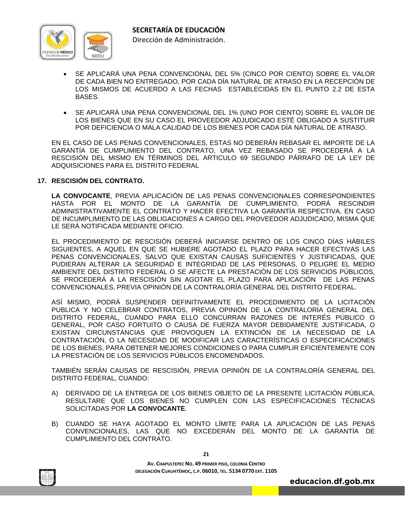

- SE APLICARÁ UNA PENA CONVENCIONAL DEL 5% (CINCO POR CIENTO) SOBRE EL VALOR DE CADA BIEN NO ENTREGADO, POR CADA DÍA NATURAL DE ATRASO EN LA RECEPCIÓN DE LOS MISMOS DE ACUERDO A LAS FECHAS ESTABLECIDAS EN EL PUNTO 2.2 DE ESTA BASES.
- SE APLICARÁ UNA PENA CONVENCIONAL DEL 1% (UNO POR CIENTO) SOBRE EL VALOR DE LOS BIENES QUE EN SU CASO EL PROVEEDOR ADJUDICADO ESTÉ OBLIGADO A SUSTITUIR POR DEFICIENCIA O MALA CALIDAD DE LOS BIENES POR CADA DÍA NATURAL DE ATRASO.

EN EL CASO DE LAS PENAS CONVENCIONALES, ESTAS NO DEBERÁN REBASAR EL IMPORTE DE LA GARANTÍA DE CUMPLIMIENTO DEL CONTRATO, UNA VEZ REBASADO SE PROCEDERÁ A LA RESCISIÓN DEL MISMO EN TÉRMINOS DEL ARTICULO 69 SEGUNDO PÁRRAFO DE LA LEY DE ADQUISICIONES PARA EL DISTRITO FEDERAL

#### **17. RESCISIÓN DEL CONTRATO.**

**LA CONVOCANTE**, PREVIA APLICACIÓN DE LAS PENAS CONVENCIONALES CORRESPONDIENTES HASTA POR EL MONTO DE LA GARANTÍA DE CUMPLIMIENTO, PODRÁ RESCINDIR ADMINISTRATIVAMENTE EL CONTRATO Y HACER EFECTIVA LA GARANTÍA RESPECTIVA, EN CASO DE INCUMPLIMIENTO DE LAS OBLIGACIONES A CARGO DEL PROVEEDOR ADJUDICADO, MISMA QUE LE SERÁ NOTIFICADA MEDIANTE OFICIO.

EL PROCEDIMIENTO DE RESCISIÓN DEBERÁ INICIARSE DENTRO DE LOS CINCO DÍAS HÁBILES SIGUIENTES, A AQUEL EN QUE SE HUBIERE AGOTADO EL PLAZO PARA HACER EFECTIVAS LAS PENAS CONVENCIONALES, SALVO QUE EXISTAN CAUSAS SUFICIENTES Y JUSTIFICADAS, QUE PUDIERAN ALTERAR LA SEGURIDAD E INTEGRIDAD DE LAS PERSONAS, O PELIGRE EL MEDIO AMBIENTE DEL DISTRITO FEDERAL O SE AFECTE LA PRESTACIÓN DE LOS SERVICIOS PÚBLICOS, SE PROCEDERÁ A LA RESCISIÓN SIN AGOTAR EL PLAZO PARA APLICACIÓN DE LAS PENAS CONVENCIONALES, PREVIA OPINIÓN DE LA CONTRALORÍA GENERAL DEL DISTRITO FEDERAL.

ASÍ MISMO, PODRÁ SUSPENDER DEFINITIVAMENTE EL PROCEDIMIENTO DE LA LICITACIÓN PUBLICA Y NO CELEBRAR CONTRATOS, PREVIA OPINIÓN DE LA CONTRALORÍA GENERAL DEL DISTRITO FEDERAL, CUANDO PARA ELLO CONCURRAN RAZONES DE INTERÉS PÚBLICO O GENERAL, POR CASO FORTUITO O CAUSA DE FUERZA MAYOR DEBIDAMENTE JUSTIFICADA, O EXISTAN CIRCUNSTANCIAS QUE PROVOQUEN LA EXTINCIÓN DE LA NECESIDAD DE LA CONTRATACIÓN, O LA NECESIDAD DE MODIFICAR LAS CARACTERÍSTICAS O ESPECIFICACIONES DE LOS BIENES, PARA OBTENER MEJORES CONDICIONES O PARA CUMPLIR EFICIENTEMENTE CON LA PRESTACIÓN DE LOS SERVICIOS PÚBLICOS ENCOMENDADOS.

TAMBIÉN SERÁN CAUSAS DE RESCISIÓN, PREVIA OPINIÓN DE LA CONTRALORÍA GENERAL DEL DISTRITO FEDERAL, CUANDO:

- A) DERIVADO DE LA ENTREGA DE LOS BIENES OBJETO DE LA PRESENTE LICITACIÓN PÚBLICA, RESULTARE QUE LOS BIENES NO CUMPLEN CON LAS ESPECIFICACIONES TÉCNICAS SOLICITADAS POR **LA CONVOCANTE**.
- B) CUANDO SE HAYA AGOTADO EL MONTO LÍMITE PARA LA APLICACIÓN DE LAS PENAS CONVENCIONALES, LAS QUE NO EXCEDERÁN DEL MONTO DE LA GARANTÍA DE CUMPLIMIENTO DEL CONTRATO.

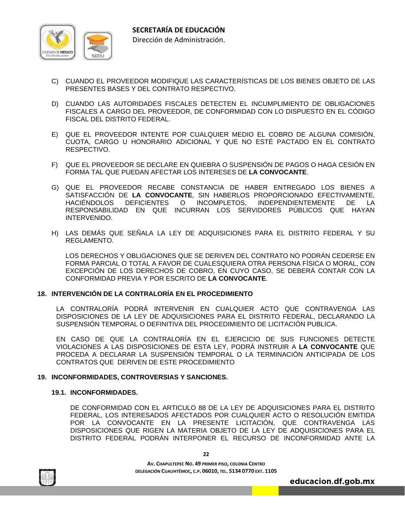

- C) CUANDO EL PROVEEDOR MODIFIQUE LAS CARACTERÍSTICAS DE LOS BIENES OBJETO DE LAS PRESENTES BASES Y DEL CONTRATO RESPECTIVO.
- D) CUANDO LAS AUTORIDADES FISCALES DETECTEN EL INCUMPLIMIENTO DE OBLIGACIONES FISCALES A CARGO DEL PROVEEDOR, DE CONFORMIDAD CON LO DISPUESTO EN EL CÓDIGO FISCAL DEL DISTRITO FEDERAL.
- E) QUE EL PROVEEDOR INTENTE POR CUALQUIER MEDIO EL COBRO DE ALGUNA COMISIÓN, CUOTA, CARGO U HONORARIO ADICIONAL Y QUE NO ESTÉ PACTADO EN EL CONTRATO RESPECTIVO.
- F) QUE EL PROVEEDOR SE DECLARE EN QUIEBRA O SUSPENSIÓN DE PAGOS O HAGA CESIÓN EN FORMA TAL QUE PUEDAN AFECTAR LOS INTERESES DE **LA CONVOCANTE**.
- G) QUE EL PROVEEDOR RECABE CONSTANCIA DE HABER ENTREGADO LOS BIENES A SATISFACCIÓN DE **LA CONVOCANTE**, SIN HABERLOS PROPORCIONADO EFECTIVAMENTE, HACIÉNDOLOS DEFICIENTES O INCOMPLETOS, INDEPENDIENTEMENTE DE LA RESPONSABILIDAD EN QUE INCURRAN LOS SERVIDORES PÚBLICOS QUE HAYAN INTERVENIDO.
- H) LAS DEMÁS QUE SEÑALA LA LEY DE ADQUISICIONES PARA EL DISTRITO FEDERAL Y SU REGLAMENTO.

 LOS DERECHOS Y OBLIGACIONES QUE SE DERIVEN DEL CONTRATO NO PODRÁN CEDERSE EN FORMA PARCIAL O TOTAL A FAVOR DE CUALESQUIERA OTRA PERSONA FÍSICA O MORAL, CON EXCEPCIÓN DE LOS DERECHOS DE COBRO, EN CUYO CASO, SE DEBERÁ CONTAR CON LA CONFORMIDAD PREVIA Y POR ESCRITO DE **LA CONVOCANTE**.

### **18. INTERVENCIÓN DE LA CONTRALORÍA EN EL PROCEDIMIENTO**

 LA CONTRALORÍA PODRÁ INTERVENIR EN CUALQUIER ACTO QUE CONTRAVENGA LAS DISPOSICIONES DE LA LEY DE ADQUISICIONES PARA EL DISTRITO FEDERAL, DECLARANDO LA SUSPENSIÓN TEMPORAL O DEFINITIVA DEL PROCEDIMIENTO DE LICITACIÓN PUBLICA.

 EN CASO DE QUE LA CONTRALORÍA EN EL EJERCICIO DE SUS FUNCIONES DETECTE VIOLACIONES A LAS DISPOSICIONES DE ESTA LEY, PODRÁ INSTRUIR A **LA CONVOCANTE** QUE PROCEDA A DECLARAR LA SUSPENSIÓN TEMPORAL O LA TERMINACIÓN ANTICIPADA DE LOS CONTRATOS QUE DERIVEN DE ESTE PROCEDIMIENTO

#### **19. INCONFORMIDADES, CONTROVERSIAS Y SANCIONES.**

#### **19.1. INCONFORMIDADES.**

DE CONFORMIDAD CON EL ARTICULO 88 DE LA LEY DE ADQUISICIONES PARA EL DISTRITO FEDERAL, LOS INTERESADOS AFECTADOS POR CUALQUIER ACTO O RESOLUCIÓN EMITIDA POR LA CONVOCANTE EN LA PRESENTE LICITACIÓN, QUE CONTRAVENGA LAS DISPOSICIONES QUE RIGEN LA MATERIA OBJETO DE LA LEY DE ADQUISICIONES PARA EL DISTRITO FEDERAL PODRÁN INTERPONER EL RECURSO DE INCONFORMIDAD ANTE LA



**22**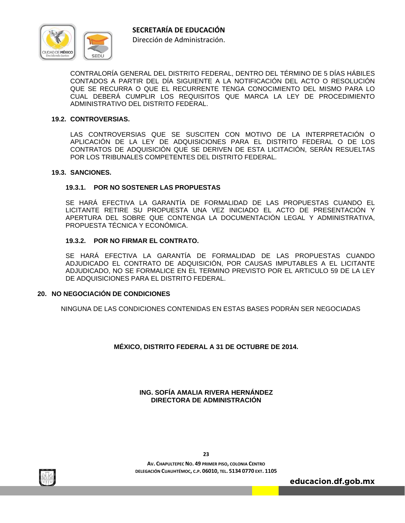

CONTRALORÍA GENERAL DEL DISTRITO FEDERAL, DENTRO DEL TÉRMINO DE 5 DÍAS HÁBILES CONTADOS A PARTIR DEL DÍA SIGUIENTE A LA NOTIFICACIÓN DEL ACTO O RESOLUCIÓN QUE SE RECURRA O QUE EL RECURRENTE TENGA CONOCIMIENTO DEL MISMO PARA LO CUAL DEBERÁ CUMPLIR LOS REQUISITOS QUE MARCA LA LEY DE PROCEDIMIENTO ADMINISTRATIVO DEL DISTRITO FEDERAL.

### **19.2. CONTROVERSIAS.**

 LAS CONTROVERSIAS QUE SE SUSCITEN CON MOTIVO DE LA INTERPRETACIÓN O APLICACIÓN DE LA LEY DE ADQUISICIONES PARA EL DISTRITO FEDERAL O DE LOS CONTRATOS DE ADQUISICIÓN QUE SE DERIVEN DE ESTA LICITACIÓN, SERÁN RESUELTAS POR LOS TRIBUNALES COMPETENTES DEL DISTRITO FEDERAL.

#### **19.3. SANCIONES.**

#### **19.3.1. POR NO SOSTENER LAS PROPUESTAS**

 SE HARÁ EFECTIVA LA GARANTÍA DE FORMALIDAD DE LAS PROPUESTAS CUANDO EL LICITANTE RETIRE SU PROPUESTA UNA VEZ INICIADO EL ACTO DE PRESENTACIÓN Y APERTURA DEL SOBRE QUE CONTENGA LA DOCUMENTACIÓN LEGAL Y ADMINISTRATIVA, PROPUESTA TÉCNICA Y ECONÓMICA.

#### **19.3.2. POR NO FIRMAR EL CONTRATO.**

 SE HARÁ EFECTIVA LA GARANTÍA DE FORMALIDAD DE LAS PROPUESTAS CUANDO ADJUDICADO EL CONTRATO DE ADQUISICIÓN, POR CAUSAS IMPUTABLES A EL LICITANTE ADJUDICADO, NO SE FORMALICE EN EL TERMINO PREVISTO POR EL ARTICULO 59 DE LA LEY DE ADQUISICIONES PARA EL DISTRITO FEDERAL.

### **20. NO NEGOCIACIÓN DE CONDICIONES**

NINGUNA DE LAS CONDICIONES CONTENIDAS EN ESTAS BASES PODRÁN SER NEGOCIADAS

# **MÉXICO, DISTRITO FEDERAL A 31 DE OCTUBRE DE 2014.**

# **ING. SOFÍA AMALIA RIVERA HERNÁNDEZ DIRECTORA DE ADMINISTRACIÓN**



**AV. CHAPULTEPEC NO. 49 PRIMER PISO, COLONIA CENTRO DELEGACIÓN CUAUHTÉMOC, C.P. 06010, TEL. 5134 0770 EXT. 1105**

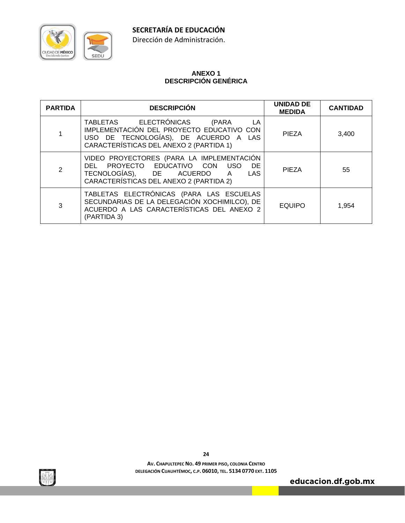

# CIUDAD DE MÉXICO **SEDL**

# **ANEXO 1 DESCRIPCIÓN GENÉRICA**

| <b>PARTIDA</b> | <b>DESCRIPCIÓN</b>                                                                                                                                                          | <b>UNIDAD DE</b><br><b>MEDIDA</b> | <b>CANTIDAD</b> |
|----------------|-----------------------------------------------------------------------------------------------------------------------------------------------------------------------------|-----------------------------------|-----------------|
|                | TABLETAS ELECTRÓNICAS<br>(PARA<br>- LA<br>IMPLEMENTACIÓN DEL PROYECTO EDUCATIVO CON<br>USO DE TECNOLOGÍAS), DE ACUERDO A LAS<br>CARACTERÍSTICAS DEL ANEXO 2 (PARTIDA 1)     | <b>PIEZA</b>                      | 3,400           |
| $\overline{2}$ | VIDEO PROYECTORES (PARA LA IMPLEMENTACIÓN<br>DEL PROYECTO EDUCATIVO CON<br>USO<br>DE<br>TECNOLOGÍAS), DE ACUERDO A<br><b>LAS</b><br>CARACTERÍSTICAS DEL ANEXO 2 (PARTIDA 2) | <b>PIEZA</b>                      | 55              |
| 3              | TABLETAS ELECTRÓNICAS (PARA LAS ESCUELAS<br>SECUNDARIAS DE LA DELEGACIÓN XOCHIMILCO), DE<br>ACUERDO A LAS CARACTERÍSTICAS DEL ANEXO 2<br>(PARTIDA 3)                        | <b>EQUIPO</b>                     | 1,954           |

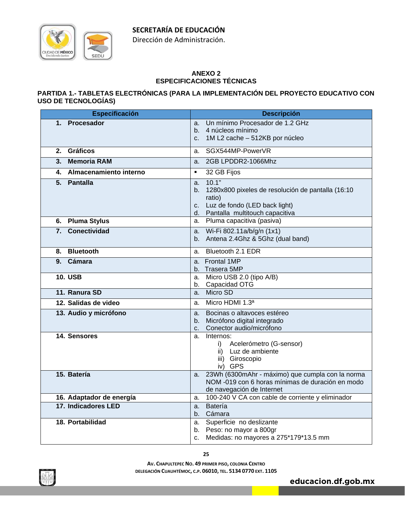

Dirección de Administración.

# **ANEXO 2 ESPECIFICACIONES TÉCNICAS**

# **PARTIDA 1.- TABLETAS ELECTRÓNICAS (PARA LA IMPLEMENTACIÓN DEL PROYECTO EDUCATIVO CON USO DE TECNOLOGÍAS)**

| <b>Especificación</b>     | <b>Descripción</b>                                                       |
|---------------------------|--------------------------------------------------------------------------|
| 1. Procesador             | Un mínimo Procesador de 1.2 GHz<br>a.                                    |
|                           | b. 4 núcleos mínimo                                                      |
|                           | 1M L2 cache - 512KB por núcleo<br>C.                                     |
| <b>Gráficos</b><br>2.     | SGX544MP-PowerVR<br>а.                                                   |
| <b>Memoria RAM</b><br>3.  | 2GB LPDDR2-1066Mhz<br>a.                                                 |
| 4. Almacenamiento interno | 32 GB Fijos<br>$\blacksquare$                                            |
| 5. Pantalla               | 10.1"<br>a.                                                              |
|                           | 1280x800 pixeles de resolución de pantalla (16:10<br>b.                  |
|                           | ratio)                                                                   |
|                           | Luz de fondo (LED back light)<br>c.<br>d. Pantalla multitouch capacitiva |
| 6. Pluma Stylus           | a. Pluma capacitiva (pasiva)                                             |
| 7. Conectividad           | a. Wi-Fi 802.11a/b/g/n (1x1)                                             |
|                           | b. Antena 2.4Ghz & 5Ghz (dual band)                                      |
|                           |                                                                          |
| 8. Bluetooth              | Bluetooth 2.1 EDR<br>a.                                                  |
| 9. Cámara                 | <b>Frontal 1MP</b><br>a.                                                 |
| <b>10. USB</b>            | b. Trasera 5MP                                                           |
|                           | Micro USB 2.0 (tipo A/B)<br>а.<br>Capacidad OTG<br>b.                    |
| 11. Ranura SD             | Micro SD<br>a.                                                           |
| 12. Salidas de video      | Micro HDMI 1.3ª<br>a.                                                    |
| 13. Audio y micrófono     | Bocinas o altavoces estéreo<br>a.                                        |
|                           | Micrófono digital integrado<br>b.                                        |
|                           | Conector audio/micrófono<br>C.                                           |
| 14. Sensores              | Internos:<br>a.                                                          |
|                           | Acelerómetro (G-sensor)<br>i)                                            |
|                           | ii) Luz de ambiente<br>iii) Giroscopio                                   |
|                           | iv) GPS                                                                  |
| 15. Batería               | 23Wh (6300mAhr - máximo) que cumpla con la norma<br>а.                   |
|                           | NOM -019 con 6 horas mínimas de duración en modo                         |
|                           | de navegación de Internet                                                |
| 16. Adaptador de energía  | 100-240 V CA con cable de corriente y eliminador<br>a.                   |
| 17. Indicadores LED       | Batería<br>a.                                                            |
| 18. Portabilidad          | Cámara<br>b. I<br>Superficie no deslizante                               |
|                           | а.<br>Peso: no mayor a 800gr<br>b.                                       |
|                           | Medidas: no mayores a 275*179*13.5 mm<br>C.                              |
|                           |                                                                          |

**25**

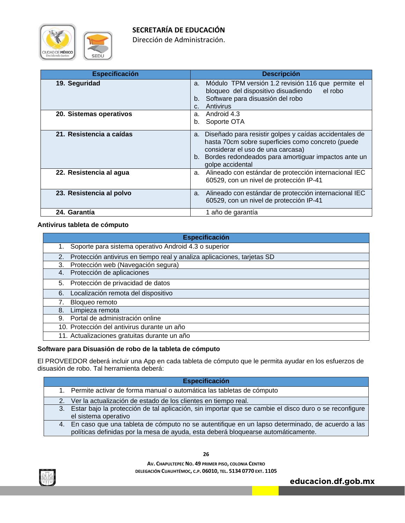

Dirección de Administración.

| <b>Especificación</b>    | <b>Descripción</b>                                                                                                                                                                                                                   |
|--------------------------|--------------------------------------------------------------------------------------------------------------------------------------------------------------------------------------------------------------------------------------|
| 19. Seguridad            | Módulo TPM versión 1.2 revisión 116 que permite el<br>a.<br>bloqueo del dispositivo disuadiendo<br>el robo<br>Software para disuasión del robo<br>b.<br>Antivirus<br>C.                                                              |
| 20. Sistemas operativos  | Android 4.3<br>a.<br>Soporte OTA<br>b.                                                                                                                                                                                               |
| 21. Resistencia a caídas | Diseñado para resistir golpes y caídas accidentales de<br>a.<br>hasta 70cm sobre superficies como concreto (puede<br>considerar el uso de una carcasa)<br>b. Bordes redondeados para amortiguar impactos ante un<br>golpe accidental |
| 22. Resistencia al agua  | a. Alineado con estándar de protección internacional IEC<br>60529, con un nivel de protección IP-41                                                                                                                                  |
| 23. Resistencia al polvo | Alineado con estándar de protección internacional IEC<br>a.<br>60529, con un nivel de protección IP-41                                                                                                                               |
| 24. Garantía             | 1 año de garantía                                                                                                                                                                                                                    |

#### **Antivirus tableta de cómputo**

| <b>Especificación</b>                                                         |
|-------------------------------------------------------------------------------|
| Soporte para sistema operativo Android 4.3 o superior<br>1.                   |
| Protección antivirus en tiempo real y analiza aplicaciones, tarjetas SD<br>2. |
| Protección web (Navegación segura)<br>3.                                      |
| Protección de aplicaciones<br>4.                                              |
| Protección de privacidad de datos<br>5.                                       |
| Localización remota del dispositivo<br>6.                                     |
| Bloqueo remoto                                                                |
| Limpieza remota<br>8.                                                         |
| Portal de administración online<br>9.                                         |
| 10. Protección del antivirus durante un año                                   |
| 11. Actualizaciones gratuitas durante un año                                  |

# **Software para Disuasión de robo de la tableta de cómputo**

El PROVEEDOR deberá incluir una App en cada tableta de cómputo que le permita ayudar en los esfuerzos de disuasión de robo. Tal herramienta deberá:

|  | <b>Especificación</b> |  |  |
|--|-----------------------|--|--|
|  |                       |  |  |

- 1. Permite activar de forma manual o automática las tabletas de cómputo
- 2. Ver la actualización de estado de los clientes en tiempo real.
- 3. Estar bajo la protección de tal aplicación, sin importar que se cambie el disco duro o se reconfigure el sistema operativo
- 4. En caso que una tableta de cómputo no se autentifique en un lapso determinado, de acuerdo a las políticas definidas por la mesa de ayuda, esta deberá bloquearse automáticamente.



**26**

**AV. CHAPULTEPEC NO. 49 PRIMER PISO, COLONIA CENTRO DELEGACIÓN CUAUHTÉMOC, C.P. 06010, TEL. 5134 0770 EXT. 1105**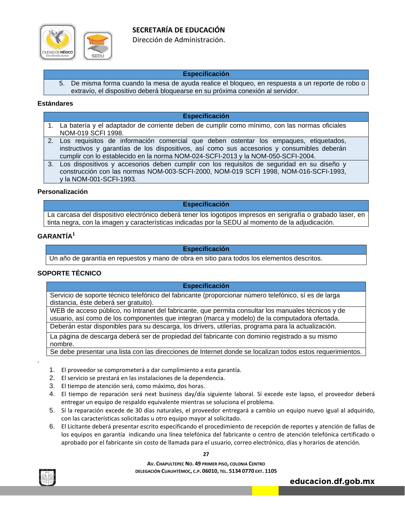

Dirección de Administración.

#### **Especificación**

5. De misma forma cuando la mesa de ayuda realice el bloqueo, en respuesta a un reporte de robo o extravío, el dispositivo deberá bloquearse en su próxima conexión al servidor.

#### **Estándares**

#### **Especificación**

- 1. La batería y el adaptador de corriente deben de cumplir como mínimo, con las normas oficiales NOM-019 SCFI 1998.
- 2. Los requisitos de información comercial que deben ostentar los empaques, etiquetados, instructivos y garantías de los dispositivos, así como sus accesorios y consumibles deberán cumplir con lo establecido en la norma NOM-024-SCFI-2013 y la NOM-050-SCFI-2004.
- 3. Los dispositivos y accesorios deben cumplir con los requisitos de seguridad en su diseño y construcción con las normas NOM-003-SCFI-2000, NOM-019 SCFI 1998, NOM-016-SCFI-1993, y la NOM-001-SCFI-1993.

#### **Personalización**

#### **Especificación**

La carcasa del dispositivo electrónico deberá tener los logotipos impresos en serigrafía o grabado laser, en tinta negra, con la imagen y características indicadas por la SEDU al momento de la adjudicación.

# **GARANTÍA<sup>1</sup>**

#### **Especificación**

Un año de garantía en repuestos y mano de obra en sitio para todos los elementos descritos.

# **SOPORTE TÉCNICO**

#### **Especificación**

Servicio de soporte técnico telefónico del fabricante (proporcionar número telefónico, sí es de larga distancia, éste deberá ser gratuito).

WEB de acceso público, no Intranet del fabricante, que permita consultar los manuales técnicos y de usuario, así como de los componentes que integran (marca y modelo) de la computadora ofertada.

Deberán estar disponibles para su descarga, los drivers, utilerías, programa para la actualización.

La página de descarga deberá ser de propiedad del fabricante con dominio registrado a su mismo nombre.

Se debe presentar una lista con las direcciones de Internet donde se localizan todos estos requerimientos.

- 1. El proveedor se comprometerá a dar cumplimiento a esta garantía.
- 2. El servicio se prestará en las instalaciones de la dependencia.
- 3. El tiempo de atención será, como máximo, dos horas.
- 4. El tiempo de reparación será next business day/día siguiente laboral. Sí excede este lapso, el proveedor deberá entregar un equipo de respaldo equivalente mientras se soluciona el problema.
- 5. Sí la reparación excede de 30 días naturales, el proveedor entregará a cambio un equipo nuevo igual al adquirido, con las características solicitadas u otro equipo mayor al solicitado.
- 6. El Licitante deberá presentar escrito especificando el procedimiento de recepción de reportes y atención de fallas de los equipos en garantía indicando una línea telefónica del fabricante o centro de atención telefónica certificado o aprobado por el fabricante sin costo de llamada para el usuario, correo electrónico, días y horarios de atención.

**27**

**AV. CHAPULTEPEC NO. 49 PRIMER PISO, COLONIA CENTRO DELEGACIÓN CUAUHTÉMOC, C.P. 06010, TEL. 5134 0770 EXT. 1105**



1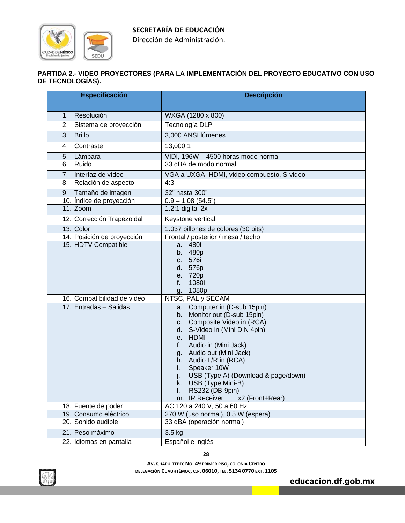Dirección de Administración.

# **PARTIDA 2.- VIDEO PROYECTORES (PARA LA IMPLEMENTACIÓN DEL PROYECTO EDUCATIVO CON USO DE TECNOLOGÍAS).**

| Especificación                                    | <b>Descripción</b>                                                                                                                                                                                                                                                                                                                                                                                  |
|---------------------------------------------------|-----------------------------------------------------------------------------------------------------------------------------------------------------------------------------------------------------------------------------------------------------------------------------------------------------------------------------------------------------------------------------------------------------|
|                                                   |                                                                                                                                                                                                                                                                                                                                                                                                     |
| Resolución<br>1.                                  | WXGA (1280 x 800)                                                                                                                                                                                                                                                                                                                                                                                   |
| Sistema de proyección<br>2.                       | Tecnología DLP                                                                                                                                                                                                                                                                                                                                                                                      |
| 3.<br><b>Brillo</b>                               | 3,000 ANSI Iúmenes                                                                                                                                                                                                                                                                                                                                                                                  |
| Contraste<br>4.                                   | 13,000:1                                                                                                                                                                                                                                                                                                                                                                                            |
| 5.<br>Lámpara                                     | VIDI, 196W - 4500 horas modo normal                                                                                                                                                                                                                                                                                                                                                                 |
| Ruido<br>6.                                       | 33 dBA de modo normal                                                                                                                                                                                                                                                                                                                                                                               |
| Interfaz de vídeo<br>7.                           | VGA a UXGA, HDMI, video compuesto, S-video                                                                                                                                                                                                                                                                                                                                                          |
| Relación de aspecto<br>8.                         | 4:3                                                                                                                                                                                                                                                                                                                                                                                                 |
| 9. Tamaño de imagen                               | 32" hasta 300"                                                                                                                                                                                                                                                                                                                                                                                      |
| 10. Índice de proyección                          | $0.9 - 1.08(54.5)$                                                                                                                                                                                                                                                                                                                                                                                  |
| 11. Zoom                                          | 1.2:1 digital 2x                                                                                                                                                                                                                                                                                                                                                                                    |
| 12. Corrección Trapezoidal                        | Keystone vertical                                                                                                                                                                                                                                                                                                                                                                                   |
| 13. Color                                         | 1.037 billones de colores (30 bits)                                                                                                                                                                                                                                                                                                                                                                 |
| 14. Posición de proyección<br>15. HDTV Compatible | Frontal / posterior / mesa / techo<br>480i<br>a.                                                                                                                                                                                                                                                                                                                                                    |
|                                                   | 480p<br>b.<br>576i<br>C.<br>576p<br>d.<br>e. 720p<br>1080i<br>f.<br>1080p<br>g.                                                                                                                                                                                                                                                                                                                     |
| 16. Compatibilidad de video                       | NTSC, PAL y SECAM                                                                                                                                                                                                                                                                                                                                                                                   |
| 17. Entradas - Salidas                            | a. Computer in (D-sub 15pin)<br>Monitor out (D-sub 15pin)<br>b.<br>Composite Video in (RCA)<br>C.<br>S-Video in (Mini DIN 4pin)<br>d. I<br>e. HDMI<br>Audio in (Mini Jack)<br>f.<br>Audio out (Mini Jack)<br>g.<br>h. Audio L/R in (RCA)<br>Speaker 10W<br>i.<br>USB (Type A) (Download & page/down)<br>J.<br>USB (Type Mini-B)<br>k.<br>RS232 (DB-9pin)<br>I.<br>m. IR Receiver<br>x2 (Front+Rear) |
| 18. Fuente de poder                               | AC 120 a 240 V, 50 a 60 Hz                                                                                                                                                                                                                                                                                                                                                                          |
| 19. Consumo eléctrico                             | 270 W (uso normal), 0.5 W (espera)                                                                                                                                                                                                                                                                                                                                                                  |
| 20. Sonido audible                                | 33 dBA (operación normal)                                                                                                                                                                                                                                                                                                                                                                           |
| 21. Peso máximo                                   | 3.5 kg                                                                                                                                                                                                                                                                                                                                                                                              |
| 22. Idiomas en pantalla                           | Español e inglés                                                                                                                                                                                                                                                                                                                                                                                    |

**28**

**AV. CHAPULTEPEC NO. 49 PRIMER PISO, COLONIA CENTRO DELEGACIÓN CUAUHTÉMOC, C.P. 06010, TEL. 5134 0770 EXT. 1105**



CIUDAD DE MÉXICO

SEDU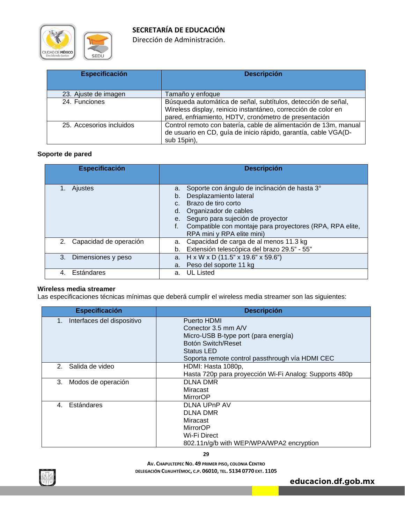

Dirección de Administración.

| <b>Especificación</b>    | <b>Descripción</b>                                                                                                                                                                       |
|--------------------------|------------------------------------------------------------------------------------------------------------------------------------------------------------------------------------------|
| 23. Ajuste de imagen     | Tamaño y enfoque                                                                                                                                                                         |
| 24. Funciones            | Búsqueda automática de señal, subtítulos, detección de señal,<br>Wireless display, reinicio instantáneo, corrección de color en<br>pared, enfriamiento, HDTV, cronómetro de presentación |
| 25. Accesorios incluidos | Control remoto con batería, cable de alimentación de 13m, manual<br>de usuario en CD, guía de inicio rápido, garantía, cable VGA(D-<br>sub 15pin),                                       |

### **Soporte de pared**

| <b>Especificación</b>        | <b>Descripción</b>                                                                                                                                                                                                                                                                               |
|------------------------------|--------------------------------------------------------------------------------------------------------------------------------------------------------------------------------------------------------------------------------------------------------------------------------------------------|
| <b>Ajustes</b>               | Soporte con ángulo de inclinación de hasta 3°<br>а.<br>Desplazamiento lateral<br>b.<br>Brazo de tiro corto<br>C <sub>1</sub><br>Organizador de cables<br>d.<br>Seguro para sujeción de proyector<br>e.<br>Compatible con montaje para proyectores (RPA, RPA elite,<br>RPA mini y RPA elite mini) |
| Capacidad de operación<br>2. | a. Capacidad de carga de al menos 11.3 kg<br>Extensión telescópica del brazo 29.5" - 55"<br>b.                                                                                                                                                                                                   |
| 3.<br>Dimensiones y peso     | a. $H \times W \times D$ (11.5" x 19.6" x 59.6")<br>a. Peso del soporte 11 kg                                                                                                                                                                                                                    |
| Estándares                   | <b>UL Listed</b><br>a.                                                                                                                                                                                                                                                                           |

#### **Wireless media streamer**

Las especificaciones técnicas mínimas que deberá cumplir el wireless media streamer son las siguientes:

| Especificación                    | <b>Descripción</b>                                     |
|-----------------------------------|--------------------------------------------------------|
| Interfaces del dispositivo<br>1.  | Puerto HDMI                                            |
|                                   | Conector $3.5$ mm $AV$                                 |
|                                   | Micro-USB B-type port (para energía)                   |
|                                   | Botón Switch/Reset                                     |
|                                   | Status LED                                             |
|                                   | Soporta remote control passthrough vía HDMI CEC        |
| Salida de video<br>2 <sup>1</sup> | HDMI: Hasta 1080p,                                     |
|                                   | Hasta 720p para proyección Wi-Fi Analog: Supports 480p |
| Modos de operación<br>3.          | <b>DLNA DMR</b>                                        |
|                                   | Miracast                                               |
|                                   | <b>MirrorOP</b>                                        |
| Estándares<br>$\mathbf{4}$        | DLNA UPnP AV                                           |
|                                   | DLNA DMR                                               |
|                                   | Miracast                                               |
|                                   | <b>MirrorOP</b>                                        |
|                                   | Wi-Fi Direct                                           |
|                                   | 802.11n/g/b with WEP/WPA/WPA2 encryption               |



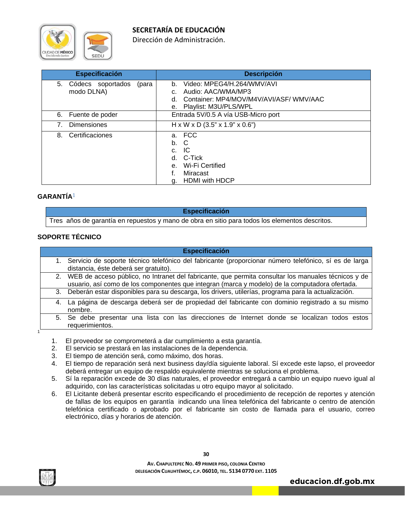

Dirección de Administración.

| <b>Especificación</b>                          | <b>Descripción</b>                                                                                                                        |
|------------------------------------------------|-------------------------------------------------------------------------------------------------------------------------------------------|
| 5.<br>Códecs soportados<br>(para<br>modo DLNA) | Video: MPEG4/H.264/WMV/AVI<br>b.<br>Audio: AAC/WMA/MP3<br>C.<br>Container: MP4/MOV/M4V/AVI/ASF/ WMV/AAC<br>d.<br>e. Playlist: M3U/PLS/WPL |
| Fuente de poder<br>6.                          | Entrada 5V/0.5 A vía USB-Micro port                                                                                                       |
| <b>Dimensiones</b><br>7 <sub>1</sub>           | $H \times W \times D$ (3.5" x 1.9" x 0.6")                                                                                                |
| Certificaciones<br>8.                          | a. FCC<br>b. C<br>-IC<br>$C_{\cdot}$<br>d. C-Tick<br>e. Wi-Fi Certified<br>f.<br>Miracast<br><b>HDMI</b> with HDCP<br>g.                  |

# **GARANTÍA**1

Tres años de garantía en repuestos y mano de obra en sitio para todos los elementos descritos.

**Especificación** 

# **SOPORTE TÉCNICO**

# **Especificación**  1. Servicio de soporte técnico telefónico del fabricante (proporcionar número telefónico, sí es de larga distancia, éste deberá ser gratuito). 2. WEB de acceso público, no Intranet del fabricante, que permita consultar los manuales técnicos y de usuario, así como de los componentes que integran (marca y modelo) de la computadora ofertada. 3. Deberán estar disponibles para su descarga, los drivers, utilerías, programa para la actualización. 4. La página de descarga deberá ser de propiedad del fabricante con dominio registrado a su mismo nombre. 5. Se debe presentar una lista con las direcciones de Internet donde se localizan todos estos requerimientos.

- 1. El proveedor se comprometerá a dar cumplimiento a esta garantía.
- 2. El servicio se prestará en las instalaciones de la dependencia.
- 3. El tiempo de atención será, como máximo, dos horas.
- 4. El tiempo de reparación será next business day/día siguiente laboral. Sí excede este lapso, el proveedor deberá entregar un equipo de respaldo equivalente mientras se soluciona el problema.
- 5. Sí la reparación excede de 30 días naturales, el proveedor entregará a cambio un equipo nuevo igual al adquirido, con las características solicitadas u otro equipo mayor al solicitado.
- 6. El Licitante deberá presentar escrito especificando el procedimiento de recepción de reportes y atención de fallas de los equipos en garantía indicando una línea telefónica del fabricante o centro de atención telefónica certificado o aprobado por el fabricante sin costo de llamada para el usuario, correo electrónico, días y horarios de atención.

**AV. CHAPULTEPEC NO. 49 PRIMER PISO, COLONIA CENTRO DELEGACIÓN CUAUHTÉMOC, C.P. 06010, TEL. 5134 0770 EXT. 1105**

**educacion.df.gob.mx** 



1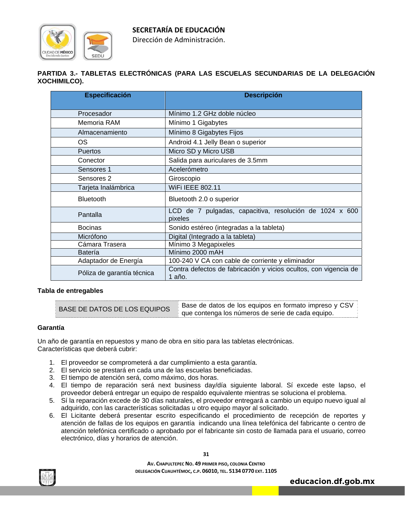

Dirección de Administración.

# **PARTIDA 3.- TABLETAS ELECTRÓNICAS (PARA LAS ESCUELAS SECUNDARIAS DE LA DELEGACIÓN XOCHIMILCO).**

| <b>Especificación</b>      | <b>Descripción</b>                                                         |
|----------------------------|----------------------------------------------------------------------------|
| Procesador                 | Mínimo 1.2 GHz doble núcleo                                                |
| Memoria RAM                | Mínimo 1 Gigabytes                                                         |
| Almacenamiento             | Mínimo 8 Gigabytes Fijos                                                   |
| OS.                        | Android 4.1 Jelly Bean o superior                                          |
| <b>Puertos</b>             | Micro SD y Micro USB                                                       |
| Conector                   | Salida para auriculares de 3.5mm                                           |
| Sensores 1                 | Acelerómetro                                                               |
| Sensores 2                 | Giroscopio                                                                 |
| Tarjeta Inalámbrica        | WiFi IEEE 802.11                                                           |
| <b>Bluetooth</b>           | Bluetooth 2.0 o superior                                                   |
| Pantalla                   | LCD de 7 pulgadas, capacitiva, resolución de 1024 x 600<br>pixeles         |
| <b>Bocinas</b>             | Sonido estéreo (integradas a la tableta)                                   |
| Micrófono                  | Digital (Integrado a la tableta)                                           |
| Cámara Trasera             | Mínimo 3 Megapixeles                                                       |
| <b>Batería</b>             | Mínimo 2000 mAH                                                            |
| Adaptador de Energía       | 100-240 V CA con cable de corriente y eliminador                           |
| Póliza de garantía técnica | Contra defectos de fabricación y vicios ocultos, con vigencia de<br>1 año. |

#### **Tabla de entregables**

| BASE DE DATOS DE LOS EQUIPOS | * Base de datos de los equipos en formato impreso y CSV i |
|------------------------------|-----------------------------------------------------------|
|                              | que contenga los números de serie de cada equipo.         |

#### **Garantía**

Un año de garantía en repuestos y mano de obra en sitio para las tabletas electrónicas. Características que deberá cubrir:

- 1. El proveedor se comprometerá a dar cumplimiento a esta garantía.
- 2. El servicio se prestará en cada una de las escuelas beneficiadas.
- 3. El tiempo de atención será, como máximo, dos horas.
- 4. El tiempo de reparación será next business day/día siguiente laboral. Sí excede este lapso, el proveedor deberá entregar un equipo de respaldo equivalente mientras se soluciona el problema.
- 5. Sí la reparación excede de 30 días naturales, el proveedor entregará a cambio un equipo nuevo igual al adquirido, con las características solicitadas u otro equipo mayor al solicitado.
- 6. El Licitante deberá presentar escrito especificando el procedimiento de recepción de reportes y atención de fallas de los equipos en garantía indicando una línea telefónica del fabricante o centro de atención telefónica certificado o aprobado por el fabricante sin costo de llamada para el usuario, correo electrónico, días y horarios de atención.



**31**

**AV. CHAPULTEPEC NO. 49 PRIMER PISO, COLONIA CENTRO DELEGACIÓN CUAUHTÉMOC, C.P. 06010, TEL. 5134 0770 EXT. 1105**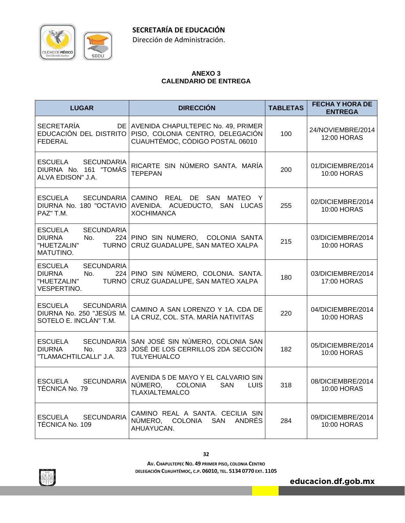

Dirección de Administración.

# **ANEXO 3 CALENDARIO DE ENTREGA**

| <b>LUGAR</b>                                                                                                     | <b>DIRECCIÓN</b>                                                                                             | <b>TABLETAS</b> | <b>FECHA Y HORA DE</b><br><b>ENTREGA</b> |
|------------------------------------------------------------------------------------------------------------------|--------------------------------------------------------------------------------------------------------------|-----------------|------------------------------------------|
| <b>SECRETARÍA</b><br>EDUCACIÓN DEL DISTRITO<br>FEDERAL                                                           | DE AVENIDA CHAPULTEPEC No. 49, PRIMER<br>PISO, COLONIA CENTRO, DELEGACIÓN<br>CUAUHTÉMOC, CÓDIGO POSTAL 06010 | 100             | 24/NOVIEMBRE/2014<br>12:00 HORAS         |
| ESCUELA<br><b>SECUNDARIA</b><br>DIURNA No. 161 "TOMÁS<br>ALVA EDISON" J.A.                                       | RICARTE SIN NÚMERO SANTA, MARÍA<br><b>TEPEPAN</b>                                                            | 200             | 01/DICIEMBRE/2014<br>10:00 HORAS         |
| ESCUELA<br>DIURNA No. 180 "OCTAVIO<br>PAZ" T.M.                                                                  | SECUNDARIA CAMINO REAL DE SAN MATEO Y<br>AVENIDA. ACUEDUCTO, SAN LUCAS<br><b>XOCHIMANCA</b>                  | 255             | 02/DICIEMBRE/2014<br>10:00 HORAS         |
| ESCUELA<br><b>SECUNDARIA</b><br><b>DIURNA</b><br>No.<br>224<br>"HUETZALIN"<br><b>TURNO</b><br>MATUTINO.          | PINO SIN NUMERO, COLONIA SANTA<br>CRUZ GUADALUPE, SAN MATEO XALPA                                            | 215             | 03/DICIEMBRE/2014<br>10:00 HORAS         |
| <b>ESCUELA</b><br><b>SECUNDARIA</b><br><b>DIURNA</b><br>224<br>No.<br>"HUETZALIN"<br><b>TURNO</b><br>VESPERTINO. | PINO SIN NÚMERO, COLONIA. SANTA.<br>CRUZ GUADALUPE, SAN MATEO XALPA                                          | 180             | 03/DICIEMBRE/2014<br>17:00 HORAS         |
| <b>SECUNDARIA</b><br>ESCUELA<br>DIURNA No. 250 "JESÚS M.<br>SOTELO E. INCLÁN" T.M.                               | CAMINO A SAN LORENZO Y 1A. CDA DE<br>LA CRUZ, COL. STA. MARÍA NATIVITAS                                      | 220             | 04/DICIEMBRE/2014<br>10:00 HORAS         |
| ESCUELA<br><b>SECUNDARIA</b><br>DIURNA<br>No.<br>323<br>"TLAMACHTILCALLI" J.A.                                   | SAN JOSÉ SIN NÚMERO, COLONIA SAN<br>JOSÉ DE LOS CERRILLOS 2DA SECCIÓN<br><b>TULYEHUALCO</b>                  | 182             | 05/DICIEMBRE/2014<br>10:00 HORAS         |
| <b>ESCUELA</b><br><b>SECUNDARIA</b><br>TÉCNICA No. 79                                                            | AVENIDA 5 DE MAYO Y EL CALVARIO SIN<br>NÚMERO,<br>COLONIA<br><b>SAN</b><br>LUIS<br><b>TLAXIALTEMALCO</b>     | 318             | 08/DICIEMBRE/2014<br>10:00 HORAS         |
| ESCUELA<br><b>SECUNDARIA</b><br>TÉCNICA No. 109                                                                  | CAMINO REAL A SANTA. CECILIA SIN<br>NÚMERO, COLONIA SAN<br>ANDRES<br>AHUAYUCAN.                              | 284             | 09/DICIEMBRE/2014<br>10:00 HORAS         |

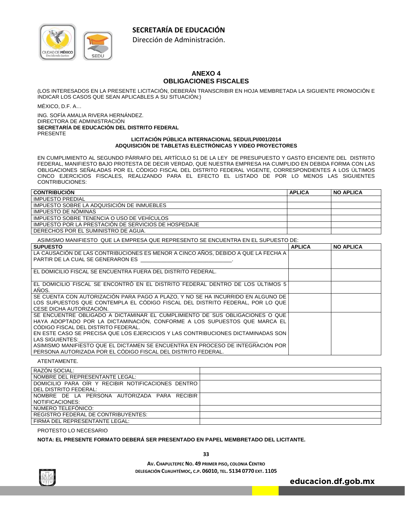

Dirección de Administración.

# **ANEXO 4 OBLIGACIONES FISCALES**

(LOS INTERESADOS EN LA PRESENTE LICITACIÓN, DEBERÁN TRANSCRIBIR EN HOJA MEMBRETADA LA SIGUIENTE PROMOCIÓN E INDICAR LOS CASOS QUE SEAN APLICABLES A SU SITUACIÓN:)

MÉXICO, D.F. A…

ING. SOFÍA AMALIA RIVERA HERNÁNDEZ. DIRECTORA DE ADMINISTRACIÓN **SECRETARÍA DE EDUCACIÓN DEL DISTRITO FEDERAL**  PRESENTE

#### **LICITACIÓN PÚBLICA INTERNACIONAL SEDU/LPI/001/2014 ADQUISICIÓN DE TABLETAS ELECTRÓNICAS Y VIDEO PROYECTORES**

EN CUMPLIMIENTO AL SEGUNDO PÁRRAFO DEL ARTÍCULO 51 DE LA LEY DE PRESUPUESTO Y GASTO EFICIENTE DEL DISTRITO FEDERAL, MANIFIESTO BAJO PROTESTA DE DECIR VERDAD, QUE NUESTRA EMPRESA HA CUMPLIDO EN DEBIDA FORMA CON LAS OBLIGACIONES SEÑALADAS POR EL CÓDIGO FISCAL DEL DISTRITO FEDERAL VIGENTE, CORRESPONDIENTES A LOS ÚLTIMOS CINCO EJERCICIOS FISCALES, REALIZANDO PARA EL EFECTO EL LISTADO DE POR LO MENOS LAS SIGUIENTES CONTRIBUCIONES:

| <b>CONTRIBUCION</b>                                  | <b>APLICA</b> | <b>NO APLICA</b> |
|------------------------------------------------------|---------------|------------------|
| IMPUESTO PREDIAL                                     |               |                  |
| IMPUESTO SOBRE LA ADQUISICION DE INMUEBLES           |               |                  |
| IMPUESTO DE NÓMINAS                                  |               |                  |
| IMPUESTO SOBRE TENENCIA O USO DE VEHICULOS           |               |                  |
| IMPUESTO POR LA PRESTACION DE SERVICIOS DE HOSPEDAJE |               |                  |
| I DERECHOS POR EL SUMINISTRO DE AGUA.                |               |                  |

#### ASIMISMO MANIFIESTO QUE LA EMPRESA QUE REPRESENTO SE ENCUENTRA EN EL SUPUESTO DE:

| <b>SUPUESTO</b>                                                                   | <b>APLICA</b> | <b>NO APLICA</b> |
|-----------------------------------------------------------------------------------|---------------|------------------|
| LA CAUSACIÓN DE LAS CONTRIBUCIONES ES MENOR A CINCO AÑOS. DEBIDO A QUE LA FECHA A |               |                  |
| PARTIR DE LA CUAL SE GENERARON ES                                                 |               |                  |
|                                                                                   |               |                  |
| EL DOMICILIO FISCAL SE ENCUENTRA FUERA DEL DISTRITO FEDERAL.                      |               |                  |
|                                                                                   |               |                  |
| EL DOMICILIO FISCAL SE ENCONTRÓ EN EL DISTRITO FEDERAL DENTRO DE LOS ÚLTIMOS 5    |               |                  |
| AÑOS.                                                                             |               |                  |
| SE CUENTA CON AUTORIZACIÓN PARA PAGO A PLAZO. Y NO SE HA INCURRIDO EN ALGUNO DE   |               |                  |
| LOS SUPUESTOS QUE CONTEMPLA EL CÓDIGO FISCAL DEL DISTRITO FEDERAL. POR LO QUE     |               |                  |
| CESE DICHA AUTORIZACIÓN.                                                          |               |                  |
| SE ENCUENTRE OBLIGADO A DICTAMINAR EL CUMPLIMIENTO DE SUS OBLIGACIONES O QUE      |               |                  |
| HAYA ADOPTADO POR LA DICTAMINACIÓN, CONFORME A LOS SUPUESTOS QUE MARCA EL         |               |                  |
| CÓDIGO FISCAL DEL DISTRITO FEDERAL.                                               |               |                  |
| EN ESTE CASO SE PRECISA QUE LOS EJERCICIOS Y LAS CONTRIBUCIONES DICTAMINADAS SON  |               |                  |
| LAS SIGUIENTES:                                                                   |               |                  |
| ASIMISMO MANIFIESTO QUE EL DICTAMEN SE ENCUENTRA EN PROCESO DE INTEGRACIÓN POR    |               |                  |
| PERSONA AUTORIZADA POR EL CÓDIGO FISCAL DEL DISTRITO FEDERAL.                     |               |                  |

ATENTAMENTE.

| RAZÓN SOCIAL:                                      |  |
|----------------------------------------------------|--|
| NOMBRE DEL REPRESENTANTE LEGAL:                    |  |
| DOMICILIO PARA OIR Y RECIBIR NOTIFICACIONES DENTRO |  |
| DEL DISTRITO FEDERAL:                              |  |
| NOMBRE DE LA PERSONA AUTORIZADA PARA RECIBIR       |  |
| NOTIFICACIONES:                                    |  |
| NÚMERO TELEFÓNICO:                                 |  |
| <b>REGISTRO FEDERAL DE CONTRIBUYENTES:</b>         |  |
| FIRMA DEL REPRESENTANTE I EGAL:                    |  |

#### PROTESTO LO NECESARIO

#### **NOTA: EL PRESENTE FORMATO DEBERÁ SER PRESENTADO EN PAPEL MEMBRETADO DEL LICITANTE.**

**educacion.df.gob.mx** 

**33**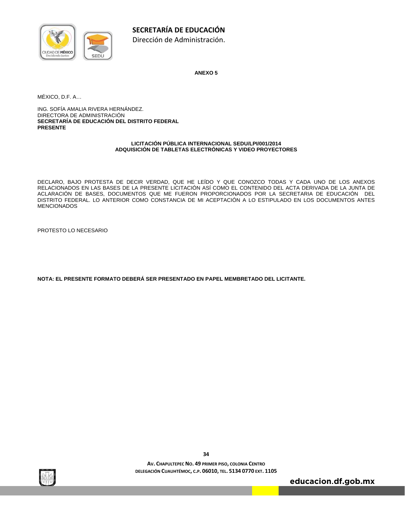

**ANEXO 5** 

MÉXICO, D.F. A…

ING. SOFÍA AMALIA RIVERA HERNÁNDEZ. DIRECTORA DE ADMINISTRACIÓN **SECRETARÍA DE EDUCACIÓN DEL DISTRITO FEDERAL PRESENTE**

#### **LICITACIÓN PÚBLICA INTERNACIONAL SEDU/LPI/001/2014 ADQUISICIÓN DE TABLETAS ELECTRÓNICAS Y VIDEO PROYECTORES**

DECLARO, BAJO PROTESTA DE DECIR VERDAD, QUE HE LEÍDO Y QUE CONOZCO TODAS Y CADA UNO DE LOS ANEXOS RELACIONADOS EN LAS BASES DE LA PRESENTE LICITACIÓN ASÍ COMO EL CONTENIDO DEL ACTA DERIVADA DE LA JUNTA DE ACLARACIÓN DE BASES, DOCUMENTOS QUE ME FUERON PROPORCIONADOS POR LA SECRETARIA DE EDUCACIÓN DEL DISTRITO FEDERAL. LO ANTERIOR COMO CONSTANCIA DE MI ACEPTACIÓN A LO ESTIPULADO EN LOS DOCUMENTOS ANTES MENCIONADOS

PROTESTO LO NECESARIO

**NOTA: EL PRESENTE FORMATO DEBERÁ SER PRESENTADO EN PAPEL MEMBRETADO DEL LICITANTE.** 



**34**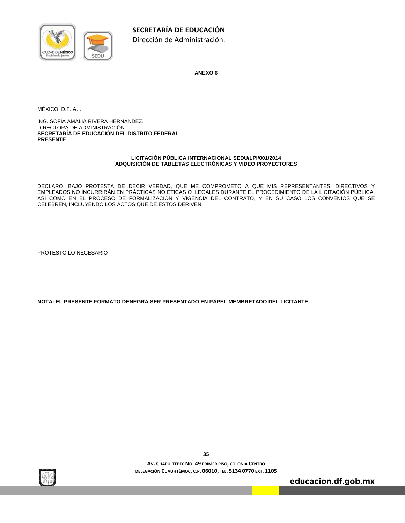

**ANEXO 6** 

MÉXICO, D.F. A…

ING. SOFÍA AMALIA RIVERA HERNÁNDEZ. DIRECTORA DE ADMINISTRACIÓN **SECRETARÍA DE EDUCACIÓN DEL DISTRITO FEDERAL PRESENTE** 

#### **LICITACIÓN PÚBLICA INTERNACIONAL SEDU/LPI/001/2014 ADQUISICIÓN DE TABLETAS ELECTRÓNICAS Y VIDEO PROYECTORES**

DECLARO, BAJO PROTESTA DE DECIR VERDAD, QUE ME COMPROMETO A QUE MIS REPRESENTANTES, DIRECTIVOS Y EMPLEADOS NO INCURRIRÁN EN PRÁCTICAS NO ÉTICAS O ILEGALES DURANTE EL PROCEDIMIENTO DE LA LICITACIÓN PÚBLICA, ASÍ COMO EN EL PROCESO DE FORMALIZACIÓN Y VIGENCIA DEL CONTRATO, Y EN SU CASO LOS CONVENIOS QUE SE CELEBREN, INCLUYENDO LOS ACTOS QUE DE ÉSTOS DERIVEN.

PROTESTO LO NECESARIO

**NOTA: EL PRESENTE FORMATO DENEGRA SER PRESENTADO EN PAPEL MEMBRETADO DEL LICITANTE** 



**AV. CHAPULTEPEC NO. 49 PRIMER PISO, COLONIA CENTRO DELEGACIÓN CUAUHTÉMOC, C.P. 06010, TEL. 5134 0770 EXT. 1105**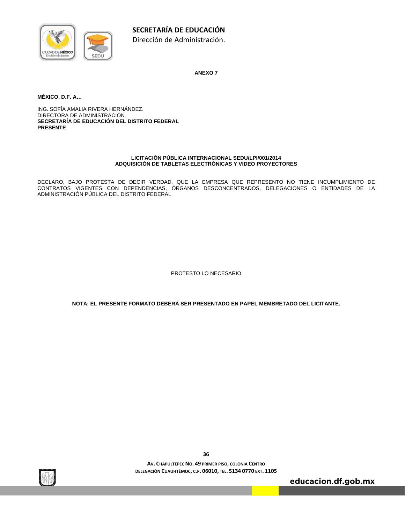

**ANEXO 7** 

**MÉXICO, D.F. A…** 

ING. SOFÍA AMALIA RIVERA HERNÁNDEZ. DIRECTORA DE ADMINISTRACIÓN **SECRETARÍA DE EDUCACIÓN DEL DISTRITO FEDERAL PRESENTE** 

#### **LICITACIÓN PÚBLICA INTERNACIONAL SEDU/LPI/001/2014 ADQUISICIÓN DE TABLETAS ELECTRÓNICAS Y VIDEO PROYECTORES**

DECLARO, BAJO PROTESTA DE DECIR VERDAD, QUE LA EMPRESA QUE REPRESENTO NO TIENE INCUMPLIMIENTO DE CONTRATOS VIGENTES CON DEPENDENCIAS, ÓRGANOS DESCONCENTRADOS, DELEGACIONES O ENTIDADES DE LA ADMINISTRACIÓN PÚBLICA DEL DISTRITO FEDERAL

PROTESTO LO NECESARIO

**NOTA: EL PRESENTE FORMATO DEBERÁ SER PRESENTADO EN PAPEL MEMBRETADO DEL LICITANTE.** 



**AV. CHAPULTEPEC NO. 49 PRIMER PISO, COLONIA CENTRO DELEGACIÓN CUAUHTÉMOC, C.P. 06010, TEL. 5134 0770 EXT. 1105**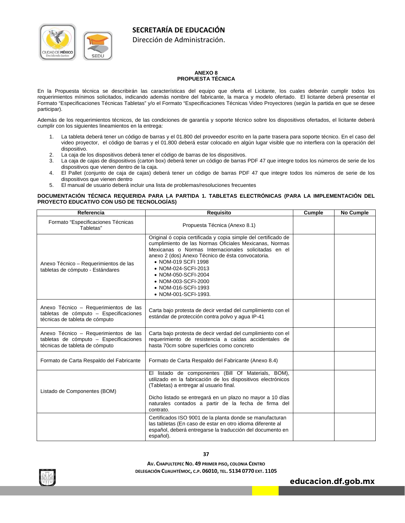

Dirección de Administración.

#### **ANEXO 8 PROPUESTA TÉCNICA**

En la Propuesta técnica se describirán las características del equipo que oferta el Licitante, los cuales deberán cumplir todos los requerimientos mínimos solicitados, indicando además nombre del fabricante, la marca y modelo ofertado. El licitante deberá presentar el Formato "Especificaciones Técnicas Tabletas" y/o el Formato "Especificaciones Técnicas Video Proyectores (según la partida en que se desee participar).

Además de los requerimientos técnicos, de las condiciones de garantía y soporte técnico sobre los dispositivos ofertados, el licitante deberá cumplir con los siguientes lineamientos en la entrega:

- 1. La tableta deberá tener un código de barras y el 01.800 del proveedor escrito en la parte trasera para soporte técnico. En el caso del video proyector, el código de barras y el 01.800 deberá estar colocado en algún lugar visible que no interfiera con la operación del dispositivo.
- 2. La caja de los dispositivos deberá tener el código de barras de los dispositivos.
- 3. La caja de cajas de dispositivos (carton box) deberá tener un código de barras PDF 47 que integre todos los números de serie de los dispositivos que vienen dentro de la caja.
- 4. El Pallet (conjunto de caja de cajas) deberá tener un código de barras PDF 47 que integre todos los números de serie de los dispositivos que vienen dentro
- 5. El manual de usuario deberá incluir una lista de problemas/resoluciones frecuentes

#### **DOCUMENTACIÓN TÉCNICA REQUERIDA PARA LA PARTIDA 1. TABLETAS ELECTRÓNICAS (PARA LA IMPLEMENTACIÓN DEL PROYECTO EDUCATIVO CON USO DE TECNOLOGÍAS)**

| Referencia                                                                                                        | Requisito                                                                                                                                                                                                                                                                                                                                                                        | Cumple | <b>No Cumple</b> |
|-------------------------------------------------------------------------------------------------------------------|----------------------------------------------------------------------------------------------------------------------------------------------------------------------------------------------------------------------------------------------------------------------------------------------------------------------------------------------------------------------------------|--------|------------------|
| Formato "Especificaciones Técnicas<br>Tabletas"                                                                   | Propuesta Técnica (Anexo 8.1)                                                                                                                                                                                                                                                                                                                                                    |        |                  |
| Anexo Técnico - Requerimientos de las<br>tabletas de cómputo - Estándares                                         | Original ó copia certificada y copia simple del certificado de<br>cumplimiento de las Normas Oficiales Mexicanas, Normas<br>Mexicanas o Normas Internacionales solicitadas en el<br>anexo 2 (dos) Anexo Técnico de ésta convocatoria.<br>• NOM-019 SCFI 1998<br>• NOM-024-SCFI-2013<br>• NOM-050-SCFI-2004<br>• NOM-003-SCFI-2000<br>• NOM-016-SCFI-1993<br>• NOM-001-SCFI-1993. |        |                  |
| Anexo Técnico - Requerimientos de las<br>tabletas de cómputo - Especificaciones<br>técnicas de tableta de cómputo | Carta bajo protesta de decir verdad del cumplimiento con el<br>estándar de protección contra polvo y aqua IP-41                                                                                                                                                                                                                                                                  |        |                  |
| Anexo Técnico - Requerimientos de las<br>tabletas de cómputo - Especificaciones<br>técnicas de tableta de cómputo | Carta bajo protesta de decir verdad del cumplimiento con el<br>requerimiento de resistencia a caídas accidentales de<br>hasta 70cm sobre superficies como concreto                                                                                                                                                                                                               |        |                  |
| Formato de Carta Respaldo del Fabricante                                                                          | Formato de Carta Respaldo del Fabricante (Anexo 8.4)                                                                                                                                                                                                                                                                                                                             |        |                  |
| Listado de Componentes (BOM)                                                                                      | El listado de componentes (Bill Of Materials, BOM),<br>utilizado en la fabricación de los dispositivos electrónicos<br>(Tabletas) a entregar al usuario final.<br>Dicho listado se entregará en un plazo no mayor a 10 días<br>naturales contados a partir de la fecha de firma del<br>contrato.                                                                                 |        |                  |
|                                                                                                                   | Certificados ISO 9001 de la planta donde se manufacturan<br>las tabletas (En caso de estar en otro idioma diferente al<br>español, deberá entregarse la traducción del documento en<br>español).                                                                                                                                                                                 |        |                  |

**AV. CHAPULTEPEC NO. 49 PRIMER PISO, COLONIA CENTRO DELEGACIÓN CUAUHTÉMOC, C.P. 06010, TEL. 5134 0770 EXT. 1105**

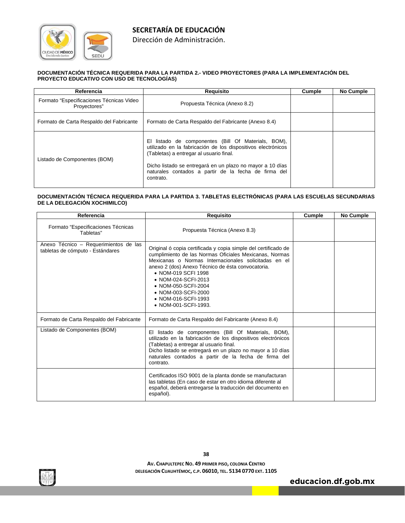

Dirección de Administración.

#### **DOCUMENTACIÓN TÉCNICA REQUERIDA PARA LA PARTIDA 2.- VIDEO PROYECTORES (PARA LA IMPLEMENTACIÓN DEL PROYECTO EDUCATIVO CON USO DE TECNOLOGÍAS)**

| Referencia                                               | Requisito                                                                                                                                                                                                                                                                                            | Cumple | No Cumple |
|----------------------------------------------------------|------------------------------------------------------------------------------------------------------------------------------------------------------------------------------------------------------------------------------------------------------------------------------------------------------|--------|-----------|
| Formato "Especificaciones Técnicas Video<br>Provectores" | Propuesta Técnica (Anexo 8.2)                                                                                                                                                                                                                                                                        |        |           |
| Formato de Carta Respaldo del Fabricante                 | Formato de Carta Respaldo del Fabricante (Anexo 8.4)                                                                                                                                                                                                                                                 |        |           |
| Listado de Componentes (BOM)                             | listado de componentes (Bill Of Materials, BOM),<br>EL.<br>utilizado en la fabricación de los dispositivos electrónicos<br>(Tabletas) a entregar al usuario final.<br>Dicho listado se entregará en un plazo no mayor a 10 días<br>naturales contados a partir de la fecha de firma del<br>contrato. |        |           |

#### **DOCUMENTACIÓN TÉCNICA REQUERIDA PARA LA PARTIDA 3. TABLETAS ELECTRÓNICAS (PARA LAS ESCUELAS SECUNDARIAS DE LA DELEGACIÓN XOCHIMILCO)**

| Referencia                                                                | Requisito                                                                                                                                                                                                                                                                                                                                                                        | Cumple | <b>No Cumple</b> |
|---------------------------------------------------------------------------|----------------------------------------------------------------------------------------------------------------------------------------------------------------------------------------------------------------------------------------------------------------------------------------------------------------------------------------------------------------------------------|--------|------------------|
| Formato "Especificaciones Técnicas<br>Tabletas"                           | Propuesta Técnica (Anexo 8.3)                                                                                                                                                                                                                                                                                                                                                    |        |                  |
| Anexo Técnico - Requerimientos de las<br>tabletas de cómputo - Estándares | Original ó copia certificada y copia simple del certificado de<br>cumplimiento de las Normas Oficiales Mexicanas, Normas<br>Mexicanas o Normas Internacionales solicitadas en el<br>anexo 2 (dos) Anexo Técnico de ésta convocatoria.<br>• NOM-019 SCFI 1998<br>• NOM-024-SCFI-2013<br>• NOM-050-SCFI-2004<br>• NOM-003-SCFI-2000<br>• NOM-016-SCFI-1993<br>• NOM-001-SCFI-1993. |        |                  |
| Formato de Carta Respaldo del Fabricante                                  | Formato de Carta Respaldo del Fabricante (Anexo 8.4)                                                                                                                                                                                                                                                                                                                             |        |                  |
| Listado de Componentes (BOM)                                              | El listado de componentes (Bill Of Materials, BOM),<br>utilizado en la fabricación de los dispositivos electrónicos<br>(Tabletas) a entregar al usuario final.<br>Dicho listado se entregará en un plazo no mayor a 10 días<br>naturales contados a partir de la fecha de firma del<br>contrato.                                                                                 |        |                  |
|                                                                           | Certificados ISO 9001 de la planta donde se manufacturan<br>las tabletas (En caso de estar en otro idioma diferente al<br>español, deberá entregarse la traducción del documento en<br>español).                                                                                                                                                                                 |        |                  |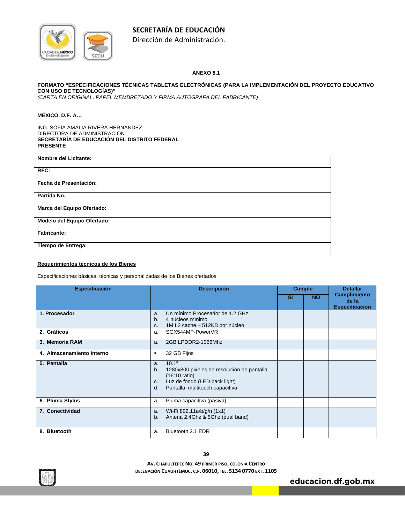

Dirección de Administración.

#### **ANEXO 8.1**

#### **FORMATO "ESPECIFICACIONES TÉCNICAS TABLETAS ELECTRÓNICAS (PARA LA IMPLEMENTACIÓN DEL PROYECTO EDUCATIVO CON USO DE TECNOLOGÍAS)"**

*(CARTA EN ORIGINAL, PAPEL MEMBRETADO Y FIRMA AUTÓGRAFA DEL FABRICANTE)* 

#### **MÉXICO, D.F. A…**

ING. SOFÍA AMALIA RIVERA HERNÁNDEZ. DIRECTORA DE ADMINISTRACIÓN **SECRETARÍA DE EDUCACIÓN DEL DISTRITO FEDERAL PRESENTE** 

| <b>Nombre del Licitante:</b> |
|------------------------------|
| RFC:                         |
| Fecha de Presentación:       |
| Partida No.                  |
| Marca del Equipo Ofertado:   |
| Modelo del Equipo Ofertado:  |
| <b>Fabricante:</b>           |
| Tiempo de Entrega:           |
|                              |

#### **Requerimientos técnicos de los Bienes**

Especificaciones básicas, técnicas y personalizadas de los Bienes ofertados

| <b>Especificación</b>     | <b>Descripción</b>                                                                                                                                                        | <b>Cumple</b> |           | <b>Detallar</b>                                       |
|---------------------------|---------------------------------------------------------------------------------------------------------------------------------------------------------------------------|---------------|-----------|-------------------------------------------------------|
|                           |                                                                                                                                                                           | <b>SI</b>     | <b>NO</b> | <b>Cumplimiento</b><br>de la<br><b>Especificación</b> |
| 1. Procesador             | Un mínimo Procesador de 1.2 GHz<br>a.<br>4 núcleos mínimo<br>b.<br>1M L2 cache - 512KB por núcleo<br>c.                                                                   |               |           |                                                       |
| 2. Gráficos               | SGX544MP-PowerVR<br>a.                                                                                                                                                    |               |           |                                                       |
| 3. Memoria RAM            | 2GB LPDDR2-1066Mhz<br>a.                                                                                                                                                  |               |           |                                                       |
| 4. Almacenamiento interno | 32 GB Fijos<br>٠                                                                                                                                                          |               |           |                                                       |
| 5. Pantalla               | 10.1"<br>a.<br>b.<br>1280x800 pixeles de resolución de pantalla<br>$(16:10 \text{ ratio})$<br>Luz de fondo (LED back light)<br>c.<br>Pantalla multitouch capacitiva<br>d. |               |           |                                                       |
| 6. Pluma Stylus           | Pluma capacitiva (pasiva)<br>a.                                                                                                                                           |               |           |                                                       |
| 7. Conectividad           | Wi-Fi 802.11a/b/g/n (1x1)<br>a.<br>Antena 2.4Ghz & 5Ghz (dual band)<br>b.                                                                                                 |               |           |                                                       |
| 8. Bluetooth              | Bluetooth 2.1 EDR<br>a.                                                                                                                                                   |               |           |                                                       |

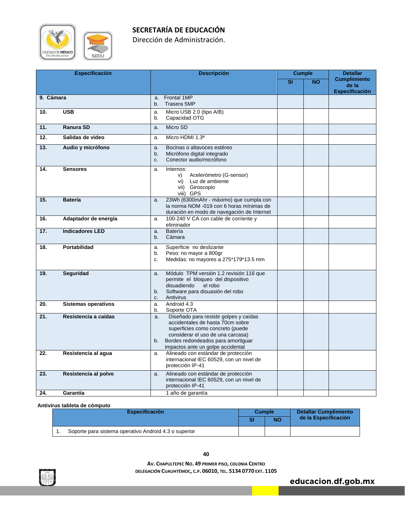

Dirección de Administración.

| <b>Especificación</b> |                            | <b>Descripción</b>                                                                                                                                                                                                                         | <b>Cumple</b> |           | <b>Detallar</b>                                       |
|-----------------------|----------------------------|--------------------------------------------------------------------------------------------------------------------------------------------------------------------------------------------------------------------------------------------|---------------|-----------|-------------------------------------------------------|
|                       |                            |                                                                                                                                                                                                                                            | <b>SI</b>     | <b>NO</b> | <b>Cumplimiento</b><br>de la<br><b>Especificación</b> |
| 9. Cámara             |                            | Frontal 1MP<br>a.<br>Trasera 5MP<br>b.                                                                                                                                                                                                     |               |           |                                                       |
| 10.                   | <b>USB</b>                 | Micro USB 2.0 (tipo A/B)<br>a.<br>Capacidad OTG<br>b.                                                                                                                                                                                      |               |           |                                                       |
| 11.                   | Ranura SD                  | Micro SD<br>a.                                                                                                                                                                                                                             |               |           |                                                       |
| 12.                   | Salidas de video           | Micro HDMI 1.3ª<br>a.                                                                                                                                                                                                                      |               |           |                                                       |
| 13.                   | Audio y micrófono          | Bocinas o altavoces estéreo<br>a.<br>Micrófono digital integrado<br>b.<br>Conector audio/micrófono<br>C.                                                                                                                                   |               |           |                                                       |
| 14.                   | <b>Sensores</b>            | Internos:<br>a.<br>Acelerómetro (G-sensor)<br>V)<br>Luz de ambiente<br>vi)<br>Giroscopio<br>vii)<br>viii) GPS                                                                                                                              |               |           |                                                       |
| 15.                   | <b>Batería</b>             | 23Wh (6300mAhr - máximo) que cumpla con<br>a.<br>la norma NOM -019 con 6 horas mínimas de<br>duración en modo de navegación de Internet                                                                                                    |               |           |                                                       |
| 16.                   | Adaptador de energía       | 100-240 V CA con cable de corriente y<br>a.<br>eliminador                                                                                                                                                                                  |               |           |                                                       |
| 17.                   | <b>Indicadores LED</b>     | Batería<br>a.<br>Cámara<br>b.                                                                                                                                                                                                              |               |           |                                                       |
| 18.                   | Portabilidad               | Superficie no deslizante<br>a.<br>Peso: no mayor a 800gr<br>b.<br>Medidas: no mayores a 275*179*13.5 mm<br>c.                                                                                                                              |               |           |                                                       |
| 19.                   | <b>Sequridad</b>           | Módulo TPM versión 1.2 revisión 116 que<br>a.<br>permite el bloqueo del dispositivo<br>disuadiendo<br>el robo<br>Software para disuasión del robo<br>b.<br>Antivirus<br>c.                                                                 |               |           |                                                       |
| 20.                   | <b>Sistemas operativos</b> | Android 4.3<br>a.<br>Soporte OTA<br>b.                                                                                                                                                                                                     |               |           |                                                       |
| 21.                   | Resistencia a caídas       | Diseñado para resistir golpes y caídas<br>a.<br>accidentales de hasta 70cm sobre<br>superficies como concreto (puede<br>considerar el uso de una carcasa)<br>Bordes redondeados para amortiguar<br>b.<br>impactos ante un golpe accidental |               |           |                                                       |
| 22.                   | Resistencia al agua        | Alineado con estándar de protección<br>a.<br>internacional IEC 60529, con un nivel de<br>protección IP-41                                                                                                                                  |               |           |                                                       |
| 23.                   | Resistencia al polvo       | Alineado con estándar de protección<br>a.<br>internacional IEC 60529, con un nivel de<br>protección IP-41                                                                                                                                  |               |           |                                                       |
| 24.                   | Garantía                   | 1 año de garantía                                                                                                                                                                                                                          |               |           |                                                       |

**Antivirus tableta de cómputo** 

| <b>Especificación</b> |                                                       | Cumple |           | <b>Detallar Cumplimiento</b> |  |
|-----------------------|-------------------------------------------------------|--------|-----------|------------------------------|--|
|                       |                                                       |        | <b>NO</b> | de la Especificación         |  |
|                       | Soporte para sistema operativo Android 4.3 o superior |        |           |                              |  |

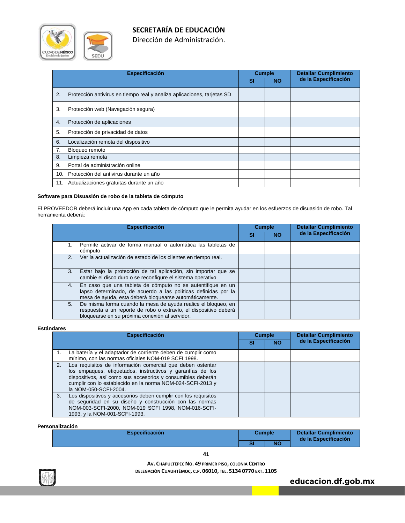

Dirección de Administración.

|     | <b>Especificación</b>                                                   |    | <b>Cumple</b> | <b>Detallar Cumplimiento</b> |
|-----|-------------------------------------------------------------------------|----|---------------|------------------------------|
|     |                                                                         | SI | <b>NO</b>     | de la Especificación         |
| 2.  | Protección antivirus en tiempo real y analiza aplicaciones, tarjetas SD |    |               |                              |
| 3.  | Protección web (Navegación segura)                                      |    |               |                              |
| 4.  | Protección de aplicaciones                                              |    |               |                              |
| 5.  | Protección de privacidad de datos                                       |    |               |                              |
| 6.  | Localización remota del dispositivo                                     |    |               |                              |
|     | Bloqueo remoto                                                          |    |               |                              |
| 8.  | Limpieza remota                                                         |    |               |                              |
| 9.  | Portal de administración online                                         |    |               |                              |
| 10. | Protección del antivirus durante un año                                 |    |               |                              |
| 11. | Actualizaciones gratuitas durante un año                                |    |               |                              |

#### **Software para Disuasión de robo de la tableta de cómputo**

El PROVEEDOR deberá incluir una App en cada tableta de cómputo que le permita ayudar en los esfuerzos de disuasión de robo. Tal herramienta deberá:

| <b>Especificación</b>                                                                                                                                                                         |    | <b>Cumple</b> | <b>Detallar Cumplimiento</b> |  |
|-----------------------------------------------------------------------------------------------------------------------------------------------------------------------------------------------|----|---------------|------------------------------|--|
|                                                                                                                                                                                               | SI | <b>NO</b>     | de la Especificación         |  |
| Permite activar de forma manual o automática las tabletas de<br>cómputo                                                                                                                       |    |               |                              |  |
| Ver la actualización de estado de los clientes en tiempo real.<br>2.                                                                                                                          |    |               |                              |  |
| Estar bajo la protección de tal aplicación, sin importar que se<br>3.<br>cambie el disco duro o se reconfigure el sistema operativo                                                           |    |               |                              |  |
| En caso que una tableta de cómputo no se autentifique en un<br>4.<br>lapso determinado, de acuerdo a las políticas definidas por la<br>mesa de ayuda, esta deberá bloquearse automáticamente. |    |               |                              |  |
| De misma forma cuando la mesa de ayuda realice el bloqueo, en<br>5.<br>respuesta a un reporte de robo o extravío, el dispositivo deberá<br>bloquearse en su próxima conexión al servidor.     |    |               |                              |  |

#### **Estándares**

|    | <b>Especificación</b>                                                                                                                                                                                                                                                          | <b>Cumple</b> |           | <b>Detallar Cumplimiento</b> |
|----|--------------------------------------------------------------------------------------------------------------------------------------------------------------------------------------------------------------------------------------------------------------------------------|---------------|-----------|------------------------------|
|    |                                                                                                                                                                                                                                                                                | SI            | <b>NO</b> | de la Especificación         |
|    | La batería y el adaptador de corriente deben de cumplir como<br>mínimo, con las normas oficiales NOM-019 SCFI 1998.                                                                                                                                                            |               |           |                              |
| 2. | Los requisitos de información comercial que deben ostentar<br>los empaques, etiquetados, instructivos y garantías de los<br>dispositivos, así como sus accesorios y consumibles deberán<br>cumplir con lo establecido en la norma NOM-024-SCFI-2013 y<br>la NOM-050-SCFI-2004. |               |           |                              |
| 3. | Los dispositivos y accesorios deben cumplir con los requisitos<br>de seguridad en su diseño y construcción con las normas<br>NOM-003-SCFI-2000, NOM-019 SCFI 1998, NOM-016-SCFI-<br>1993, y la NOM-001-SCFI-1993.                                                              |               |           |                              |

#### **Personalización**

| -------------<br><b>Especificación</b> | <b>Cumple</b> |           | <b>Detallar Cumplimiento</b><br>de la Especificación |  |
|----------------------------------------|---------------|-----------|------------------------------------------------------|--|
|                                        |               | <b>NO</b> |                                                      |  |
|                                        |               |           |                                                      |  |

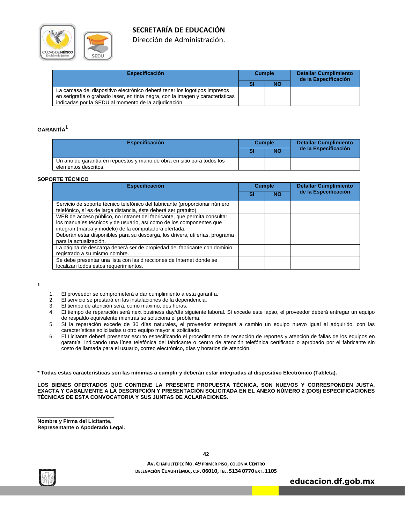

Dirección de Administración.

| <b>Especificación</b>                                                          | <b>Cumple</b> |           | <b>Detallar Cumplimiento</b><br>de la Especificación |
|--------------------------------------------------------------------------------|---------------|-----------|------------------------------------------------------|
|                                                                                |               | <b>NO</b> |                                                      |
| La carcasa del dispositivo electrónico deberá tener los logotipos impresos     |               |           |                                                      |
| en serigrafía o grabado laser, en tinta negra, con la imagen y características |               |           |                                                      |
| indicadas por la SEDU al momento de la adjudicación.                           |               |           |                                                      |

#### **GARANTÍA<sup>1</sup>**

| <b>Especificación</b>                                                                          | <b>Cumple</b> |           | <b>Detallar Cumplimiento</b> |  |  |
|------------------------------------------------------------------------------------------------|---------------|-----------|------------------------------|--|--|
|                                                                                                | S             | <b>NO</b> | de la Especificación         |  |  |
| Un año de garantía en repuestos y mano de obra en sitio para todos los<br>elementos descritos. |               |           |                              |  |  |

#### **SOPORTE TÉCNICO**

| <b>Especificación</b>                                                                                                                                                                                    | <b>Cumple</b> |           | <b>Detallar Cumplimiento</b> |  |
|----------------------------------------------------------------------------------------------------------------------------------------------------------------------------------------------------------|---------------|-----------|------------------------------|--|
|                                                                                                                                                                                                          | SI            | <b>NO</b> | de la Especificación         |  |
| Servicio de soporte técnico telefónico del fabricante (proporcionar número<br>telefónico, sí es de larga distancia, éste deberá ser gratuito).                                                           |               |           |                              |  |
| WEB de acceso público, no Intranet del fabricante, que permita consultar<br>los manuales técnicos y de usuario, así como de los componentes que<br>integran (marca y modelo) de la computadora ofertada. |               |           |                              |  |
| Deberán estar disponibles para su descarga, los drivers, utilerías, programa<br>para la actualización.                                                                                                   |               |           |                              |  |
| La página de descarga deberá ser de propiedad del fabricante con dominio<br>registrado a su mismo nombre.                                                                                                |               |           |                              |  |
| Se debe presentar una lista con las direcciones de Internet donde se<br>localizan todos estos requerimientos.                                                                                            |               |           |                              |  |

**1**

- 1. El proveedor se comprometerá a dar cumplimiento a esta garantía.
- 2. El servicio se prestará en las instalaciones de la dependencia.
- El tiempo de atención será, como máximo, dos horas.
- 4. El tiempo de reparación será next business day/día siguiente laboral. Sí excede este lapso, el proveedor deberá entregar un equipo de respaldo equivalente mientras se soluciona el problema.
- 5. Sí la reparación excede de 30 días naturales, el proveedor entregará a cambio un equipo nuevo igual al adquirido, con las características solicitadas u otro equipo mayor al solicitado.
- 6. El Licitante deberá presentar escrito especificando el procedimiento de recepción de reportes y atención de fallas de los equipos en garantía indicando una línea telefónica del fabricante o centro de atención telefónica certificado o aprobado por el fabricante sin costo de llamada para el usuario, correo electrónico, días y horarios de atención.

**\* Todas estas características son las mínimas a cumplir y deberán estar integradas al dispositivo Electrónico (Tableta).** 

**LOS BIENES OFERTADOS QUE CONTIENE LA PRESENTE PROPUESTA TÉCNICA, SON NUEVOS Y CORRESPONDEN JUSTA, EXACTA Y CABALMENTE A LA DESCRIPCIÓN Y PRESENTACIÓN SOLICITADA EN EL ANEXO NÚMERO 2 (DOS) ESPECIFICACIONES TÉCNICAS DE ESTA CONVOCATORIA Y SUS JUNTAS DE ACLARACIONES.** 

**Nombre y Firma del Licitante, Representante o Apoderado Legal.** 

**\_\_\_\_\_\_\_\_\_\_\_\_\_\_\_\_\_\_\_\_\_\_\_\_\_\_** 



**AV. CHAPULTEPEC NO. 49 PRIMER PISO, COLONIA CENTRO DELEGACIÓN CUAUHTÉMOC, C.P. 06010, TEL. 5134 0770 EXT. 1105**

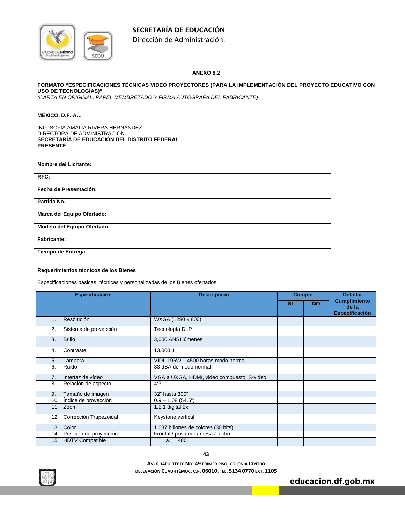

Dirección de Administración.

#### **ANEXO 8.2**

#### **FORMATO "ESPECIFICACIONES TÉCNICAS VIDEO PROYECTORES (PARA LA IMPLEMENTACIÓN DEL PROYECTO EDUCATIVO CON USO DE TECNOLOGÍAS)"**

*(CARTA EN ORIGINAL, PAPEL MEMBRETADO Y FIRMA AUTÓGRAFA DEL FABRICANTE)* 

#### **MÉXICO, D.F. A…**

ING. SOFÍA AMALIA RIVERA HERNÁNDEZ. DIRECTORA DE ADMINISTRACIÓN **SECRETARÍA DE EDUCACIÓN DEL DISTRITO FEDERAL PRESENTE** 

| <b>Nombre del Licitante:</b> |
|------------------------------|
| RFC:                         |
| Fecha de Presentación:       |
| Partida No.                  |
| Marca del Equipo Ofertado:   |
| Modelo del Equipo Ofertado:  |
| Fabricante:                  |
| Tiempo de Entrega:           |
|                              |

#### **Requerimientos técnicos de los Bienes**

Especificaciones básicas, técnicas y personalizadas de los Bienes ofertados

|     | <b>Especificación</b>      | <b>Descripción</b>                         | <b>Cumple</b> |           | <b>Detallar</b>                                       |
|-----|----------------------------|--------------------------------------------|---------------|-----------|-------------------------------------------------------|
|     |                            |                                            | <b>SI</b>     | <b>NO</b> | <b>Cumplimiento</b><br>de la<br><b>Especificación</b> |
| 1.  | Resolución                 | WXGA (1280 x 800)                          |               |           |                                                       |
| 2.  | Sistema de proyección      | Tecnología DLP                             |               |           |                                                       |
| 3.  | <b>Brillo</b>              | 3,000 ANSI lúmenes                         |               |           |                                                       |
| 4.  | Contraste                  | 13,000:1                                   |               |           |                                                       |
| 5.  | Lámpara                    | VIDI, 196W - 4500 horas modo normal        |               |           |                                                       |
| 6.  | Ruido                      | 33 dBA de modo normal                      |               |           |                                                       |
| 7.  | Interfaz de vídeo          | VGA a UXGA, HDMI, video compuesto, S-video |               |           |                                                       |
| 8.  | Relación de aspecto        | 4:3                                        |               |           |                                                       |
| 9.  | Tamaño de imagen           | 32" hasta 300"                             |               |           |                                                       |
| 10. | Indice de proyección       | $0.9 - 1.08(54.5")$                        |               |           |                                                       |
|     | 11. Zoom                   | 1.2:1 digital $2x$                         |               |           |                                                       |
| 12. | Corrección Trapezoidal     | Keystone vertical                          |               |           |                                                       |
|     | 13. Color                  | 1.037 billones de colores (30 bits)        |               |           |                                                       |
|     | 14. Posición de proyección | Frontal / posterior / mesa / techo         |               |           |                                                       |
| 15. | <b>HDTV Compatible</b>     | 480i<br>a.                                 |               |           |                                                       |

**43**

**AV. CHAPULTEPEC NO. 49 PRIMER PISO, COLONIA CENTRO DELEGACIÓN CUAUHTÉMOC, C.P. 06010, TEL. 5134 0770 EXT. 1105**

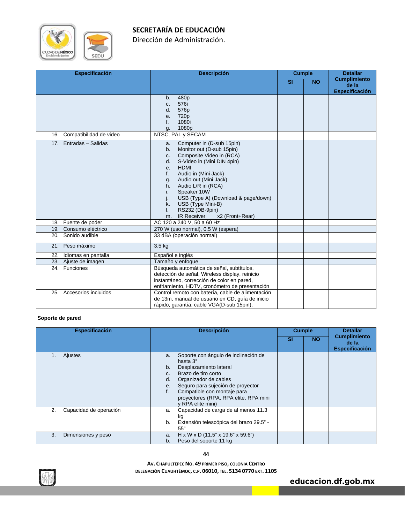

Dirección de Administración.

| <b>Especificación</b>       | <b>Descripción</b>                                                                                                                                                                                                                                                                                                                                                                                                       | <b>Cumple</b> |           | <b>Detallar</b>                                       |
|-----------------------------|--------------------------------------------------------------------------------------------------------------------------------------------------------------------------------------------------------------------------------------------------------------------------------------------------------------------------------------------------------------------------------------------------------------------------|---------------|-----------|-------------------------------------------------------|
|                             |                                                                                                                                                                                                                                                                                                                                                                                                                          | <b>SI</b>     | <b>NO</b> | <b>Cumplimiento</b><br>de la<br><b>Especificación</b> |
|                             | 480 <sub>p</sub><br>b.<br>576i<br>C.<br>576p<br>d.<br>720p<br>e.<br>1080i<br>f.<br>1080p<br>g.                                                                                                                                                                                                                                                                                                                           |               |           |                                                       |
| 16. Compatibilidad de video | NTSC, PAL y SECAM                                                                                                                                                                                                                                                                                                                                                                                                        |               |           |                                                       |
| 17. Entradas - Salidas      | Computer in (D-sub 15pin)<br>a.<br>Monitor out (D-sub 15pin)<br>b.<br>Composite Video in (RCA)<br>C.<br>S-Video in (Mini DIN 4pin)<br>d.<br><b>HDMI</b><br>e.<br>Audio in (Mini Jack)<br>f.<br>Audio out (Mini Jack)<br>g.<br>Audio L/R in (RCA)<br>$h_{\cdot}$<br>Speaker 10W<br>i.<br>USB (Type A) (Download & page/down)<br>USB (Type Mini-B)<br>k.<br>RS232 (DB-9pin)<br><b>IR Receiver</b><br>x2 (Front+Rear)<br>m. |               |           |                                                       |
| 18. Fuente de poder         | AC 120 a 240 V, 50 a 60 Hz                                                                                                                                                                                                                                                                                                                                                                                               |               |           |                                                       |
| 19. Consumo eléctrico       | 270 W (uso normal), 0.5 W (espera)                                                                                                                                                                                                                                                                                                                                                                                       |               |           |                                                       |
| 20. Sonido audible          | 33 dBA (operación normal)                                                                                                                                                                                                                                                                                                                                                                                                |               |           |                                                       |
| 21. Peso máximo             | $3.5$ kg                                                                                                                                                                                                                                                                                                                                                                                                                 |               |           |                                                       |
| 22.<br>Idiomas en pantalla  | Español e inglés                                                                                                                                                                                                                                                                                                                                                                                                         |               |           |                                                       |
| 23. Ajuste de imagen        | Tamaño y enfoque                                                                                                                                                                                                                                                                                                                                                                                                         |               |           |                                                       |
| 24. Funciones               | Búsqueda automática de señal, subtítulos,<br>detección de señal, Wireless display, reinicio<br>instantáneo, corrección de color en pared,<br>enfriamiento, HDTV, cronómetro de presentación                                                                                                                                                                                                                              |               |           |                                                       |
| 25. Accesorios incluidos    | Control remoto con batería, cable de alimentación<br>de 13m, manual de usuario en CD, guía de inicio<br>rápido, garantía, cable VGA(D-sub 15pin),                                                                                                                                                                                                                                                                        |               |           |                                                       |

#### **Soporte de pared**

| <b>Especificación</b>        | <b>Descripción</b>                                                                                                                                                                                                                                                                         | <b>Cumple</b>   |  | <b>Detallar</b>                                       |
|------------------------------|--------------------------------------------------------------------------------------------------------------------------------------------------------------------------------------------------------------------------------------------------------------------------------------------|-----------------|--|-------------------------------------------------------|
|                              |                                                                                                                                                                                                                                                                                            | <b>NO</b><br>SI |  | <b>Cumplimiento</b><br>de la<br><b>Especificación</b> |
| Ajustes<br>1.                | Soporte con ángulo de inclinación de<br>a.<br>hasta 3°<br>Desplazamiento lateral<br>b.<br>Brazo de tiro corto<br>C.<br>Organizador de cables<br>d.<br>Seguro para sujeción de proyector<br>е.<br>Compatible con montaje para<br>proyectores (RPA, RPA elite, RPA mini<br>y RPA elite mini) |                 |  |                                                       |
| Capacidad de operación<br>2. | Capacidad de carga de al menos 11.3<br>a.<br>kg<br>Extensión telescópica del brazo 29.5" -<br>b.<br>55"                                                                                                                                                                                    |                 |  |                                                       |
| 3.<br>Dimensiones y peso     | $H \times W \times D$ (11.5" x 19.6" x 59.6")<br>a.<br>Peso del soporte 11 kg<br>b.                                                                                                                                                                                                        |                 |  |                                                       |

**44**

**AV. CHAPULTEPEC NO. 49 PRIMER PISO, COLONIA CENTRO DELEGACIÓN CUAUHTÉMOC, C.P. 06010, TEL. 5134 0770 EXT. 1105**

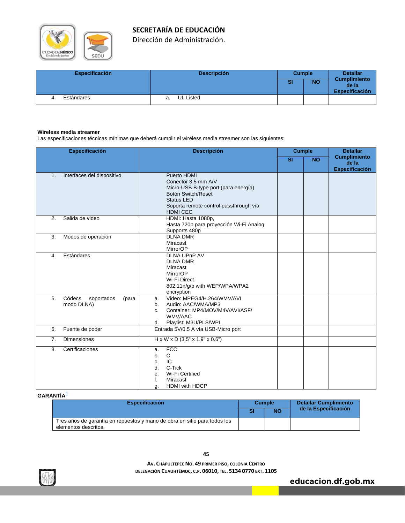

Dirección de Administración.

| <b>Especificación</b> | <b>Descripción</b>     | <b>Cumple</b> |           | <b>Detallar</b>                                       |
|-----------------------|------------------------|---------------|-----------|-------------------------------------------------------|
|                       |                        | SI            | <b>NO</b> | <b>Cumplimiento</b><br>de la<br><b>Especificación</b> |
| Estándares            | <b>UL Listed</b><br>а. |               |           |                                                       |

#### **Wireless media streamer**

Las especificaciones técnicas mínimas que deberá cumplir el wireless media streamer son las siguientes:

|                | <b>Especificación</b>                       | <b>Descripción</b>                                                                                                                                                                 | <b>Cumple</b>           |           | <b>Detallar</b>                                       |
|----------------|---------------------------------------------|------------------------------------------------------------------------------------------------------------------------------------------------------------------------------------|-------------------------|-----------|-------------------------------------------------------|
|                |                                             |                                                                                                                                                                                    | $\overline{\mathbf{S}}$ | <b>NO</b> | <b>Cumplimiento</b><br>de la<br><b>Especificación</b> |
| $\mathbf{1}$ . | Interfaces del dispositivo                  | Puerto HDMI<br>Conector 3.5 mm A/V<br>Micro-USB B-type port (para energía)<br>Botón Switch/Reset<br><b>Status LED</b><br>Soporta remote control passthrough vía<br><b>HDMI CEC</b> |                         |           |                                                       |
| 2.             | Salida de video                             | HDMI: Hasta 1080p,<br>Hasta 720p para proyección Wi-Fi Analog:<br>Supports 480p                                                                                                    |                         |           |                                                       |
| 3.             | Modos de operación                          | <b>DLNA DMR</b><br>Miracast<br>MirrorOP                                                                                                                                            |                         |           |                                                       |
| 4.             | Estándares                                  | <b>DLNA UPnP AV</b><br><b>DLNA DMR</b><br>Miracast<br><b>MirrorOP</b><br>Wi-Fi Direct<br>802.11n/g/b with WEP/WPA/WPA2<br>encryption                                               |                         |           |                                                       |
| 5.             | Códecs<br>soportados<br>(para<br>modo DLNA) | Video: MPEG4/H.264/WMV/AVI<br>a.<br>Audio: AAC/WMA/MP3<br>b.<br>Container: MP4/MOV/M4V/AVI/ASF/<br>C.<br>WMV/AAC<br>Playlist: M3U/PLS/WPL<br>d.                                    |                         |           |                                                       |
| 6.             | Fuente de poder                             | Entrada 5V/0.5 A vía USB-Micro port                                                                                                                                                |                         |           |                                                       |
| 7.             | <b>Dimensiones</b>                          | $H \times W \times D$ (3.5" x 1.9" x 0.6")                                                                                                                                         |                         |           |                                                       |
| 8.             | Certificaciones                             | <b>FCC</b><br>a.<br>C<br>b.<br>IC<br>C.<br>C-Tick<br>$d$ .<br>Wi-Fi Certified<br>е.<br>f.<br>Miracast<br>HDMI with HDCP<br>q.                                                      |                         |           |                                                       |

#### **GARANTÍA**1

| <b>Especificación</b>                                                                             | <b>Cumple</b> |           | <b>Detallar Cumplimiento</b> |  |  |
|---------------------------------------------------------------------------------------------------|---------------|-----------|------------------------------|--|--|
|                                                                                                   |               | <b>NO</b> | de la Especificación         |  |  |
| Tres años de garantía en repuestos y mano de obra en sitio para todos los<br>elementos descritos. |               |           |                              |  |  |

**AV. CHAPULTEPEC NO. 49 PRIMER PISO, COLONIA CENTRO DELEGACIÓN CUAUHTÉMOC, C.P. 06010, TEL. 5134 0770 EXT. 1105**

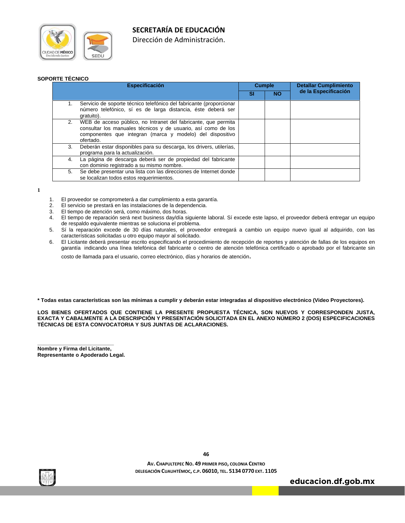



Dirección de Administración.

#### **SOPORTE TÉCNICO**

| <b>Especificación</b>                                                                                                                                                                                           | <b>Cumple</b> |           | <b>Detallar Cumplimiento</b> |  |  |
|-----------------------------------------------------------------------------------------------------------------------------------------------------------------------------------------------------------------|---------------|-----------|------------------------------|--|--|
|                                                                                                                                                                                                                 | SI            | <b>NO</b> | de la Especificación         |  |  |
| Servicio de soporte técnico telefónico del fabricante (proporcionar<br>1.<br>número telefónico, sí es de larga distancia, éste deberá ser<br>gratuito).                                                         |               |           |                              |  |  |
| WEB de acceso público, no Intranet del fabricante, que permita<br>2.<br>consultar los manuales técnicos y de usuario, así como de los<br>componentes que integran (marca y modelo) del dispositivo<br>ofertado. |               |           |                              |  |  |
| Deberán estar disponibles para su descarga, los drivers, utilerías,<br>3.<br>programa para la actualización.                                                                                                    |               |           |                              |  |  |
| La página de descarga deberá ser de propiedad del fabricante<br>4.<br>con dominio registrado a su mismo nombre.                                                                                                 |               |           |                              |  |  |
| Se debe presentar una lista con las direcciones de Internet donde<br>5.<br>se localizan todos estos requerimientos.                                                                                             |               |           |                              |  |  |

**1**

- 1. El proveedor se comprometerá a dar cumplimiento a esta garantía.
- 2. El servicio se prestará en las instalaciones de la dependencia.
- El tiempo de atención será, como máximo, dos horas.
- 4. El tiempo de reparación será next business day/día siguiente laboral. Sí excede este lapso, el proveedor deberá entregar un equipo de respaldo equivalente mientras se soluciona el problema.
- 5. Sí la reparación excede de 30 días naturales, el proveedor entregará a cambio un equipo nuevo igual al adquirido, con las características solicitadas u otro equipo mayor al solicitado.
- 6. El Licitante deberá presentar escrito especificando el procedimiento de recepción de reportes y atención de fallas de los equipos en garantía indicando una línea telefónica del fabricante o centro de atención telefónica certificado o aprobado por el fabricante sin

costo de llamada para el usuario, correo electrónico, días y horarios de atención.

**\* Todas estas características son las mínimas a cumplir y deberán estar integradas al dispositivo electrónico (Video Proyectores).** 

**LOS BIENES OFERTADOS QUE CONTIENE LA PRESENTE PROPUESTA TÉCNICA, SON NUEVOS Y CORRESPONDEN JUSTA, EXACTA Y CABALMENTE A LA DESCRIPCIÓN Y PRESENTACIÓN SOLICITADA EN EL ANEXO NÚMERO 2 (DOS) ESPECIFICACIONES TÉCNICAS DE ESTA CONVOCATORIA Y SUS JUNTAS DE ACLARACIONES.** 

**Nombre y Firma del Licitante, Representante o Apoderado Legal.** 

**\_\_\_\_\_\_\_\_\_\_\_\_\_\_\_\_\_\_\_\_\_\_\_\_\_\_** 



**AV. CHAPULTEPEC NO. 49 PRIMER PISO, COLONIA CENTRO DELEGACIÓN CUAUHTÉMOC, C.P. 06010, TEL. 5134 0770 EXT. 1105**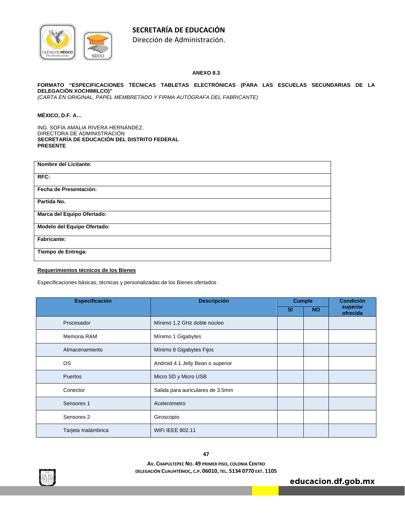

Dirección de Administración.

#### **ANEXO 8.3**

#### **FORMATO "ESPECIFICACIONES TÉCNICAS TABLETAS ELECTRÓNICAS (PARA LAS ESCUELAS SECUNDARIAS DE LA DELEGACIÓN XOCHIMILCO)"**

*(CARTA EN ORIGINAL, PAPEL MEMBRETADO Y FIRMA AUTÓGRAFA DEL FABRICANTE)* 

#### **MÉXICO, D.F. A…**

ING. SOFÍA AMALIA RIVERA HERNÁNDEZ. DIRECTORA DE ADMINISTRACIÓN **SECRETARÍA DE EDUCACIÓN DEL DISTRITO FEDERAL PRESENTE** 

| <b>Nombre del Licitante:</b> |  |
|------------------------------|--|
| RFC:                         |  |
| Fecha de Presentación:       |  |
| Partida No.                  |  |
| Marca del Equipo Ofertado:   |  |
| Modelo del Equipo Ofertado:  |  |
| <b>Fabricante:</b>           |  |
| Tiempo de Entrega:           |  |
|                              |  |

#### **Requerimientos técnicos de los Bienes**

Especificaciones básicas, técnicas y personalizadas de los Bienes ofertados

| <b>Especificación</b> | <b>Descripción</b><br><b>Cumple</b> |           |           | <b>Condición</b>     |
|-----------------------|-------------------------------------|-----------|-----------|----------------------|
|                       |                                     | <b>SI</b> | <b>NO</b> | superior<br>ofrecida |
| Procesador            | Mínimo 1.2 GHz doble núcleo         |           |           |                      |
| Memoria RAM           | Mínimo 1 Gigabytes                  |           |           |                      |
| Almacenamiento        | Mínimo 8 Gigabytes Fijos            |           |           |                      |
| <b>OS</b>             | Android 4.1 Jelly Bean o superior   |           |           |                      |
| Puertos               | Micro SD y Micro USB                |           |           |                      |
| Conector              | Salida para auriculares de 3.5mm    |           |           |                      |
| Sensores 1            | Acelerómetro                        |           |           |                      |
| Sensores 2            | Giroscopio                          |           |           |                      |
| Tarjeta Inalámbrica   | WIFI IEEE 802.11                    |           |           |                      |

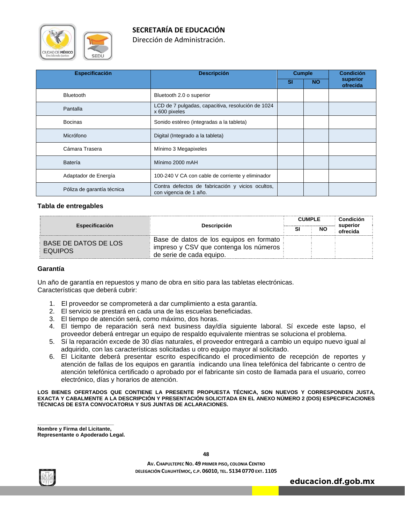

Dirección de Administración.

| <b>Especificación</b>      | <b>Descripción</b>                                                         | <b>Cumple</b> |           | <b>Condición</b>     |
|----------------------------|----------------------------------------------------------------------------|---------------|-----------|----------------------|
|                            |                                                                            | <b>SI</b>     | <b>NO</b> | superior<br>ofrecida |
| <b>Bluetooth</b>           | Bluetooth 2.0 o superior                                                   |               |           |                      |
| Pantalla                   | LCD de 7 pulgadas, capacitiva, resolución de 1024<br>x 600 pixeles         |               |           |                      |
| <b>Bocinas</b>             | Sonido estéreo (integradas a la tableta)                                   |               |           |                      |
| Micrófono                  | Digital (Integrado a la tableta)                                           |               |           |                      |
| Cámara Trasera             | Mínimo 3 Megapixeles                                                       |               |           |                      |
| <b>Batería</b>             | Mínimo 2000 mAH                                                            |               |           |                      |
| Adaptador de Energía       | 100-240 V CA con cable de corriente y eliminador                           |               |           |                      |
| Póliza de garantía técnica | Contra defectos de fabricación y vicios ocultos,<br>con vigencia de 1 año. |               |           |                      |

#### **Tabla de entregables**

| <b>Especificación</b>                  | <b>Descripción</b>                                                                                            | <b>CUMPLE</b><br>NO |  | Condición<br>superior<br>ofrecida |
|----------------------------------------|---------------------------------------------------------------------------------------------------------------|---------------------|--|-----------------------------------|
| BASE DE DATOS DE LOS<br><b>EQUIPOS</b> | Base de datos de los equipos en formato<br>impreso y CSV que contenga los números<br>de serie de cada equipo. |                     |  |                                   |

#### **Garantía**

Un año de garantía en repuestos y mano de obra en sitio para las tabletas electrónicas. Características que deberá cubrir:

- 1. El proveedor se comprometerá a dar cumplimiento a esta garantía.
- 2. El servicio se prestará en cada una de las escuelas beneficiadas.
- 3. El tiempo de atención será, como máximo, dos horas.
- 4. El tiempo de reparación será next business day/día siguiente laboral. Sí excede este lapso, el proveedor deberá entregar un equipo de respaldo equivalente mientras se soluciona el problema.
- 5. Sí la reparación excede de 30 días naturales, el proveedor entregará a cambio un equipo nuevo igual al adquirido, con las características solicitadas u otro equipo mayor al solicitado.
- 6. El Licitante deberá presentar escrito especificando el procedimiento de recepción de reportes y atención de fallas de los equipos en garantía indicando una línea telefónica del fabricante o centro de atención telefónica certificado o aprobado por el fabricante sin costo de llamada para el usuario, correo electrónico, días y horarios de atención.

**LOS BIENES OFERTADOS QUE CONTIENE LA PRESENTE PROPUESTA TÉCNICA, SON NUEVOS Y CORRESPONDEN JUSTA, EXACTA Y CABALMENTE A LA DESCRIPCIÓN Y PRESENTACIÓN SOLICITADA EN EL ANEXO NÚMERO 2 (DOS) ESPECIFICACIONES TÉCNICAS DE ESTA CONVOCATORIA Y SUS JUNTAS DE ACLARACIONES.** 

**\_\_\_\_\_\_\_\_\_\_\_\_\_\_\_\_\_\_\_\_\_\_\_\_\_\_ Nombre y Firma del Licitante, Representante o Apoderado Legal.** 



**48**

**AV. CHAPULTEPEC NO. 49 PRIMER PISO, COLONIA CENTRO DELEGACIÓN CUAUHTÉMOC, C.P. 06010, TEL. 5134 0770 EXT. 1105**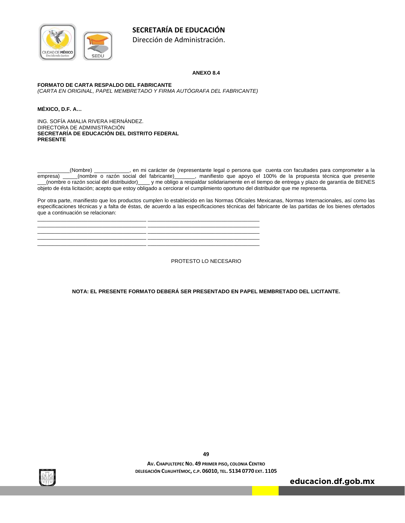

Dirección de Administración.

#### **ANEXO 8.4**

#### **FORMATO DE CARTA RESPALDO DEL FABRICANTE**

*(CARTA EN ORIGINAL, PAPEL MEMBRETADO Y FIRMA AUTÓGRAFA DEL FABRICANTE)* 

\_\_\_\_\_\_\_\_\_\_\_\_\_\_\_\_\_\_\_\_\_\_\_\_\_\_\_\_\_\_\_\_\_\_\_\_\_ \_\_\_\_\_\_\_\_\_\_\_\_\_\_\_\_\_\_\_\_\_\_\_\_\_\_\_\_\_\_\_\_\_\_\_\_\_\_ \_\_\_\_\_\_\_\_\_\_\_\_\_\_\_\_\_\_\_\_\_\_\_\_\_\_\_\_\_\_\_\_\_\_\_\_\_ \_\_\_\_\_\_\_\_\_\_\_\_\_\_\_\_\_\_\_\_\_\_\_\_\_\_\_\_\_\_\_\_\_\_\_\_\_\_ \_\_\_\_\_\_\_\_\_\_\_\_\_\_\_\_\_\_\_\_\_\_\_\_\_\_\_\_\_\_\_\_\_\_\_\_\_ \_\_\_\_\_\_\_\_\_\_\_\_\_\_\_\_\_\_\_\_\_\_\_\_\_\_\_\_\_\_\_\_\_\_\_\_\_\_ \_\_\_\_\_\_\_\_\_\_\_\_\_\_\_\_\_\_\_\_\_\_\_\_\_\_\_\_\_\_\_\_\_\_\_\_\_ \_\_\_\_\_\_\_\_\_\_\_\_\_\_\_\_\_\_\_\_\_\_\_\_\_\_\_\_\_\_\_\_\_\_\_\_\_\_ \_\_\_\_\_\_\_\_\_\_\_\_\_\_\_\_\_\_\_\_\_\_\_\_\_\_\_\_\_\_\_\_\_\_\_\_\_ \_\_\_\_\_\_\_\_\_\_\_\_\_\_\_\_\_\_\_\_\_\_\_\_\_\_\_\_\_\_\_\_\_\_\_\_\_\_

**MÉXICO, D.F. A…** 

ING. SOFÍA AMALIA RIVERA HERNÁNDEZ. DIRECTORA DE ADMINISTRACIÓN **SECRETARÍA DE EDUCACIÓN DEL DISTRITO FEDERAL PRESENTE** 

\_\_\_\_\_\_\_\_\_\_\_(Nombre) \_\_\_\_\_\_\_\_\_\_\_\_, en mi carácter de (representante legal o persona que cuenta con facultades para comprometer a la empresa) \_\_\_\_\_(nombre o razón social del fabricante)\_\_\_\_\_\_\_, manifiesto que apoyo el 100% de la propuesta técnica que presente \_\_\_(nombre o razón social del distribuidor)\_\_\_\_ y me obligo a respaldar solidariamente en el tiempo de entrega y plazo de garantía de BIENES objeto de ésta licitación; acepto que estoy obligado a cerciorar el cumplimiento oportuno del distribuidor que me representa.

Por otra parte, manifiesto que los productos cumplen lo establecido en las Normas Oficiales Mexicanas, Normas Internacionales, así como las especificaciones técnicas y a falta de éstas, de acuerdo a las especificaciones técnicas del fabricante de las partidas de los bienes ofertados que a continuación se relacionan:

PROTESTO LO NECESARIO

**NOTA: EL PRESENTE FORMATO DEBERÁ SER PRESENTADO EN PAPEL MEMBRETADO DEL LICITANTE.** 



**49**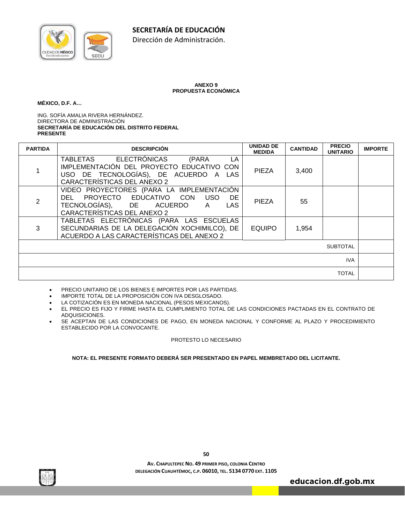

#### **ANEXO 9 PROPUESTA ECONÓMICA**

#### **MÉXICO, D.F. A…**

ING. SOFÍA AMALIA RIVERA HERNÁNDEZ. DIRECTORA DE ADMINISTRACIÓN **SECRETARÍA DE EDUCACIÓN DEL DISTRITO FEDERAL PRESENTE** 

| <b>PARTIDA</b> | <b>DESCRIPCIÓN</b>                                                                                                                                                           | <b>UNIDAD DE</b><br><b>MEDIDA</b> | <b>CANTIDAD</b> | <b>PRECIO</b><br><b>UNITARIO</b> | <b>IMPORTE</b> |
|----------------|------------------------------------------------------------------------------------------------------------------------------------------------------------------------------|-----------------------------------|-----------------|----------------------------------|----------------|
|                | <b>TABLETAS</b><br>ELECTRÓNICAS<br>(PARA<br>LA.<br>IMPLEMENTACIÓN DEL PROYECTO EDUCATIVO CON<br>USO DE TECNOLOGÍAS), DE ACUERDO A LAS<br>CARACTERÍSTICAS DEL ANEXO 2         | <b>PIEZA</b>                      | 3,400           |                                  |                |
| 2              | VIDEO PROYECTORES (PARA LA IMPLEMENTACIÓN<br>DEL PROYECTO EDUCATIVO CON<br><b>USO</b><br>DE.<br>TECNOLOGÍAS), DE ACUERDO<br><b>LAS</b><br>A –<br>CARACTERÍSTICAS DEL ANEXO 2 | <b>PIEZA</b>                      | 55              |                                  |                |
| 3              | TABLETAS ELECTRÓNICAS (PARA LAS ESCUELAS<br>SECUNDARIAS DE LA DELEGACIÓN XOCHIMILCO), DE<br>ACUERDO A LAS CARACTERÍSTICAS DEL ANEXO 2                                        | <b>EQUIPO</b>                     | 1,954           |                                  |                |
|                |                                                                                                                                                                              |                                   |                 | <b>SUBTOTAL</b>                  |                |
|                |                                                                                                                                                                              |                                   |                 | <b>IVA</b>                       |                |
|                |                                                                                                                                                                              |                                   |                 | <b>TOTAL</b>                     |                |

- PRECIO UNITARIO DE LOS BIENES E IMPORTES POR LAS PARTIDAS.
- IMPORTE TOTAL DE LA PROPOSICIÓN CON IVA DESGLOSADO.
- LA COTIZACIÓN ES EN MONEDA NACIONAL (PESOS MEXICANOS).
- EL PRECIO ES FIJO Y FIRME HASTA EL CUMPLIMIENTO TOTAL DE LAS CONDICIONES PACTADAS EN EL CONTRATO DE ADQUISICIONES.
- SE ACEPTAN DE LAS CONDICIONES DE PAGO, EN MONEDA NACIONAL Y CONFORME AL PLAZO Y PROCEDIMIENTO ESTABLECIDO POR LA CONVOCANTE.

#### PROTESTO LO NECESARIO

**NOTA: EL PRESENTE FORMATO DEBERÁ SER PRESENTADO EN PAPEL MEMBRETADO DEL LICITANTE.** 



**AV. CHAPULTEPEC NO. 49 PRIMER PISO, COLONIA CENTRO DELEGACIÓN CUAUHTÉMOC, C.P. 06010, TEL. 5134 0770 EXT. 1105**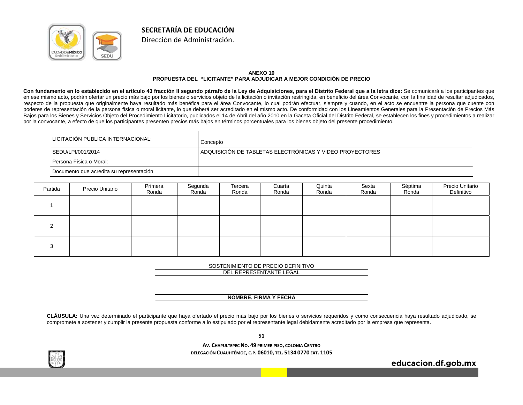

#### **ANEXO 10 PROPUESTA DEL "LICITANTE" PARA ADJUDICAR A MEJOR CONDICIÓN DE PRECIO**

**SECRETARÍA DE EDUCACIÓN**Dirección de Administración.

**Con fundamento en lo establecido en el artículo 43 fracción II segundo párrafo de la Ley de Adquisiciones, para el Distrito Federal que a la letra dice:** Se comunicará a los participantes que en ese mismo acto, podrán ofertar un precio más bajo por los bienes o servicios objeto de la licitación o invitación restringida, en beneficio del área Convocante, con la finalidad de resultar adjudicados, respecto de la propuesta que originalmente haya resultado más benéfica para el área Convocante, lo cual podrán efectuar, siempre y cuando, en el acto se encuentre la persona que cuente con poderes de representación de la persona física o moral licitante, lo que deberá ser acreditado en el mismo acto. De conformidad con los Lineamientos Generales para la Presentación de Precios Más Bajos para los Bienes y Servicios Objeto del Procedimiento Licitatorio, publicados el 14 de Abril del año 2010 en la Gaceta Oficial del Distrito Federal, se establecen los fines y procedimientos a realizar por la convocante, a efecto de que los participantes presenten precios más bajos en términos porcentuales para los bienes objeto del presente procedimiento.

| LICITACIÓN PUBLICA INTERNACIONAL:        | Concepto                                                 |
|------------------------------------------|----------------------------------------------------------|
| SEDU/LPI/001/2014                        | ADQUISICIÓN DE TABLETAS ELECTRÓNICAS Y VIDEO PROYECTORES |
| Persona Física o Moral:                  |                                                          |
| Documento que acredita su representación |                                                          |

| Partida                | Precio Unitario | Primera<br>Ronda | Segunda<br>Ronda | Tercera<br>Ronda | Cuarta<br>Ronda | Quinta<br>Ronda | Sexta<br>Ronda | Séptima<br>Ronda | Precio Unitario<br>Definitivo |
|------------------------|-----------------|------------------|------------------|------------------|-----------------|-----------------|----------------|------------------|-------------------------------|
|                        |                 |                  |                  |                  |                 |                 |                |                  |                               |
| <sup>o</sup>           |                 |                  |                  |                  |                 |                 |                |                  |                               |
| $\mathbf{\Omega}$<br>ĸ |                 |                  |                  |                  |                 |                 |                |                  |                               |

| SOSTENIMIENTO DE PRECIO DEFINITIVO |
|------------------------------------|
| DEL REPRESENTANTE LEGAL            |
|                                    |
|                                    |
|                                    |
| <b>NOMBRE, FIRMA Y FECHA</b>       |

**CLÁUSULA:** Una vez determinado el participante que haya ofertado el precio más bajo por los bienes o servicios requeridos y como consecuencia haya resultado adjudicado, se compromete a sostener y cumplir la presente propuesta conforme a lo estipulado por el representante legal debidamente acreditado por la empresa que representa.

**51**

**AV. CHAPULTEPEC NO. 49 PRIMER PISO, COLONIA CENTRO DELEGACIÓN CUAUHTÉMOC, C.P. 06010, TEL. 5134 0770 EXT. 1105**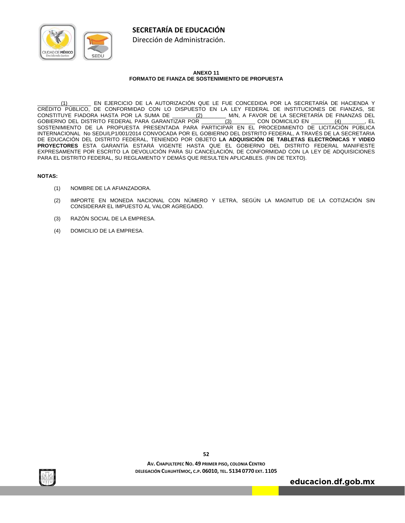



#### **ANEXO 11 FORMATO DE FIANZA DE SOSTENIMIENTO DE PROPUESTA**

\_\_\_\_\_\_\_\_(1)\_\_\_\_\_\_\_\_ EN EJERCICIO DE LA AUTORIZACIÓN QUE LE FUE CONCEDIDA POR LA SECRETARÍA DE HACIENDA Y CRÉDITO PÚBLICO, DE CONFORMIDAD CON LO DISPUESTO EN LA LEY FEDERAL DE INSTITUCIONES DE FIANZAS, SE<br>CONSTITUYE FIADORA HASTA POR LA SUMA DE <u>(2) M/N, A</u> FAVOR DE LA SECRETARÍA DE FINANZAS DEL M/N, A FAVOR DE LA SECRETARÍA DE FINANZAS DEL GOBIERNO DEL DISTRITO FEDERAL PARA GARANTIZAR POR \_\_\_\_\_\_\_\_(3)\_\_\_\_\_\_\_\_ CON DOMICILIO EN \_\_\_\_\_\_\_\_(4)\_\_\_\_\_\_\_\_, EL SOSTENIMIENTO DE LA PROPUESTA PRESENTADA PARA PARTICIPAR EN EL PROCEDIMIENTO DE LICITACIÓN PÚBLICA INTERNACIONAL No SEDU/LP1/001/2014 CONVOCADA POR EL GOBIERNO DEL DISTRITO FEDERAL, A TRAVÉS DE LA SECRETARIA DE EDUCACIÓN DEL DISTRITO FEDERAL, TENIENDO POR OBJETO **LA ADQUISICIÓN DE TABLETAS ELECTRÓNICAS Y VIDEO PROYECTORES** ESTA GARANTÍA ESTARÁ VIGENTE HASTA QUE EL GOBIERNO DEL DISTRITO FEDERAL MANIFIESTE EXPRESAMENTE POR ESCRITO LA DEVOLUCIÓN PARA SU CANCELACIÓN, DE CONFORMIDAD CON LA LEY DE ADQUISICIONES PARA EL DISTRITO FEDERAL, SU REGLAMENTO Y DEMÁS QUE RESULTEN APLICABLES. (FIN DE TEXTO).

#### **NOTAS:**

- (1) NOMBRE DE LA AFIANZADORA.
- (2) IMPORTE EN MONEDA NACIONAL CON NÚMERO Y LETRA, SEGÚN LA MAGNITUD DE LA COTIZACIÓN SIN CONSIDERAR EL IMPUESTO AL VALOR AGREGADO.
- (3) RAZÓN SOCIAL DE LA EMPRESA.
- (4) DOMICILIO DE LA EMPRESA.



**52**